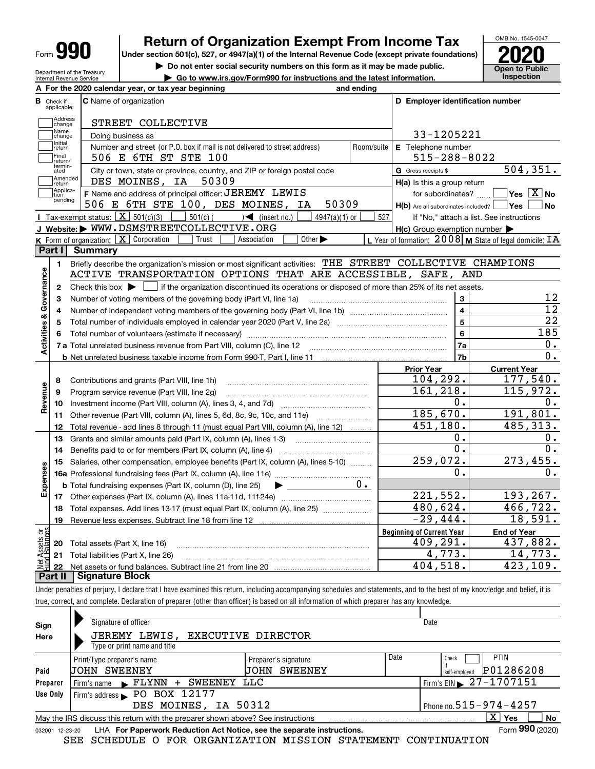# **Return of Organization Exempt From Income Tax**

**Under section 501(c), 527, or 4947(a)(1) of the Internal Revenue Code (except private foundations) 2020**

**| Do not enter social security numbers on this form as it may be made public. | Go to www.irs.gov/Form990 for instructions and the latest information. Inspection**

**Open to Public** 

OMB No. 1545-0047

Department of the Treasury Internal Revenue Service

|                                |                         | A For the 2020 calendar year, or tax year beginning                                                                                            | and ending |                                                     |                                                             |  |  |
|--------------------------------|-------------------------|------------------------------------------------------------------------------------------------------------------------------------------------|------------|-----------------------------------------------------|-------------------------------------------------------------|--|--|
| в                              | Check if<br>applicable: | C Name of organization                                                                                                                         |            | D Employer identification number                    |                                                             |  |  |
|                                | Address<br>change       | STREET COLLECTIVE                                                                                                                              |            |                                                     |                                                             |  |  |
|                                | Name<br>change          | Doing business as                                                                                                                              |            | 33-1205221                                          |                                                             |  |  |
|                                | Initial<br>return       | Number and street (or P.O. box if mail is not delivered to street address)                                                                     | Room/suite | E Telephone number                                  |                                                             |  |  |
|                                | Final<br>return/        | 506 E 6TH ST STE 100                                                                                                                           |            | $515 - 288 - 8022$                                  |                                                             |  |  |
|                                | termin-<br>ated         | City or town, state or province, country, and ZIP or foreign postal code                                                                       |            | G Gross receipts \$                                 | 504, 351.                                                   |  |  |
|                                | Amended<br>return       | 50309<br>DES MOINES, IA                                                                                                                        |            | H(a) Is this a group return                         |                                                             |  |  |
|                                | Applica-<br>tion        | F Name and address of principal officer: JEREMY LEWIS                                                                                          |            | for subordinates?                                   | $\sqrt{}$ Yes $\sqrt{}$ X $\sqrt{}$ No                      |  |  |
|                                | pending                 | 50309<br>506 E 6TH STE 100, DES MOINES, IA                                                                                                     |            | $H(b)$ Are all subordinates included? $\Box$ Yes    | No                                                          |  |  |
|                                |                         | Tax-exempt status: $X \overline{X}$ 501(c)(3)<br>$\vert 501(c)$ ( $\vert$ (insert no.)<br>4947(a)(1) or                                        | 527        |                                                     | If "No," attach a list. See instructions                    |  |  |
|                                |                         | J Website: WWW.DSMSTREETCOLLECTIVE.ORG                                                                                                         |            | $H(c)$ Group exemption number $\blacktriangleright$ |                                                             |  |  |
|                                |                         | K Form of organization: X Corporation<br>Trust<br>Association<br>Other $\blacktriangleright$                                                   |            |                                                     | L Year of formation: $2008$ M State of legal domicile: $TA$ |  |  |
|                                | Part I                  | Summary                                                                                                                                        |            |                                                     |                                                             |  |  |
|                                | 1.                      | Briefly describe the organization's mission or most significant activities: THE STREET COLLECTIVE CHAMPIONS                                    |            |                                                     |                                                             |  |  |
|                                |                         | ACTIVE TRANSPORTATION OPTIONS THAT ARE ACCESSIBLE, SAFE, AND                                                                                   |            |                                                     |                                                             |  |  |
|                                | 2                       | Check this box $\triangleright$ $\blacksquare$ if the organization discontinued its operations or disposed of more than 25% of its net assets. |            |                                                     |                                                             |  |  |
|                                | з                       | Number of voting members of the governing body (Part VI, line 1a)                                                                              |            | 3                                                   | 12                                                          |  |  |
|                                | 4                       |                                                                                                                                                |            | $\overline{4}$                                      | $\overline{12}$<br>$\overline{22}$                          |  |  |
|                                | 5                       |                                                                                                                                                |            |                                                     |                                                             |  |  |
|                                |                         |                                                                                                                                                |            |                                                     |                                                             |  |  |
| Activities & Governance        |                         |                                                                                                                                                |            | 7a                                                  | $0$ .                                                       |  |  |
|                                |                         |                                                                                                                                                |            | 7b                                                  | 0.                                                          |  |  |
|                                |                         |                                                                                                                                                |            | <b>Prior Year</b>                                   | <b>Current Year</b>                                         |  |  |
|                                | 8                       | Contributions and grants (Part VIII, line 1h)                                                                                                  |            | 104,292.                                            | 177,540.                                                    |  |  |
| Revenue                        | 9                       | Program service revenue (Part VIII, line 2g)                                                                                                   |            | 161, 218.                                           | 115,972.                                                    |  |  |
|                                | 10                      |                                                                                                                                                |            | 0.                                                  | 0.                                                          |  |  |
|                                | 11                      | Other revenue (Part VIII, column (A), lines 5, 6d, 8c, 9c, 10c, and 11e)                                                                       |            | 185,670.                                            | 191,801.                                                    |  |  |
|                                | 12                      | Total revenue - add lines 8 through 11 (must equal Part VIII, column (A), line 12)                                                             |            | 451,180.                                            | 485, 313.                                                   |  |  |
|                                | 13                      | Grants and similar amounts paid (Part IX, column (A), lines 1-3) <i>manoronononononon</i>                                                      |            | 0.                                                  | 0.                                                          |  |  |
|                                | 14                      |                                                                                                                                                |            | $\overline{0}$ .                                    | 0.                                                          |  |  |
|                                | 15                      | Salaries, other compensation, employee benefits (Part IX, column (A), lines 5-10)                                                              |            | 259,072.                                            | 273,455.                                                    |  |  |
|                                |                         |                                                                                                                                                |            | 0.                                                  | 0.                                                          |  |  |
| Expenses                       |                         | <b>b</b> Total fundraising expenses (Part IX, column (D), line 25)<br>$\blacktriangleright$                                                    | 0.         |                                                     |                                                             |  |  |
|                                |                         |                                                                                                                                                |            | 221,552.                                            | 193, 267.                                                   |  |  |
|                                |                         | 18 Total expenses. Add lines 13-17 (must equal Part IX, column (A), line 25) <i>mmmmmm</i>                                                     |            | 480,624.                                            | 466,722.                                                    |  |  |
|                                | 19                      | Revenue less expenses. Subtract line 18 from line 12                                                                                           |            | 29,444.                                             | 18,591.                                                     |  |  |
|                                |                         |                                                                                                                                                |            | <b>Beginning of Current Year</b>                    | <b>End of Year</b>                                          |  |  |
|                                | 20                      | Total assets (Part X, line 16)                                                                                                                 |            | 409,291.                                            | 437,882.                                                    |  |  |
| Net Assets or<br>Eund Balances | 21                      | Total liabilities (Part X, line 26)                                                                                                            |            | 4,773.                                              | 14,773.                                                     |  |  |
|                                | 22                      |                                                                                                                                                |            | 404,518.                                            | 423,109.                                                    |  |  |

true, correct, and complete. Declaration of preparer (other than officer) is based on all information of which preparer has any knowledge.

| Sign     | Signature of officer                                                                                         |                               |                            | Date                                   |  |  |  |  |  |  |
|----------|--------------------------------------------------------------------------------------------------------------|-------------------------------|----------------------------|----------------------------------------|--|--|--|--|--|--|
| Here     | JEREMY LEWIS.                                                                                                | EXECUTIVE DIRECTOR            |                            |                                        |  |  |  |  |  |  |
|          | Type or print name and title                                                                                 |                               |                            |                                        |  |  |  |  |  |  |
|          | Print/Type preparer's name                                                                                   | Preparer's signature          | Date                       | <b>PTIN</b><br>Check                   |  |  |  |  |  |  |
| Paid     | JOHN SWEENEY                                                                                                 | <b>SWEENEY</b><br><b>JOHN</b> |                            | P01286208<br>self-employed             |  |  |  |  |  |  |
| Preparer | Firm's name $\blacktriangleright$ $FLYNN +$<br>SWEENEY LLC                                                   |                               |                            | Firm's EIN $\triangleright$ 27-1707151 |  |  |  |  |  |  |
| Use Only | Firm's address PO BOX 12177                                                                                  |                               |                            |                                        |  |  |  |  |  |  |
|          | DES MOINES, IA 50312                                                                                         |                               | Phone no. 515 - 974 - 4257 |                                        |  |  |  |  |  |  |
|          | X.<br>No<br>Yes<br>May the IRS discuss this return with the preparer shown above? See instructions           |                               |                            |                                        |  |  |  |  |  |  |
|          | Form 990 (2020)<br>LHA For Paperwork Reduction Act Notice, see the separate instructions.<br>032001 12-23-20 |                               |                            |                                        |  |  |  |  |  |  |

SEE SCHEDULE O FOR ORGANIZATION MISSION STATEMENT CONTINUATION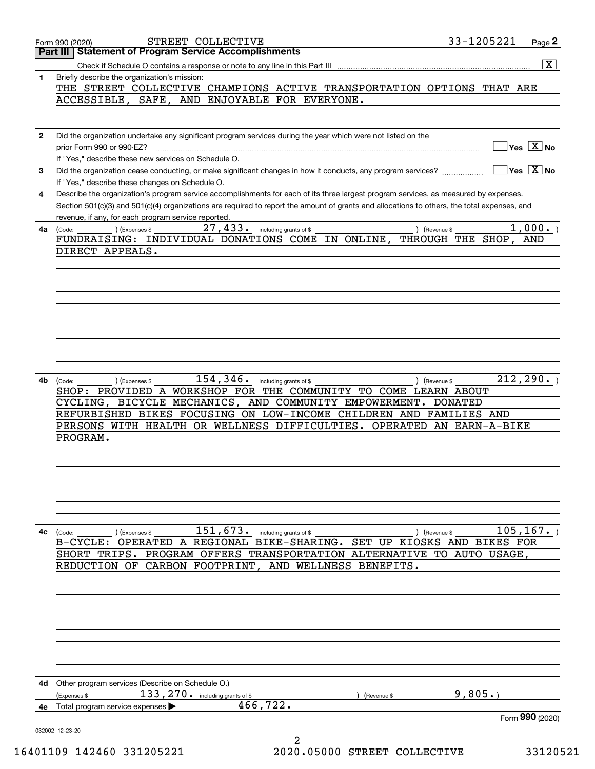|              | 33-1205221<br>STREET COLLECTIVE<br>Page 2<br>Form 990 (2020)                                                                                                    |
|--------------|-----------------------------------------------------------------------------------------------------------------------------------------------------------------|
|              | <b>Statement of Program Service Accomplishments</b><br>Part III                                                                                                 |
|              | $\overline{\mathbf{x}}$                                                                                                                                         |
| 1            | Briefly describe the organization's mission:                                                                                                                    |
|              | THE STREET COLLECTIVE CHAMPIONS ACTIVE TRANSPORTATION OPTIONS THAT ARE                                                                                          |
|              | ACCESSIBLE, SAFE, AND ENJOYABLE FOR EVERYONE.                                                                                                                   |
|              |                                                                                                                                                                 |
|              |                                                                                                                                                                 |
| $\mathbf{2}$ | Did the organization undertake any significant program services during the year which were not listed on the                                                    |
|              | $\boxed{\phantom{1}}$ Yes $\boxed{\text{X}}$ No<br>prior Form 990 or 990-EZ?                                                                                    |
|              | If "Yes," describe these new services on Schedule O.                                                                                                            |
| 3            | $\boxed{\phantom{1}}$ Yes $\boxed{\text{X}}$ No<br>Did the organization cease conducting, or make significant changes in how it conducts, any program services? |
|              | If "Yes," describe these changes on Schedule O.                                                                                                                 |
| 4            | Describe the organization's program service accomplishments for each of its three largest program services, as measured by expenses.                            |
|              | Section 501(c)(3) and 501(c)(4) organizations are required to report the amount of grants and allocations to others, the total expenses, and                    |
|              | revenue, if any, for each program service reported.                                                                                                             |
| 4a           | $27,433$ . including grants of \$<br>1,000.<br>(Expenses \$<br>) (Revenue \$<br>(Code:                                                                          |
|              | FUNDRAISING: INDIVIDUAL DONATIONS COME IN ONLINE,<br>THROUGH THE SHOP, AND                                                                                      |
|              | DIRECT APPEALS.                                                                                                                                                 |
|              |                                                                                                                                                                 |
|              |                                                                                                                                                                 |
|              |                                                                                                                                                                 |
|              |                                                                                                                                                                 |
|              |                                                                                                                                                                 |
|              |                                                                                                                                                                 |
|              |                                                                                                                                                                 |
|              |                                                                                                                                                                 |
|              |                                                                                                                                                                 |
|              |                                                                                                                                                                 |
| 4b.          | 154, 346. including grants of \$<br>212, 290.<br>(Expenses \$<br>) (Revenue \$<br>(Code:<br>SHOP: PROVIDED A WORKSHOP FOR THE COMMUNITY TO COME LEARN ABOUT     |
|              | CYCLING, BICYCLE MECHANICS, AND COMMUNITY EMPOWERMENT. DONATED                                                                                                  |
|              | REFURBISHED BIKES FOCUSING ON LOW-INCOME CHILDREN AND FAMILIES AND                                                                                              |
|              | PERSONS WITH HEALTH OR WELLNESS DIFFICULTIES. OPERATED AN EARN-A-BIKE                                                                                           |
|              | PROGRAM.                                                                                                                                                        |
|              |                                                                                                                                                                 |
|              |                                                                                                                                                                 |
|              |                                                                                                                                                                 |
|              |                                                                                                                                                                 |
|              |                                                                                                                                                                 |
|              |                                                                                                                                                                 |
|              |                                                                                                                                                                 |
| 4c           | 105, 167.<br>151, 673. including grants of \$<br>(Code:<br>(Expenses \$<br>) (Revenue \$                                                                        |
|              | B-CYCLE: OPERATED A REGIONAL BIKE-SHARING. SET UP KIOSKS AND BIKES FOR                                                                                          |
|              | SHORT TRIPS. PROGRAM OFFERS TRANSPORTATION ALTERNATIVE TO AUTO USAGE,                                                                                           |
|              | REDUCTION OF<br>CARBON FOOTPRINT,<br>AND WELLNESS BENEFITS.                                                                                                     |
|              |                                                                                                                                                                 |
|              |                                                                                                                                                                 |
|              |                                                                                                                                                                 |
|              |                                                                                                                                                                 |
|              |                                                                                                                                                                 |
|              |                                                                                                                                                                 |
|              |                                                                                                                                                                 |
|              |                                                                                                                                                                 |
|              |                                                                                                                                                                 |
| 4d           | Other program services (Describe on Schedule O.)<br>9,805.)<br>133, 270. including grants of \$                                                                 |
|              | Expenses \$<br>(Revenue \$<br>466, 722.                                                                                                                         |
| 4е           | Total program service expenses<br>Form 990 (2020)                                                                                                               |
|              | 032002 12-23-20                                                                                                                                                 |
|              | 2                                                                                                                                                               |
|              |                                                                                                                                                                 |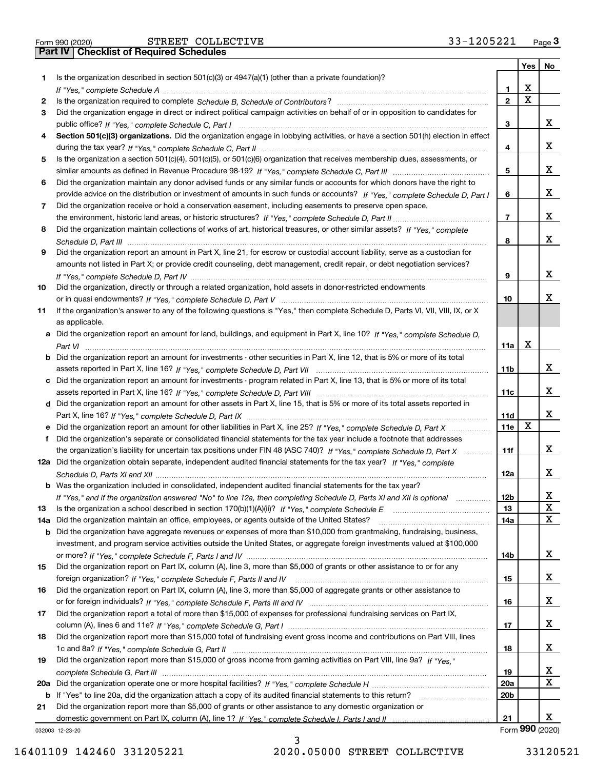|  | Form 990 (2020) |
|--|-----------------|

|    |                                                                                                                                                 |                 | Yes   No                |             |
|----|-------------------------------------------------------------------------------------------------------------------------------------------------|-----------------|-------------------------|-------------|
| 1. | Is the organization described in section $501(c)(3)$ or $4947(a)(1)$ (other than a private foundation)?                                         |                 |                         |             |
|    |                                                                                                                                                 | 1               | X                       |             |
| 2  |                                                                                                                                                 | $\overline{2}$  | $\overline{\mathbf{x}}$ |             |
| 3  | Did the organization engage in direct or indirect political campaign activities on behalf of or in opposition to candidates for                 |                 |                         |             |
|    |                                                                                                                                                 | 3               |                         | x           |
| 4  | Section 501(c)(3) organizations. Did the organization engage in lobbying activities, or have a section 501(h) election in effect                |                 |                         |             |
|    |                                                                                                                                                 | 4               |                         | X           |
| 5  | Is the organization a section 501(c)(4), 501(c)(5), or 501(c)(6) organization that receives membership dues, assessments, or                    |                 |                         |             |
|    |                                                                                                                                                 | 5               |                         | x           |
| 6  | Did the organization maintain any donor advised funds or any similar funds or accounts for which donors have the right to                       |                 |                         |             |
|    | provide advice on the distribution or investment of amounts in such funds or accounts? If "Yes," complete Schedule D, Part I                    | 6               |                         | X           |
| 7  | Did the organization receive or hold a conservation easement, including easements to preserve open space,                                       |                 |                         |             |
|    |                                                                                                                                                 | $\overline{7}$  |                         | X           |
| 8  | Did the organization maintain collections of works of art, historical treasures, or other similar assets? If "Yes," complete                    |                 |                         |             |
|    |                                                                                                                                                 | 8               |                         | X           |
| 9  | Did the organization report an amount in Part X, line 21, for escrow or custodial account liability, serve as a custodian for                   |                 |                         |             |
|    | amounts not listed in Part X; or provide credit counseling, debt management, credit repair, or debt negotiation services?                       |                 |                         |             |
|    |                                                                                                                                                 | 9               |                         | X           |
| 10 | Did the organization, directly or through a related organization, hold assets in donor-restricted endowments                                    |                 |                         | х           |
|    |                                                                                                                                                 | 10              |                         |             |
| 11 | If the organization's answer to any of the following questions is "Yes," then complete Schedule D, Parts VI, VII, VIII, IX, or X                |                 |                         |             |
|    | as applicable.<br>a Did the organization report an amount for land, buildings, and equipment in Part X, line 10? If "Yes," complete Schedule D, |                 |                         |             |
|    |                                                                                                                                                 |                 | X                       |             |
|    |                                                                                                                                                 | 11a             |                         |             |
|    | <b>b</b> Did the organization report an amount for investments - other securities in Part X, line 12, that is 5% or more of its total           | 11b             |                         | X           |
|    | c Did the organization report an amount for investments - program related in Part X, line 13, that is 5% or more of its total                   |                 |                         |             |
|    |                                                                                                                                                 | 11c             |                         | X           |
|    | d Did the organization report an amount for other assets in Part X, line 15, that is 5% or more of its total assets reported in                 |                 |                         |             |
|    |                                                                                                                                                 | 11d             |                         | x           |
|    | e Did the organization report an amount for other liabilities in Part X, line 25? If "Yes," complete Schedule D, Part X                         | 11e             | X                       |             |
| f  | Did the organization's separate or consolidated financial statements for the tax year include a footnote that addresses                         |                 |                         |             |
|    | the organization's liability for uncertain tax positions under FIN 48 (ASC 740)? If "Yes," complete Schedule D, Part X                          | 11f             |                         | X           |
|    | 12a Did the organization obtain separate, independent audited financial statements for the tax year? If "Yes," complete                         |                 |                         |             |
|    |                                                                                                                                                 | 12a             |                         | x           |
|    | b Was the organization included in consolidated, independent audited financial statements for the tax year?                                     |                 |                         |             |
|    | If "Yes," and if the organization answered "No" to line 12a, then completing Schedule D, Parts XI and XII is optional                           | 12 <sub>b</sub> |                         | Χ           |
| 13 |                                                                                                                                                 | 13              |                         | X           |
|    | 14a Did the organization maintain an office, employees, or agents outside of the United States?                                                 | 14a             |                         | X           |
|    | b Did the organization have aggregate revenues or expenses of more than \$10,000 from grantmaking, fundraising, business,                       |                 |                         |             |
|    | investment, and program service activities outside the United States, or aggregate foreign investments valued at \$100,000                      |                 |                         |             |
|    |                                                                                                                                                 | 14b             |                         | X           |
| 15 | Did the organization report on Part IX, column (A), line 3, more than \$5,000 of grants or other assistance to or for any                       |                 |                         |             |
|    |                                                                                                                                                 | 15              |                         | X           |
| 16 | Did the organization report on Part IX, column (A), line 3, more than \$5,000 of aggregate grants or other assistance to                        |                 |                         |             |
|    |                                                                                                                                                 | 16              |                         | x           |
| 17 | Did the organization report a total of more than \$15,000 of expenses for professional fundraising services on Part IX,                         |                 |                         |             |
|    |                                                                                                                                                 | 17              |                         | X           |
| 18 | Did the organization report more than \$15,000 total of fundraising event gross income and contributions on Part VIII, lines                    |                 |                         |             |
|    |                                                                                                                                                 | 18              |                         | X           |
| 19 | Did the organization report more than \$15,000 of gross income from gaming activities on Part VIII, line 9a? If "Yes."                          |                 |                         |             |
|    |                                                                                                                                                 | 19              |                         | х           |
|    |                                                                                                                                                 | 20a             |                         | $\mathbf X$ |
|    | b If "Yes" to line 20a, did the organization attach a copy of its audited financial statements to this return?                                  | 20 <sub>b</sub> |                         |             |
| 21 | Did the organization report more than \$5,000 of grants or other assistance to any domestic organization or                                     |                 |                         |             |
|    |                                                                                                                                                 | 21              |                         | x           |

032003 12-23-20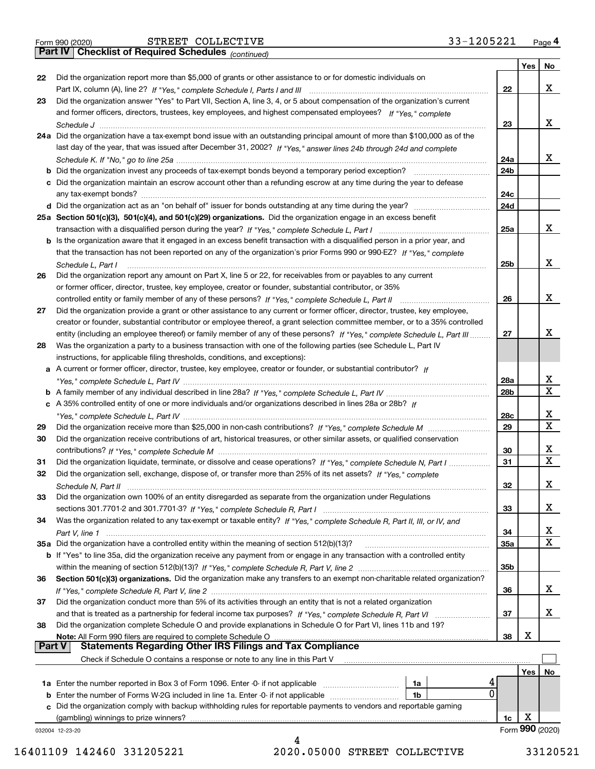|  | Form 990 (2020) |
|--|-----------------|
|  |                 |

*(continued)*

|               |                                                                                                                              |                 | Yes | <b>No</b>       |
|---------------|------------------------------------------------------------------------------------------------------------------------------|-----------------|-----|-----------------|
| 22            | Did the organization report more than \$5,000 of grants or other assistance to or for domestic individuals on                |                 |     |                 |
|               |                                                                                                                              | 22              |     | х               |
| 23            | Did the organization answer "Yes" to Part VII, Section A, line 3, 4, or 5 about compensation of the organization's current   |                 |     |                 |
|               | and former officers, directors, trustees, key employees, and highest compensated employees? If "Yes," complete               |                 |     |                 |
|               |                                                                                                                              | 23              |     | х               |
|               | 24a Did the organization have a tax-exempt bond issue with an outstanding principal amount of more than \$100,000 as of the  |                 |     |                 |
|               | last day of the year, that was issued after December 31, 2002? If "Yes," answer lines 24b through 24d and complete           |                 |     |                 |
|               |                                                                                                                              | 24a             |     | x               |
|               | <b>b</b> Did the organization invest any proceeds of tax-exempt bonds beyond a temporary period exception?                   | 24 <sub>b</sub> |     |                 |
|               | c Did the organization maintain an escrow account other than a refunding escrow at any time during the year to defease       |                 |     |                 |
|               | any tax-exempt bonds?                                                                                                        | 24c             |     |                 |
|               | d Did the organization act as an "on behalf of" issuer for bonds outstanding at any time during the year?                    | 24d             |     |                 |
|               | 25a Section 501(c)(3), 501(c)(4), and 501(c)(29) organizations. Did the organization engage in an excess benefit             |                 |     |                 |
|               |                                                                                                                              | 25a             |     | х               |
|               | b Is the organization aware that it engaged in an excess benefit transaction with a disqualified person in a prior year, and |                 |     |                 |
|               | that the transaction has not been reported on any of the organization's prior Forms 990 or 990-EZ? If "Yes," complete        |                 |     |                 |
|               | Schedule L, Part I                                                                                                           | 25b             |     | х               |
| 26            | Did the organization report any amount on Part X, line 5 or 22, for receivables from or payables to any current              |                 |     |                 |
|               | or former officer, director, trustee, key employee, creator or founder, substantial contributor, or 35%                      |                 |     |                 |
|               |                                                                                                                              | 26              |     | х               |
| 27            | Did the organization provide a grant or other assistance to any current or former officer, director, trustee, key employee,  |                 |     |                 |
|               | creator or founder, substantial contributor or employee thereof, a grant selection committee member, or to a 35% controlled  |                 |     |                 |
|               | entity (including an employee thereof) or family member of any of these persons? If "Yes," complete Schedule L, Part III     | 27              |     | х               |
| 28            | Was the organization a party to a business transaction with one of the following parties (see Schedule L, Part IV            |                 |     |                 |
|               | instructions, for applicable filing thresholds, conditions, and exceptions):                                                 |                 |     |                 |
|               | a A current or former officer, director, trustee, key employee, creator or founder, or substantial contributor? If           |                 |     |                 |
|               |                                                                                                                              | 28a             |     | x               |
|               |                                                                                                                              | 28 <sub>b</sub> |     | $\mathbf X$     |
|               | c A 35% controlled entity of one or more individuals and/or organizations described in lines 28a or 28b? If                  |                 |     |                 |
|               |                                                                                                                              | 28c             |     | x               |
| 29            |                                                                                                                              | 29              |     | $\mathbf X$     |
| 30            | Did the organization receive contributions of art, historical treasures, or other similar assets, or qualified conservation  |                 |     |                 |
|               |                                                                                                                              | 30              |     | x               |
| 31            | Did the organization liquidate, terminate, or dissolve and cease operations? If "Yes," complete Schedule N, Part I           | 31              |     | $\mathbf x$     |
| 32            | Did the organization sell, exchange, dispose of, or transfer more than 25% of its net assets? If "Yes," complete             |                 |     |                 |
|               | Schedule N, Part II                                                                                                          | 32              |     | x               |
| 33            | Did the organization own 100% of an entity disregarded as separate from the organization under Regulations                   |                 |     |                 |
|               |                                                                                                                              | 33              |     | х               |
| 34            | Was the organization related to any tax-exempt or taxable entity? If "Yes," complete Schedule R, Part II, III, or IV, and    |                 |     |                 |
|               |                                                                                                                              | 34              |     | x               |
|               | 35a Did the organization have a controlled entity within the meaning of section 512(b)(13)?                                  | 35a             |     | X               |
|               | b If "Yes" to line 35a, did the organization receive any payment from or engage in any transaction with a controlled entity  |                 |     |                 |
|               |                                                                                                                              | 35b             |     |                 |
| 36            | Section 501(c)(3) organizations. Did the organization make any transfers to an exempt non-charitable related organization?   |                 |     |                 |
|               |                                                                                                                              | 36              |     | x               |
| 37            | Did the organization conduct more than 5% of its activities through an entity that is not a related organization             |                 |     |                 |
|               | and that is treated as a partnership for federal income tax purposes? If "Yes," complete Schedule R, Part VI                 | 37              |     | x               |
| 38            | Did the organization complete Schedule O and provide explanations in Schedule O for Part VI, lines 11b and 19?               |                 |     |                 |
|               | Note: All Form 990 filers are required to complete Schedule O                                                                | 38              | х   |                 |
| <b>Part V</b> | <b>Statements Regarding Other IRS Filings and Tax Compliance</b>                                                             |                 |     |                 |
|               | Check if Schedule O contains a response or note to any line in this Part V                                                   |                 |     |                 |
|               |                                                                                                                              |                 | Yes | No              |
|               | <b>1a</b> Enter the number reported in Box 3 of Form 1096. Enter -0- if not applicable <i>manumumumum</i><br>1a              |                 |     |                 |
|               | 0<br>1b                                                                                                                      |                 |     |                 |
|               | c Did the organization comply with backup withholding rules for reportable payments to vendors and reportable gaming         |                 |     |                 |
|               | (gambling) winnings to prize winners?                                                                                        | 1c              | х   |                 |
|               | 032004 12-23-20                                                                                                              |                 |     | Form 990 (2020) |
|               |                                                                                                                              |                 |     |                 |

16401109 142460 331205221 2020.05000 STREET COLLECTIVE 33120521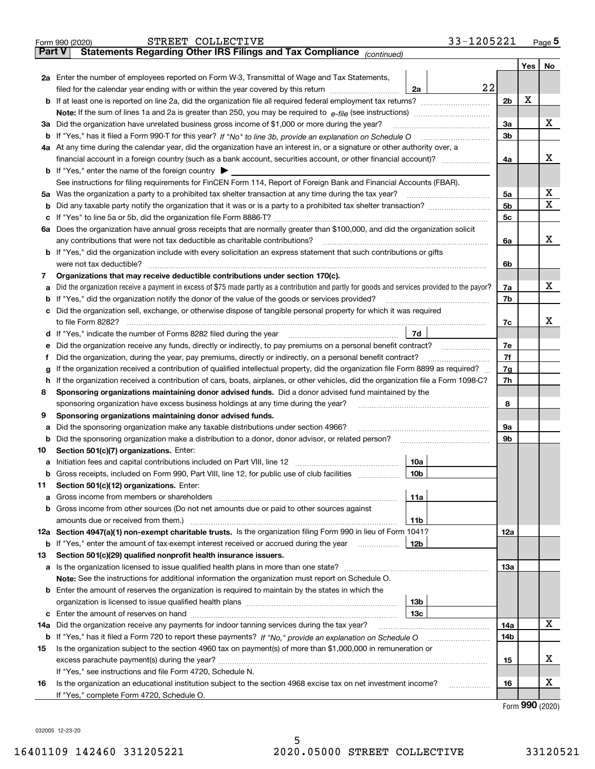|        | 33-1205221<br>STREET COLLECTIVE<br>Form 990 (2020)                                                                                                                                                                                    |                |     | Page $5$ |  |  |  |  |
|--------|---------------------------------------------------------------------------------------------------------------------------------------------------------------------------------------------------------------------------------------|----------------|-----|----------|--|--|--|--|
| Part V | Statements Regarding Other IRS Filings and Tax Compliance (continued)                                                                                                                                                                 |                |     |          |  |  |  |  |
|        |                                                                                                                                                                                                                                       |                | Yes | No       |  |  |  |  |
|        | 2a Enter the number of employees reported on Form W-3, Transmittal of Wage and Tax Statements,                                                                                                                                        |                |     |          |  |  |  |  |
|        | 22<br>filed for the calendar year ending with or within the year covered by this return<br>2a                                                                                                                                         |                |     |          |  |  |  |  |
|        | <b>b</b> If at least one is reported on line 2a, did the organization file all required federal employment tax returns?                                                                                                               |                |     |          |  |  |  |  |
|        |                                                                                                                                                                                                                                       |                |     |          |  |  |  |  |
|        | 3a Did the organization have unrelated business gross income of \$1,000 or more during the year?                                                                                                                                      | 3a             |     | x        |  |  |  |  |
|        |                                                                                                                                                                                                                                       | 3 <sub>b</sub> |     |          |  |  |  |  |
|        | 4a At any time during the calendar year, did the organization have an interest in, or a signature or other authority over, a                                                                                                          |                |     |          |  |  |  |  |
|        |                                                                                                                                                                                                                                       | 4a             |     | x        |  |  |  |  |
|        | <b>b</b> If "Yes," enter the name of the foreign country $\triangleright$                                                                                                                                                             |                |     |          |  |  |  |  |
|        | See instructions for filing requirements for FinCEN Form 114, Report of Foreign Bank and Financial Accounts (FBAR).                                                                                                                   |                |     |          |  |  |  |  |
|        |                                                                                                                                                                                                                                       | 5a             |     | х        |  |  |  |  |
|        |                                                                                                                                                                                                                                       | 5 <sub>b</sub> |     | x        |  |  |  |  |
|        |                                                                                                                                                                                                                                       | 5c             |     |          |  |  |  |  |
|        | 6a Does the organization have annual gross receipts that are normally greater than \$100,000, and did the organization solicit                                                                                                        |                |     |          |  |  |  |  |
|        | any contributions that were not tax deductible as charitable contributions?                                                                                                                                                           | 6a             |     | x        |  |  |  |  |
|        | <b>b</b> If "Yes," did the organization include with every solicitation an express statement that such contributions or gifts                                                                                                         |                |     |          |  |  |  |  |
|        | were not tax deductible?                                                                                                                                                                                                              | 6b             |     |          |  |  |  |  |
| 7      | Organizations that may receive deductible contributions under section 170(c).                                                                                                                                                         |                |     |          |  |  |  |  |
|        | a Did the organization receive a payment in excess of \$75 made partly as a contribution and partly for goods and services provided to the payor?                                                                                     | 7a             |     | х        |  |  |  |  |
|        | <b>b</b> If "Yes," did the organization notify the donor of the value of the goods or services provided?                                                                                                                              | 7b             |     |          |  |  |  |  |
|        | c Did the organization sell, exchange, or otherwise dispose of tangible personal property for which it was required                                                                                                                   |                |     |          |  |  |  |  |
|        | to file Form 8282?                                                                                                                                                                                                                    | 7c             |     | x        |  |  |  |  |
|        | 7d<br>d If "Yes," indicate the number of Forms 8282 filed during the year                                                                                                                                                             |                |     |          |  |  |  |  |
| е      | Did the organization receive any funds, directly or indirectly, to pay premiums on a personal benefit contract?                                                                                                                       |                |     |          |  |  |  |  |
| Ť      | Did the organization, during the year, pay premiums, directly or indirectly, on a personal benefit contract?                                                                                                                          | 7f             |     |          |  |  |  |  |
| g      | If the organization received a contribution of qualified intellectual property, did the organization file Form 8899 as required?                                                                                                      | 7g             |     |          |  |  |  |  |
| h.     | If the organization received a contribution of cars, boats, airplanes, or other vehicles, did the organization file a Form 1098-C?                                                                                                    | 7h             |     |          |  |  |  |  |
| 8      | Sponsoring organizations maintaining donor advised funds. Did a donor advised fund maintained by the                                                                                                                                  |                |     |          |  |  |  |  |
|        | sponsoring organization have excess business holdings at any time during the year?                                                                                                                                                    | 8              |     |          |  |  |  |  |
| 9      | Sponsoring organizations maintaining donor advised funds.                                                                                                                                                                             |                |     |          |  |  |  |  |
| а      | Did the sponsoring organization make any taxable distributions under section 4966?                                                                                                                                                    | 9а             |     |          |  |  |  |  |
|        | <b>b</b> Did the sponsoring organization make a distribution to a donor, donor advisor, or related person?                                                                                                                            | 9b             |     |          |  |  |  |  |
| 10     | Section 501(c)(7) organizations. Enter:                                                                                                                                                                                               |                |     |          |  |  |  |  |
|        | 10a                                                                                                                                                                                                                                   |                |     |          |  |  |  |  |
|        | <b>b</b> Gross receipts, included on Form 990, Part VIII, line 12, for public use of club facilities <i>managerecipts</i> ,<br>10b                                                                                                    |                |     |          |  |  |  |  |
| 11     | Section 501(c)(12) organizations. Enter:                                                                                                                                                                                              |                |     |          |  |  |  |  |
| а      | 11a<br>Gross income from members or shareholders [111] [12] content in the state of the state of the state of the state of the state of the state of the state of the state of the state of the state of the state of the state of th |                |     |          |  |  |  |  |
|        | b Gross income from other sources (Do not net amounts due or paid to other sources against                                                                                                                                            |                |     |          |  |  |  |  |
|        | amounts due or received from them.)<br>11b                                                                                                                                                                                            |                |     |          |  |  |  |  |
|        | 12a Section 4947(a)(1) non-exempt charitable trusts. Is the organization filing Form 990 in lieu of Form 1041?                                                                                                                        | 12a            |     |          |  |  |  |  |
|        | <b>b</b> If "Yes," enter the amount of tax-exempt interest received or accrued during the year<br>12b                                                                                                                                 |                |     |          |  |  |  |  |
| 13     | Section 501(c)(29) qualified nonprofit health insurance issuers.                                                                                                                                                                      |                |     |          |  |  |  |  |
|        |                                                                                                                                                                                                                                       | 13а            |     |          |  |  |  |  |
|        | <b>Note:</b> See the instructions for additional information the organization must report on Schedule O.                                                                                                                              |                |     |          |  |  |  |  |
|        | <b>b</b> Enter the amount of reserves the organization is required to maintain by the states in which the                                                                                                                             |                |     |          |  |  |  |  |
|        | 13 <sub>b</sub>                                                                                                                                                                                                                       |                |     |          |  |  |  |  |
|        | 13с                                                                                                                                                                                                                                   |                |     |          |  |  |  |  |
| 14a    | Did the organization receive any payments for indoor tanning services during the tax year?                                                                                                                                            | 14a            |     | x        |  |  |  |  |
|        |                                                                                                                                                                                                                                       | 14b            |     |          |  |  |  |  |
| 15     | Is the organization subject to the section 4960 tax on payment(s) of more than \$1,000,000 in remuneration or                                                                                                                         |                |     |          |  |  |  |  |
|        |                                                                                                                                                                                                                                       | 15             |     | x        |  |  |  |  |
|        | If "Yes," see instructions and file Form 4720, Schedule N.                                                                                                                                                                            |                |     |          |  |  |  |  |
| 16     | Is the organization an educational institution subject to the section 4968 excise tax on net investment income?<br>.                                                                                                                  | 16             |     | х        |  |  |  |  |
|        | If "Yes," complete Form 4720, Schedule O.                                                                                                                                                                                             |                |     |          |  |  |  |  |

Form (2020) **990**

032005 12-23-20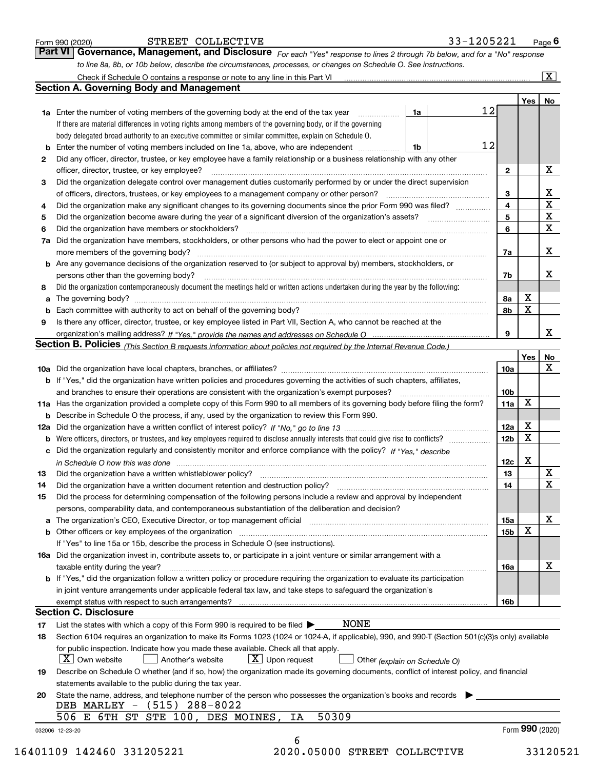|    | 12<br><b>1a</b> Enter the number of voting members of the governing body at the end of the tax year<br>1a                                                                     |                         | Yes <sub>1</sub> | No                      |
|----|-------------------------------------------------------------------------------------------------------------------------------------------------------------------------------|-------------------------|------------------|-------------------------|
|    | If there are material differences in voting rights among members of the governing body, or if the governing                                                                   |                         |                  |                         |
|    | body delegated broad authority to an executive committee or similar committee, explain on Schedule O.                                                                         |                         |                  |                         |
| b  | 12<br>Enter the number of voting members included on line 1a, above, who are independent<br>1b                                                                                |                         |                  |                         |
| 2  | Did any officer, director, trustee, or key employee have a family relationship or a business relationship with any other                                                      |                         |                  |                         |
|    | officer, director, trustee, or key employee?                                                                                                                                  | $\mathbf{2}$            |                  | X                       |
| З  | Did the organization delegate control over management duties customarily performed by or under the direct supervision                                                         |                         |                  |                         |
|    | of officers, directors, trustees, or key employees to a management company or other person?                                                                                   | 3                       |                  | X                       |
| 4  | Did the organization make any significant changes to its governing documents since the prior Form 990 was filed?                                                              | $\overline{\mathbf{4}}$ |                  | $\overline{\mathbf{x}}$ |
| 5  |                                                                                                                                                                               | 5                       |                  | $\overline{\mathbf{x}}$ |
| 6  | Did the organization have members or stockholders?                                                                                                                            | 6                       |                  | $\mathbf x$             |
| 7a | Did the organization have members, stockholders, or other persons who had the power to elect or appoint one or                                                                |                         |                  |                         |
|    |                                                                                                                                                                               | 7a                      |                  | X                       |
|    | <b>b</b> Are any governance decisions of the organization reserved to (or subject to approval by) members, stockholders, or                                                   |                         |                  |                         |
|    | persons other than the governing body?                                                                                                                                        | 7b                      |                  | X                       |
| 8  | Did the organization contemporaneously document the meetings held or written actions undertaken during the year by the following:                                             |                         |                  |                         |
| a  |                                                                                                                                                                               | 8а                      | X                |                         |
| b  |                                                                                                                                                                               | 8b                      | х                |                         |
| 9  | Is there any officer, director, trustee, or key employee listed in Part VII, Section A, who cannot be reached at the                                                          |                         |                  |                         |
|    |                                                                                                                                                                               | 9                       |                  | X                       |
|    | Section B. Policies (This Section B requests information about policies not required by the Internal Revenue Code.)                                                           |                         |                  |                         |
|    |                                                                                                                                                                               |                         | Yes              | No                      |
|    |                                                                                                                                                                               | 10a                     |                  | X                       |
|    | <b>b</b> If "Yes," did the organization have written policies and procedures governing the activities of such chapters, affiliates,                                           |                         |                  |                         |
|    |                                                                                                                                                                               | 10 <sub>b</sub>         |                  |                         |
|    | 11a Has the organization provided a complete copy of this Form 990 to all members of its governing body before filing the form?                                               | 11a                     | X                |                         |
|    | <b>b</b> Describe in Schedule O the process, if any, used by the organization to review this Form 990.                                                                        |                         |                  |                         |
|    |                                                                                                                                                                               | 12a                     | X                |                         |
|    |                                                                                                                                                                               | 12 <sub>b</sub>         | x                |                         |
|    | c Did the organization regularly and consistently monitor and enforce compliance with the policy? If "Yes," describe                                                          |                         |                  |                         |
|    | in Schedule O how this was done manufactured and continuum control of the Schedule O how this was done manufactured and continuum control of the Schedule O how this was done | 12c                     | X                |                         |
| 13 |                                                                                                                                                                               | 13                      |                  | X                       |
| 14 |                                                                                                                                                                               | 14                      |                  | $\mathbf X$             |
| 15 | Did the process for determining compensation of the following persons include a review and approval by independent                                                            |                         |                  |                         |
|    | persons, comparability data, and contemporaneous substantiation of the deliberation and decision?                                                                             |                         |                  |                         |
|    |                                                                                                                                                                               | 15a                     |                  | X                       |
|    |                                                                                                                                                                               | 15 <sub>b</sub>         | X                |                         |
|    | If "Yes" to line 15a or 15b, describe the process in Schedule O (see instructions).                                                                                           |                         |                  |                         |
|    | 16a Did the organization invest in, contribute assets to, or participate in a joint venture or similar arrangement with a                                                     |                         |                  |                         |
|    | taxable entity during the year?                                                                                                                                               | 16a                     |                  | X                       |
|    | b If "Yes," did the organization follow a written policy or procedure requiring the organization to evaluate its participation                                                |                         |                  |                         |
|    | in joint venture arrangements under applicable federal tax law, and take steps to safequard the organization's                                                                |                         |                  |                         |
|    |                                                                                                                                                                               | 16b                     |                  |                         |
|    | <b>Section C. Disclosure</b>                                                                                                                                                  |                         |                  |                         |
| 17 | <b>NONE</b><br>List the states with which a copy of this Form 990 is required to be filed $\blacktriangleright$                                                               |                         |                  |                         |
| 18 | Section 6104 requires an organization to make its Forms 1023 (1024 or 1024-A, if applicable), 990, and 990-T (Section 501(c)(3)s only) available                              |                         |                  |                         |
|    | for public inspection. Indicate how you made these available. Check all that apply.                                                                                           |                         |                  |                         |
|    | $X$ Upon request<br>$\lfloor x \rfloor$ Own website<br>Another's website<br>Other (explain on Schedule O)                                                                     |                         |                  |                         |
| 19 | Describe on Schedule O whether (and if so, how) the organization made its governing documents, conflict of interest policy, and financial                                     |                         |                  |                         |
|    | statements available to the public during the tax year.                                                                                                                       |                         |                  |                         |
| 20 | State the name, address, and telephone number of the person who possesses the organization's books and records                                                                |                         |                  |                         |
|    | DEB MARLEY - (515) 288-8022                                                                                                                                                   |                         |                  |                         |
|    | 50309<br>506 E 6TH ST STE 100, DES MOINES,<br>IA                                                                                                                              |                         |                  |                         |
|    | 032006 12-23-20                                                                                                                                                               |                         | Form 990 (2020)  |                         |
|    | 6                                                                                                                                                                             |                         |                  |                         |

*to line 8a, 8b, or 10b below, describe the circumstances, processes, or changes on Schedule O. See instructions.*

Form 990 (2020) **COLLECTIVE** Form 990 (2020) **Page 6**<br>**Part VI Governance, Management, and Disclosure** For each "Yes" response to lines 2 through 7b below, and for a "No" response

*For each "Yes" response to lines 2 through 7b below, and for a "No" response*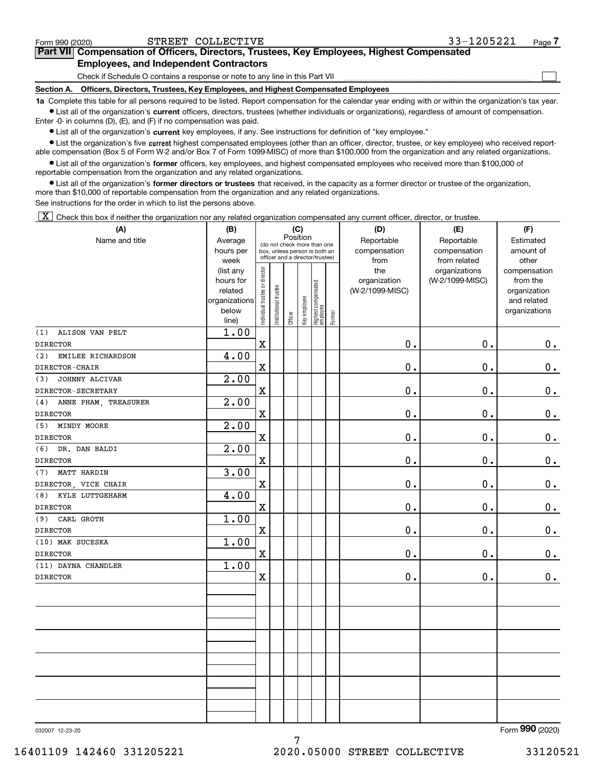|  | Form 990 (2020) |
|--|-----------------|
|  |                 |

 $\mathcal{L}^{\text{max}}$ 

# **7Part VII Compensation of Officers, Directors, Trustees, Key Employees, Highest Compensated Employees, and Independent Contractors**

Check if Schedule O contains a response or note to any line in this Part VII

**Section A. Officers, Directors, Trustees, Key Employees, and Highest Compensated Employees**

**1a**  Complete this table for all persons required to be listed. Report compensation for the calendar year ending with or within the organization's tax year. **•** List all of the organization's current officers, directors, trustees (whether individuals or organizations), regardless of amount of compensation.

Enter -0- in columns (D), (E), and (F) if no compensation was paid.

 $\bullet$  List all of the organization's  $\,$ current key employees, if any. See instructions for definition of "key employee."

**•** List the organization's five current highest compensated employees (other than an officer, director, trustee, or key employee) who received reportable compensation (Box 5 of Form W-2 and/or Box 7 of Form 1099-MISC) of more than \$100,000 from the organization and any related organizations.

**•** List all of the organization's former officers, key employees, and highest compensated employees who received more than \$100,000 of reportable compensation from the organization and any related organizations.

**former directors or trustees**  ¥ List all of the organization's that received, in the capacity as a former director or trustee of the organization, more than \$10,000 of reportable compensation from the organization and any related organizations.

See instructions for the order in which to list the persons above.

**(A)**

 $\boxed{\textbf{X}}$  Check this box if neither the organization nor any related organization compensated any current officer, director, or trustee.

| (A)                         | (B)                  | (C)                                     |                       |         |              |                                                                  |        | (D)                             | (E)             | (F)                      |
|-----------------------------|----------------------|-----------------------------------------|-----------------------|---------|--------------|------------------------------------------------------------------|--------|---------------------------------|-----------------|--------------------------|
| Name and title              | Average              | Position<br>(do not check more than one |                       |         |              |                                                                  |        | Reportable                      | Reportable      | Estimated                |
|                             | hours per            |                                         |                       |         |              | box, unless person is both an<br>officer and a director/trustee) |        | compensation                    | compensation    | amount of                |
|                             | week                 |                                         |                       |         |              |                                                                  |        | from                            | from related    | other                    |
|                             | (list any            |                                         |                       |         |              |                                                                  |        | the                             | organizations   | compensation             |
|                             | hours for<br>related |                                         |                       |         |              |                                                                  |        | organization<br>(W-2/1099-MISC) | (W-2/1099-MISC) | from the<br>organization |
|                             | organizations        |                                         |                       |         |              |                                                                  |        |                                 |                 | and related              |
|                             | below                |                                         |                       |         |              |                                                                  |        |                                 |                 | organizations            |
|                             | line)                | Individual trustee or director          | Institutional trustee | Officer | Key employee | Highest compensated<br>employee                                  | Former |                                 |                 |                          |
| ALISON VAN PELT<br>(1)      | 1.00                 |                                         |                       |         |              |                                                                  |        |                                 |                 |                          |
| <b>DIRECTOR</b>             |                      | $\mathbf x$                             |                       |         |              |                                                                  |        | $\mathbf 0$ .                   | 0.              | $0_{.}$                  |
| (2)<br>EMILEE RICHARDSON    | 4.00                 |                                         |                       |         |              |                                                                  |        |                                 |                 |                          |
| DIRECTOR-CHAIR              |                      | $\mathbf X$                             |                       |         |              |                                                                  |        | $0$ .                           | 0.              | 0.                       |
| JOHNNY ALCIVAR<br>(3)       | 2.00                 |                                         |                       |         |              |                                                                  |        |                                 |                 |                          |
| DIRECTOR-SECRETARY          |                      | $\mathbf X$                             |                       |         |              |                                                                  |        | $0$ .                           | 0.              | $\mathbf 0$ .            |
| ANNE PHAM, TREASURER<br>(4) | 2.00                 |                                         |                       |         |              |                                                                  |        |                                 |                 |                          |
| <b>DIRECTOR</b>             |                      | $\mathbf X$                             |                       |         |              |                                                                  |        | $0$ .                           | 0.              | $0_{.}$                  |
| MINDY MOORE<br>(5)          | 2.00                 |                                         |                       |         |              |                                                                  |        |                                 |                 |                          |
| <b>DIRECTOR</b>             |                      | $\mathbf X$                             |                       |         |              |                                                                  |        | $0$ .                           | 0.              | $\mathbf 0$ .            |
| DR. DAN BALDI<br>(6)        | 2.00                 |                                         |                       |         |              |                                                                  |        |                                 |                 |                          |
| <b>DIRECTOR</b>             |                      | $\mathbf X$                             |                       |         |              |                                                                  |        | 0.                              | 0.              | $\mathbf 0$ .            |
| MATT HARDIN<br>(7)          | 3.00                 |                                         |                       |         |              |                                                                  |        |                                 |                 |                          |
| DIRECTOR VICE CHAIR         |                      | $\mathbf X$                             |                       |         |              |                                                                  |        | $0$ .                           | $0$ .           | $\mathbf 0$ .            |
| KYLE LUTTGEHARM<br>(8)      | 4.00                 |                                         |                       |         |              |                                                                  |        |                                 |                 |                          |
| <b>DIRECTOR</b>             |                      | $\mathbf X$                             |                       |         |              |                                                                  |        | $0$ .                           | 0.              | $0_{\cdot}$              |
| CARL GROTH<br>(9)           | 1.00                 |                                         |                       |         |              |                                                                  |        |                                 |                 |                          |
| <b>DIRECTOR</b>             |                      | $\mathbf X$                             |                       |         |              |                                                                  |        | 0.                              | 0.              | $\mathbf 0$ .            |
| (10) MAK SUCESKA            | 1.00                 |                                         |                       |         |              |                                                                  |        |                                 |                 |                          |
| <b>DIRECTOR</b>             |                      | $\mathbf X$                             |                       |         |              |                                                                  |        | 0.                              | 0.              | $0$ .                    |
| (11) DAYNA CHANDLER         | 1.00                 |                                         |                       |         |              |                                                                  |        |                                 |                 |                          |
| <b>DIRECTOR</b>             |                      | $\mathbf X$                             |                       |         |              |                                                                  |        | 0.                              | 0.              | $\mathbf 0$ .            |
|                             |                      |                                         |                       |         |              |                                                                  |        |                                 |                 |                          |
|                             |                      |                                         |                       |         |              |                                                                  |        |                                 |                 |                          |
|                             |                      |                                         |                       |         |              |                                                                  |        |                                 |                 |                          |
|                             |                      |                                         |                       |         |              |                                                                  |        |                                 |                 |                          |
|                             |                      |                                         |                       |         |              |                                                                  |        |                                 |                 |                          |
|                             |                      |                                         |                       |         |              |                                                                  |        |                                 |                 |                          |
|                             |                      |                                         |                       |         |              |                                                                  |        |                                 |                 |                          |
|                             |                      |                                         |                       |         |              |                                                                  |        |                                 |                 |                          |
|                             |                      |                                         |                       |         |              |                                                                  |        |                                 |                 |                          |
|                             |                      |                                         |                       |         |              |                                                                  |        |                                 |                 |                          |
|                             |                      |                                         |                       |         |              |                                                                  |        |                                 |                 |                          |
|                             |                      |                                         |                       |         |              |                                                                  |        |                                 |                 | $\overline{2}$           |

7

032007 12-23-20

Form (2020) **990**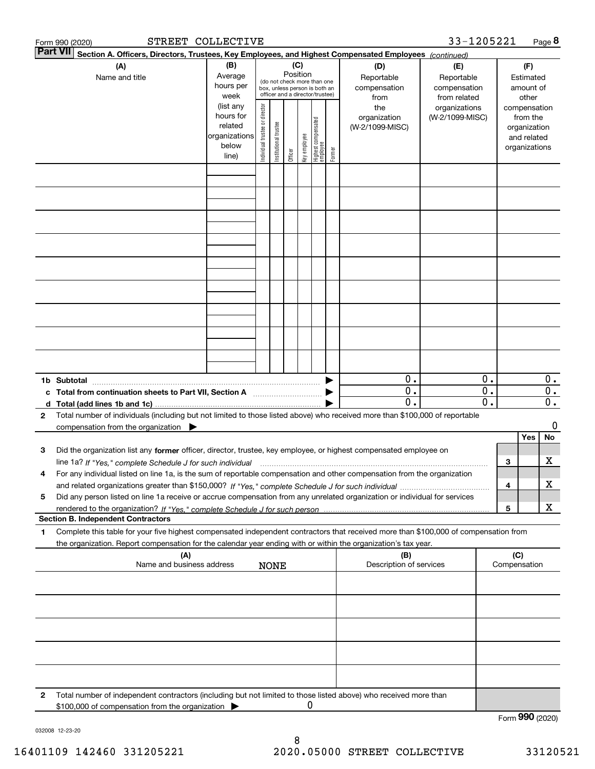|              | STREET COLLECTIVE<br>Form 990 (2020)                                                                                                                                    |                                                                      |                                                                                                                    |                       |         |              |                                 |        |                                           | 33-1205221                                        |                        |     |                                                                          | Page 8                 |
|--------------|-------------------------------------------------------------------------------------------------------------------------------------------------------------------------|----------------------------------------------------------------------|--------------------------------------------------------------------------------------------------------------------|-----------------------|---------|--------------|---------------------------------|--------|-------------------------------------------|---------------------------------------------------|------------------------|-----|--------------------------------------------------------------------------|------------------------|
|              | <b>Part VII</b><br>Section A. Officers, Directors, Trustees, Key Employees, and Highest Compensated Employees (continued)                                               |                                                                      |                                                                                                                    |                       |         |              |                                 |        |                                           |                                                   |                        |     |                                                                          |                        |
|              | (A)<br>Name and title                                                                                                                                                   | (B)<br>Average<br>hours per<br>week                                  | (C)<br>Position<br>(do not check more than one<br>box, unless person is both an<br>officer and a director/trustee) |                       |         |              |                                 |        | (D)<br>Reportable<br>compensation<br>from | (E)<br>Reportable<br>compensation<br>from related |                        |     | (F)<br>Estimated<br>amount of<br>other                                   |                        |
|              |                                                                                                                                                                         | (list any<br>hours for<br>related<br>organizations<br>below<br>line) | ndividual trustee or director                                                                                      | Institutional trustee | Officer | key employee | Highest compensated<br>employee | Former | the<br>organization<br>(W-2/1099-MISC)    | organizations<br>(W-2/1099-MISC)                  |                        |     | compensation<br>from the<br>organization<br>and related<br>organizations |                        |
|              |                                                                                                                                                                         |                                                                      |                                                                                                                    |                       |         |              |                                 |        |                                           |                                                   |                        |     |                                                                          |                        |
|              |                                                                                                                                                                         |                                                                      |                                                                                                                    |                       |         |              |                                 |        |                                           |                                                   |                        |     |                                                                          |                        |
|              |                                                                                                                                                                         |                                                                      |                                                                                                                    |                       |         |              |                                 |        |                                           |                                                   |                        |     |                                                                          |                        |
|              |                                                                                                                                                                         |                                                                      |                                                                                                                    |                       |         |              |                                 |        |                                           |                                                   |                        |     |                                                                          |                        |
|              |                                                                                                                                                                         |                                                                      |                                                                                                                    |                       |         |              |                                 |        |                                           |                                                   |                        |     |                                                                          |                        |
|              |                                                                                                                                                                         |                                                                      |                                                                                                                    |                       |         |              |                                 |        |                                           |                                                   |                        |     |                                                                          |                        |
|              | 1b Subtotal<br>c Total from continuation sheets to Part VII, Section A manufactured and response to Total from extension                                                |                                                                      |                                                                                                                    |                       |         |              |                                 |        | 0.<br>$\overline{0}$ .                    |                                                   | 0.<br>$\overline{0}$ . |     |                                                                          | 0.<br>$\overline{0}$ . |
| $\mathbf{2}$ | d Total (add lines 1b and 1c)<br>Total number of individuals (including but not limited to those listed above) who received more than \$100,000 of reportable           |                                                                      |                                                                                                                    |                       |         |              |                                 |        | $\mathbf 0$ .                             |                                                   | $\overline{0}$ .       |     |                                                                          | $\overline{0}$ .<br>0  |
|              | compensation from the organization $\blacktriangleright$                                                                                                                |                                                                      |                                                                                                                    |                       |         |              |                                 |        |                                           |                                                   |                        |     | <b>Yes</b>                                                               | No                     |
| 3            | Did the organization list any former officer, director, trustee, key employee, or highest compensated employee on                                                       |                                                                      |                                                                                                                    |                       |         |              |                                 |        |                                           |                                                   |                        | 3   |                                                                          | х                      |
| 4            | For any individual listed on line 1a, is the sum of reportable compensation and other compensation from the organization                                                |                                                                      |                                                                                                                    |                       |         |              |                                 |        |                                           |                                                   |                        | 4   |                                                                          | х                      |
| 5            | Did any person listed on line 1a receive or accrue compensation from any unrelated organization or individual for services<br><b>Section B. Independent Contractors</b> |                                                                      |                                                                                                                    |                       |         |              |                                 |        |                                           |                                                   |                        | 5   |                                                                          | X                      |
| 1            | Complete this table for your five highest compensated independent contractors that received more than \$100,000 of compensation from                                    |                                                                      |                                                                                                                    |                       |         |              |                                 |        |                                           |                                                   |                        |     |                                                                          |                        |
|              | the organization. Report compensation for the calendar year ending with or within the organization's tax year.<br>(A)<br>Name and business address                      |                                                                      |                                                                                                                    | <b>NONE</b>           |         |              |                                 |        | (B)<br>Description of services            |                                                   |                        | (C) | Compensation                                                             |                        |
|              |                                                                                                                                                                         |                                                                      |                                                                                                                    |                       |         |              |                                 |        |                                           |                                                   |                        |     |                                                                          |                        |
|              |                                                                                                                                                                         |                                                                      |                                                                                                                    |                       |         |              |                                 |        |                                           |                                                   |                        |     |                                                                          |                        |
|              |                                                                                                                                                                         |                                                                      |                                                                                                                    |                       |         |              |                                 |        |                                           |                                                   |                        |     |                                                                          |                        |
|              |                                                                                                                                                                         |                                                                      |                                                                                                                    |                       |         |              |                                 |        |                                           |                                                   |                        |     |                                                                          |                        |
| 2            | Total number of independent contractors (including but not limited to those listed above) who received more than<br>\$100,000 of compensation from the organization     |                                                                      |                                                                                                                    |                       |         | 0            |                                 |        |                                           |                                                   |                        |     | Form 990 (2020)                                                          |                        |

032008 12-23-20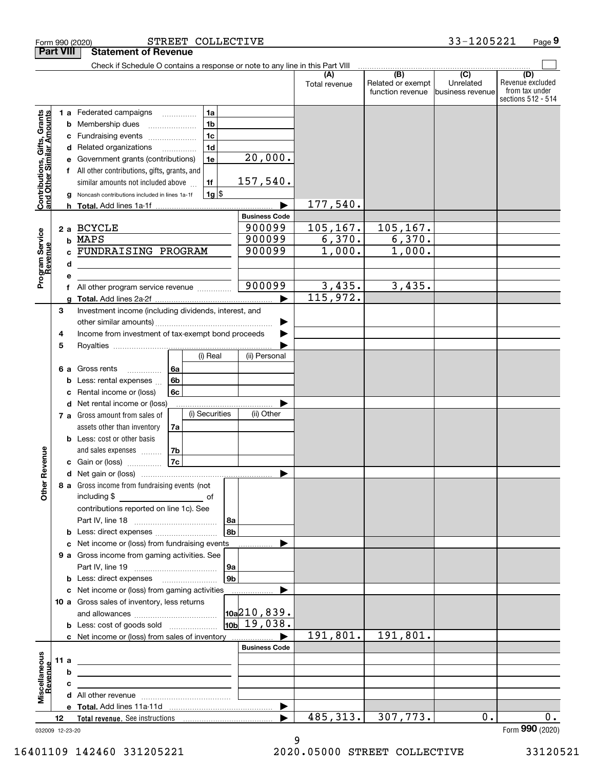|                                                           |    |      | Check if Schedule O contains a response or note to any line in this Part VIII |      |                |    |                         |               |                                              |                                      |                                                                 |
|-----------------------------------------------------------|----|------|-------------------------------------------------------------------------------|------|----------------|----|-------------------------|---------------|----------------------------------------------|--------------------------------------|-----------------------------------------------------------------|
|                                                           |    |      |                                                                               |      |                |    |                         | Total revenue | (B)<br>Related or exempt<br>function revenue | (C)<br>Unrelated<br>business revenue | (D)<br>Revenue excluded<br>from tax under<br>sections 512 - 514 |
|                                                           |    |      | 1 a Federated campaigns                                                       | .    | 1a             |    |                         |               |                                              |                                      |                                                                 |
| Contributions, Gifts, Grants<br>and Other Similar Amounts |    |      | <b>b</b> Membership dues                                                      |      | 1 <sub>b</sub> |    |                         |               |                                              |                                      |                                                                 |
|                                                           |    |      | Fundraising events                                                            |      | 1 <sub>c</sub> |    |                         |               |                                              |                                      |                                                                 |
|                                                           |    |      | d Related organizations                                                       |      | 1 <sub>d</sub> |    |                         |               |                                              |                                      |                                                                 |
|                                                           |    |      | e Government grants (contributions)                                           |      | 1e             |    | 20,000.                 |               |                                              |                                      |                                                                 |
|                                                           |    |      | All other contributions, gifts, grants, and                                   |      |                |    |                         |               |                                              |                                      |                                                                 |
|                                                           |    |      | similar amounts not included above                                            |      | 1f             |    | 157,540.                |               |                                              |                                      |                                                                 |
|                                                           |    |      | Noncash contributions included in lines 1a-1f                                 |      | $1g$ \$        |    |                         |               |                                              |                                      |                                                                 |
|                                                           |    |      |                                                                               |      |                |    |                         | 177,540.      |                                              |                                      |                                                                 |
|                                                           |    |      |                                                                               |      |                |    | <b>Business Code</b>    |               |                                              |                                      |                                                                 |
|                                                           |    |      | 2 a BCYCLE                                                                    |      |                |    | 900099                  | 105, 167.     | 105, 167.                                    |                                      |                                                                 |
|                                                           |    | b    | <b>MAPS</b>                                                                   |      |                |    | 900099                  | 6, 370.       | 6,370.                                       |                                      |                                                                 |
|                                                           |    |      | FUNDRAISING PROGRAM                                                           |      |                |    | 900099                  | 1,000.        | 1,000.                                       |                                      |                                                                 |
|                                                           |    |      |                                                                               |      |                |    |                         |               |                                              |                                      |                                                                 |
|                                                           |    | d    |                                                                               |      |                |    |                         |               |                                              |                                      |                                                                 |
| Program Service<br>Revenue                                |    | е    |                                                                               |      |                |    | 900099                  | 3,435.        | 3,435.                                       |                                      |                                                                 |
|                                                           |    |      | All other program service revenue                                             |      |                |    |                         | 115,972.      |                                              |                                      |                                                                 |
|                                                           |    |      |                                                                               |      |                |    |                         |               |                                              |                                      |                                                                 |
|                                                           | 3  |      | Investment income (including dividends, interest, and                         |      |                |    |                         |               |                                              |                                      |                                                                 |
|                                                           |    |      | other similar amounts)                                                        |      |                |    |                         |               |                                              |                                      |                                                                 |
|                                                           | 4  |      | Income from investment of tax-exempt bond proceeds                            |      |                |    |                         |               |                                              |                                      |                                                                 |
|                                                           | 5  |      |                                                                               |      |                |    |                         |               |                                              |                                      |                                                                 |
|                                                           |    |      |                                                                               |      | (i) Real       |    | (ii) Personal           |               |                                              |                                      |                                                                 |
|                                                           |    | 6а   | Gross rents<br>.                                                              | l 6a |                |    |                         |               |                                              |                                      |                                                                 |
|                                                           |    | b    | Less: rental expenses                                                         | 6b   |                |    |                         |               |                                              |                                      |                                                                 |
|                                                           |    |      | Rental income or (loss)                                                       | 6c   |                |    |                         |               |                                              |                                      |                                                                 |
|                                                           |    |      | d Net rental income or (loss)                                                 |      |                |    |                         |               |                                              |                                      |                                                                 |
|                                                           |    |      | 7 a Gross amount from sales of                                                |      | (i) Securities |    | (ii) Other              |               |                                              |                                      |                                                                 |
|                                                           |    |      | assets other than inventory                                                   | 7a   |                |    |                         |               |                                              |                                      |                                                                 |
|                                                           |    |      | <b>b</b> Less: cost or other basis                                            |      |                |    |                         |               |                                              |                                      |                                                                 |
|                                                           |    |      | and sales expenses                                                            | 7b   |                |    |                         |               |                                              |                                      |                                                                 |
| ther Revenue                                              |    |      | c Gain or (loss)                                                              | 7c   |                |    |                         |               |                                              |                                      |                                                                 |
|                                                           |    |      |                                                                               |      |                |    |                         |               |                                              |                                      |                                                                 |
|                                                           |    |      | 8 a Gross income from fundraising events (not                                 |      |                |    |                         |               |                                              |                                      |                                                                 |
| O                                                         |    |      | including \$<br><u> 1980 - Johann Barbara, martx</u>                          |      |                |    |                         |               |                                              |                                      |                                                                 |
|                                                           |    |      | contributions reported on line 1c). See                                       |      |                |    |                         |               |                                              |                                      |                                                                 |
|                                                           |    |      |                                                                               |      |                | 8a |                         |               |                                              |                                      |                                                                 |
|                                                           |    |      | <b>b</b> Less: direct expenses <i></i>                                        |      |                | 8b |                         |               |                                              |                                      |                                                                 |
|                                                           |    |      | c Net income or (loss) from fundraising events                                |      |                |    | .                       |               |                                              |                                      |                                                                 |
|                                                           |    |      | 9 a Gross income from gaming activities. See                                  |      |                |    |                         |               |                                              |                                      |                                                                 |
|                                                           |    |      |                                                                               |      |                | 9a |                         |               |                                              |                                      |                                                                 |
|                                                           |    |      | <b>b</b> Less: direct expenses <b>manually</b>                                |      |                | 9b |                         |               |                                              |                                      |                                                                 |
|                                                           |    |      | c Net income or (loss) from gaming activities                                 |      |                |    | .                       |               |                                              |                                      |                                                                 |
|                                                           |    |      | 10 a Gross sales of inventory, less returns                                   |      |                |    |                         |               |                                              |                                      |                                                                 |
|                                                           |    |      |                                                                               |      |                |    | $\vert$ 10a $210,839$ . |               |                                              |                                      |                                                                 |
|                                                           |    |      | <b>b</b> Less: cost of goods sold                                             |      |                |    | $10b$ 19,038.           |               |                                              |                                      |                                                                 |
|                                                           |    |      |                                                                               |      |                |    |                         | 191,801.      | 191,801.                                     |                                      |                                                                 |
|                                                           |    |      |                                                                               |      |                |    | <b>Business Code</b>    |               |                                              |                                      |                                                                 |
|                                                           |    |      |                                                                               |      |                |    |                         |               |                                              |                                      |                                                                 |
|                                                           |    | 11 a | <u> 1989 - Johann Stoff, fransk politik (d. 1989)</u>                         |      |                |    |                         |               |                                              |                                      |                                                                 |
|                                                           |    | b    | <u> 1989 - Andrea Andrew Maria (b. 1989)</u>                                  |      |                |    |                         |               |                                              |                                      |                                                                 |
|                                                           |    | с    | the control of the control of the control of the control of the control of    |      |                |    |                         |               |                                              |                                      |                                                                 |
| Miscellaneous<br>Revenue                                  |    |      |                                                                               |      |                |    |                         |               |                                              |                                      |                                                                 |
|                                                           |    |      |                                                                               |      |                |    | ▶                       |               |                                              |                                      |                                                                 |
|                                                           | 12 |      |                                                                               |      |                |    |                         | 485, 313.     | 307,773.                                     | $0$ .                                | $0$ .                                                           |
| 032009 12-23-20                                           |    |      |                                                                               |      |                |    |                         |               |                                              |                                      | Form 990 (2020)                                                 |

032009 12-23-20

16401109 142460 331205221 2020.05000 STREET COLLECTIVE 33120521

9

Form 990 (2020) S'I'REE'I'(COLLEC'I'LVE) 3 3-I 2 0 5 2 2 1 Page STREET COLLECTIVE

**Part VIII Statement of Revenue**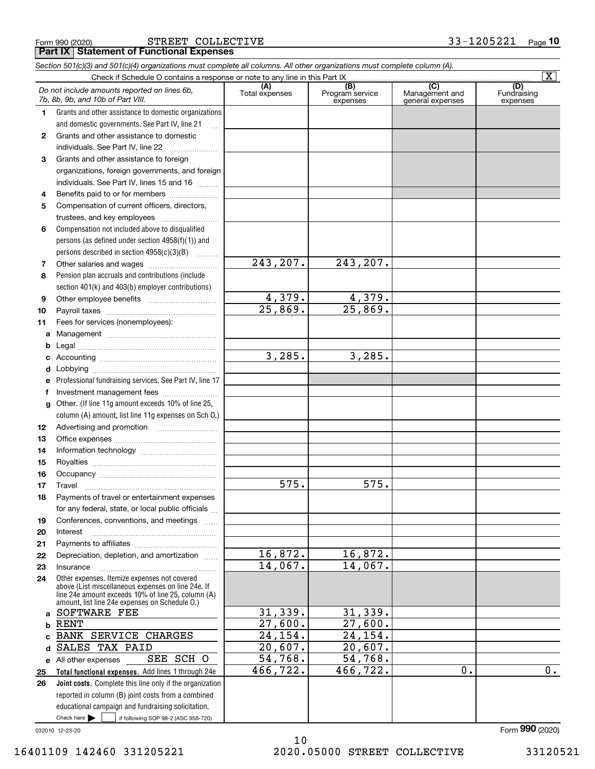Form 990 (2020) Page **Part IX Statement of Functional Expenses** STREET COLLECTIVE 33-1205221

*Section 501(c)(3) and 501(c)(4) organizations must complete all columns. All other organizations must complete column (A).*

|    |                                                                                                                                                          |                        |                                                 |                                                      | $\overline{\mathbf{X}}$        |
|----|----------------------------------------------------------------------------------------------------------------------------------------------------------|------------------------|-------------------------------------------------|------------------------------------------------------|--------------------------------|
|    | Do not include amounts reported on lines 6b,<br>7b, 8b, 9b, and 10b of Part VIII.                                                                        | (A)<br>Total expenses  | $\overline{(B)}$<br>Program service<br>expenses | $\overline{C}$<br>Management and<br>general expenses | (D)<br>Fundraising<br>expenses |
| 1  | Grants and other assistance to domestic organizations                                                                                                    |                        |                                                 |                                                      |                                |
|    | and domestic governments. See Part IV, line 21                                                                                                           |                        |                                                 |                                                      |                                |
| 2  | Grants and other assistance to domestic                                                                                                                  |                        |                                                 |                                                      |                                |
|    | individuals. See Part IV, line 22                                                                                                                        |                        |                                                 |                                                      |                                |
| З. | Grants and other assistance to foreign                                                                                                                   |                        |                                                 |                                                      |                                |
|    | organizations, foreign governments, and foreign                                                                                                          |                        |                                                 |                                                      |                                |
|    | individuals. See Part IV, lines 15 and 16                                                                                                                |                        |                                                 |                                                      |                                |
| 4  | Benefits paid to or for members                                                                                                                          |                        |                                                 |                                                      |                                |
| 5  | Compensation of current officers, directors,                                                                                                             |                        |                                                 |                                                      |                                |
|    |                                                                                                                                                          |                        |                                                 |                                                      |                                |
| 6  | Compensation not included above to disqualified                                                                                                          |                        |                                                 |                                                      |                                |
|    | persons (as defined under section $4958(f)(1)$ ) and                                                                                                     |                        |                                                 |                                                      |                                |
|    | persons described in section $4958(c)(3)(B)$                                                                                                             |                        |                                                 |                                                      |                                |
| 7  |                                                                                                                                                          | $\overline{243,207}$ . | 243, 207.                                       |                                                      |                                |
| 8  | Pension plan accruals and contributions (include                                                                                                         |                        |                                                 |                                                      |                                |
|    | section 401(k) and 403(b) employer contributions)                                                                                                        |                        |                                                 |                                                      |                                |
| 9  |                                                                                                                                                          | 4,379.                 | 4,379.                                          |                                                      |                                |
| 10 |                                                                                                                                                          | 25,869.                | $\overline{25,869}$ .                           |                                                      |                                |
| 11 | Fees for services (nonemployees):                                                                                                                        |                        |                                                 |                                                      |                                |
| a  |                                                                                                                                                          |                        |                                                 |                                                      |                                |
| b  |                                                                                                                                                          |                        |                                                 |                                                      |                                |
| с  |                                                                                                                                                          | 3,285.                 | 3,285.                                          |                                                      |                                |
| d  |                                                                                                                                                          |                        |                                                 |                                                      |                                |
| е  | Professional fundraising services. See Part IV, line 17                                                                                                  |                        |                                                 |                                                      |                                |
| f  | Investment management fees                                                                                                                               |                        |                                                 |                                                      |                                |
| g  | Other. (If line 11g amount exceeds 10% of line 25,                                                                                                       |                        |                                                 |                                                      |                                |
|    | column (A) amount, list line 11g expenses on Sch 0.)                                                                                                     |                        |                                                 |                                                      |                                |
| 12 |                                                                                                                                                          |                        |                                                 |                                                      |                                |
| 13 |                                                                                                                                                          |                        |                                                 |                                                      |                                |
| 14 |                                                                                                                                                          |                        |                                                 |                                                      |                                |
| 15 |                                                                                                                                                          |                        |                                                 |                                                      |                                |
| 16 |                                                                                                                                                          |                        |                                                 |                                                      |                                |
| 17 | Travel                                                                                                                                                   | 575.                   | 575.                                            |                                                      |                                |
| 18 | Payments of travel or entertainment expenses                                                                                                             |                        |                                                 |                                                      |                                |
|    | for any federal, state, or local public officials                                                                                                        |                        |                                                 |                                                      |                                |
| 19 | Conferences, conventions, and meetings                                                                                                                   |                        |                                                 |                                                      |                                |
| 20 | Interest                                                                                                                                                 |                        |                                                 |                                                      |                                |
| 21 |                                                                                                                                                          |                        |                                                 |                                                      |                                |
| 22 | Depreciation, depletion, and amortization                                                                                                                | 16,872.                | 16,872.                                         |                                                      |                                |
| 23 | Insurance                                                                                                                                                | 14,067.                | 14,067.                                         |                                                      |                                |
| 24 | Other expenses. Itemize expenses not covered<br>above (List miscellaneous expenses on line 24e. If<br>line 24e amount exceeds 10% of line 25, column (A) |                        |                                                 |                                                      |                                |
|    | amount, list line 24e expenses on Schedule 0.)                                                                                                           |                        |                                                 |                                                      |                                |
| a  | <b>SOFTWARE FEE</b>                                                                                                                                      | 31,339.                | 31,339.                                         |                                                      |                                |
| b  | <b>RENT</b>                                                                                                                                              | 27,600.                | 27,600.                                         |                                                      |                                |
| C. | <b>BANK SERVICE CHARGES</b>                                                                                                                              | 24, 154.               | 24, 154.                                        |                                                      |                                |
| d  | SALES TAX PAID                                                                                                                                           | 20,607.                | 20,607.                                         |                                                      |                                |
|    | SEE SCH O<br>e All other expenses                                                                                                                        | 54,768.<br>466, 722.   | 54,768.<br>$\overline{466, 722.}$               | 0.                                                   | 0.                             |
| 25 | Total functional expenses. Add lines 1 through 24e                                                                                                       |                        |                                                 |                                                      |                                |
| 26 | Joint costs. Complete this line only if the organization                                                                                                 |                        |                                                 |                                                      |                                |
|    | reported in column (B) joint costs from a combined                                                                                                       |                        |                                                 |                                                      |                                |
|    | educational campaign and fundraising solicitation.<br>Check here $\blacktriangleright$                                                                   |                        |                                                 |                                                      |                                |
|    | if following SOP 98-2 (ASC 958-720)                                                                                                                      |                        |                                                 |                                                      |                                |

032010 12-23-20

Form (2020) **990**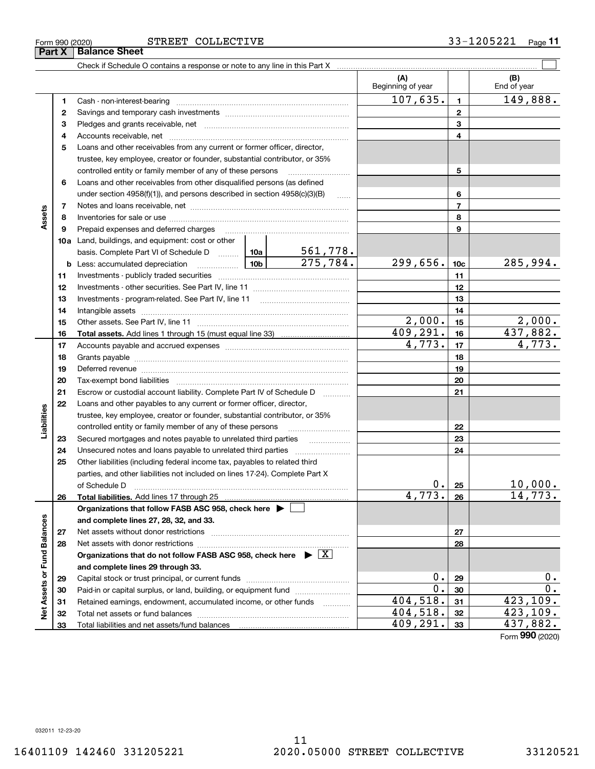# Form 990 (2020) Page STREET COLLECTIVE 33-1205221 **Part X Balance Sheet**

Check if Schedule O contains a response or note to any line in this Part X

|                             |              |                                                                                              |                                                                  |                       | (A)<br>Beginning of year |                 | (B)<br>End of year |
|-----------------------------|--------------|----------------------------------------------------------------------------------------------|------------------------------------------------------------------|-----------------------|--------------------------|-----------------|--------------------|
|                             | 1            | Cash - non-interest-bearing                                                                  |                                                                  |                       | 107,635.                 | 1               | 149,888.           |
|                             | $\mathbf{2}$ |                                                                                              |                                                                  |                       |                          | $\mathbf{2}$    |                    |
|                             | 3            |                                                                                              |                                                                  |                       |                          | 3               |                    |
|                             | 4            |                                                                                              |                                                                  |                       | 4                        |                 |                    |
|                             | 5            | Loans and other receivables from any current or former officer, director,                    |                                                                  |                       |                          |                 |                    |
|                             |              | trustee, key employee, creator or founder, substantial contributor, or 35%                   |                                                                  |                       |                          |                 |                    |
|                             |              | controlled entity or family member of any of these persons                                   |                                                                  | 5                     |                          |                 |                    |
|                             | 6            | Loans and other receivables from other disqualified persons (as defined                      |                                                                  |                       |                          |                 |                    |
|                             |              | under section 4958(f)(1)), and persons described in section 4958(c)(3)(B)                    |                                                                  | $\ldots$              |                          | 6               |                    |
|                             | 7            |                                                                                              |                                                                  |                       |                          | 7               |                    |
| Assets                      | 8            |                                                                                              |                                                                  |                       |                          | 8               |                    |
|                             | 9            | Prepaid expenses and deferred charges                                                        |                                                                  |                       |                          | 9               |                    |
|                             | 10a          | Land, buildings, and equipment: cost or other                                                |                                                                  |                       |                          |                 |                    |
|                             |              | basis. Complete Part VI of Schedule D    10a   561, 778.                                     |                                                                  |                       |                          |                 |                    |
|                             |              | <u>  10b</u><br><b>b</b> Less: accumulated depreciation                                      |                                                                  | $\overline{275,784.}$ | 299,656.                 | 10 <sub>c</sub> | 285,994.           |
|                             | 11           |                                                                                              |                                                                  |                       |                          | 11              |                    |
|                             | 12           |                                                                                              |                                                                  |                       | 12                       |                 |                    |
|                             | 13           |                                                                                              |                                                                  | 13                    |                          |                 |                    |
|                             | 14           |                                                                                              |                                                                  | 14                    |                          |                 |                    |
|                             | 15           |                                                                                              |                                                                  |                       | 2,000.                   | 15              | 2,000.             |
|                             | 16           |                                                                                              |                                                                  |                       | 409, 291.                | 16              | 437,882.           |
|                             | 17           |                                                                                              |                                                                  |                       | 4,773.                   | 17              | 4,773.             |
|                             | 18           |                                                                                              |                                                                  |                       | 18                       |                 |                    |
|                             | 19           |                                                                                              |                                                                  | 19                    |                          |                 |                    |
|                             | 20           |                                                                                              |                                                                  |                       | 20                       |                 |                    |
|                             | 21           | Escrow or custodial account liability. Complete Part IV of Schedule D                        |                                                                  | 1.1.1.1.1.1.1.1.1.1   |                          | 21              |                    |
|                             | 22           | Loans and other payables to any current or former officer, director,                         |                                                                  |                       |                          |                 |                    |
| Liabilities                 |              | trustee, key employee, creator or founder, substantial contributor, or 35%                   |                                                                  |                       |                          |                 |                    |
|                             |              | controlled entity or family member of any of these persons                                   |                                                                  |                       |                          | 22              |                    |
|                             | 23           | Secured mortgages and notes payable to unrelated third parties                               |                                                                  |                       |                          | 23              |                    |
|                             | 24           |                                                                                              |                                                                  |                       |                          | 24              |                    |
|                             | 25           | Other liabilities (including federal income tax, payables to related third                   |                                                                  |                       |                          |                 |                    |
|                             |              | parties, and other liabilities not included on lines 17-24). Complete Part X                 |                                                                  |                       |                          |                 |                    |
|                             |              | of Schedule D                                                                                |                                                                  |                       | $0$ .                    | 25              | 10,000.            |
|                             | 26           |                                                                                              |                                                                  |                       | 4,773.                   | 26              | 14,773.            |
|                             |              | Organizations that follow FASB ASC 958, check here $\blacktriangleright$                     |                                                                  |                       |                          |                 |                    |
|                             |              | and complete lines 27, 28, 32, and 33.                                                       |                                                                  |                       |                          |                 |                    |
|                             | 27           | Net assets without donor restrictions                                                        |                                                                  |                       |                          | 27              |                    |
|                             | 28           | Net assets with donor restrictions                                                           |                                                                  |                       |                          | 28              |                    |
|                             |              | Organizations that do not follow FASB ASC 958, check here $\triangleright \lfloor X \rfloor$ |                                                                  |                       |                          |                 |                    |
|                             |              | and complete lines 29 through 33.                                                            |                                                                  |                       |                          |                 |                    |
| Net Assets or Fund Balances | 29           |                                                                                              |                                                                  | 0.<br>Ο.              | 29                       | 0.<br>0.        |                    |
|                             | 30           |                                                                                              | Paid-in or capital surplus, or land, building, or equipment fund |                       |                          |                 |                    |
|                             | 31           | Retained earnings, endowment, accumulated income, or other funds                             |                                                                  | 1.1.1.1.1.1.1.1.1     | 404,518.                 | 31              | 423, 109.          |
|                             | 32           |                                                                                              |                                                                  |                       | 404,518.                 | 32              | 423,109.           |
|                             | 33           | Total liabilities and net assets/fund balances                                               |                                                                  |                       | 409,291.                 | 33              | 437,882.           |

 $\mathcal{L}^{\text{max}}$ 

Form (2020) **990**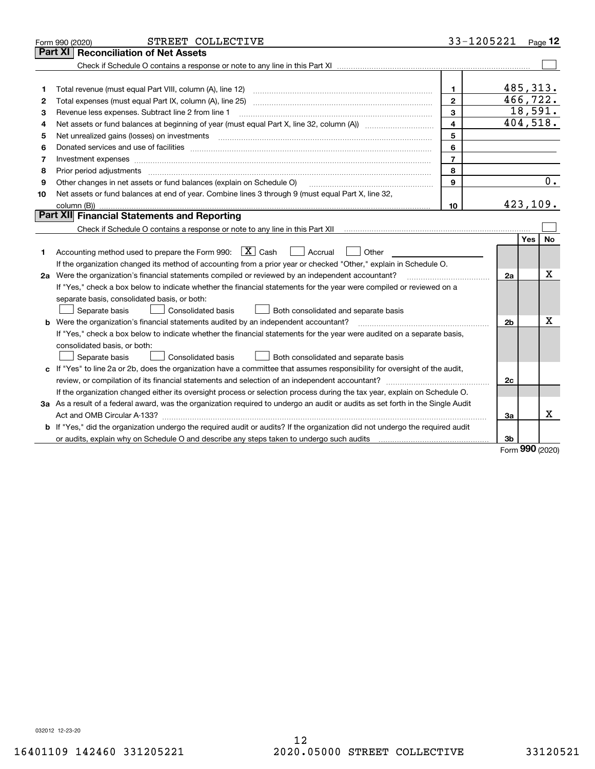|    | STREET COLLECTIVE<br>Form 990 (2020)                                                                                                                                                                                                | 33-1205221     |            | $_{\text{Page}}$ 12 |
|----|-------------------------------------------------------------------------------------------------------------------------------------------------------------------------------------------------------------------------------------|----------------|------------|---------------------|
|    | <b>Reconciliation of Net Assets</b><br>Part XI                                                                                                                                                                                      |                |            |                     |
|    |                                                                                                                                                                                                                                     |                |            |                     |
|    |                                                                                                                                                                                                                                     |                |            |                     |
| 1  | Total revenue (must equal Part VIII, column (A), line 12)<br>1                                                                                                                                                                      |                | 485,313.   |                     |
| 2  | $\mathbf{2}$<br>Total expenses (must equal Part IX, column (A), line 25)                                                                                                                                                            |                | 466,722.   |                     |
| 3  | 3<br>Revenue less expenses. Subtract line 2 from line 1                                                                                                                                                                             |                | 18,591.    |                     |
| 4  | $\overline{\mathbf{4}}$                                                                                                                                                                                                             |                | 404,518.   |                     |
| 5  | 5                                                                                                                                                                                                                                   |                |            |                     |
| 6  | 6<br>Donated services and use of facilities [111] Donated and the service of facilities [11] Donated services and use of facilities [11] Donated and the service of the service of the service of the service of the service of the |                |            |                     |
| 7  | $\overline{7}$                                                                                                                                                                                                                      |                |            |                     |
| 8  | 8<br>Prior period adjustments                                                                                                                                                                                                       |                |            |                     |
| 9  | 9<br>Other changes in net assets or fund balances (explain on Schedule O)                                                                                                                                                           |                |            | 0.                  |
| 10 | Net assets or fund balances at end of year. Combine lines 3 through 9 (must equal Part X, line 32,                                                                                                                                  |                |            |                     |
|    | 10<br>column (B))                                                                                                                                                                                                                   |                | 423, 109.  |                     |
|    | Part XII Financial Statements and Reporting                                                                                                                                                                                         |                |            |                     |
|    |                                                                                                                                                                                                                                     |                |            |                     |
|    |                                                                                                                                                                                                                                     |                | Yes        | No                  |
| 1  | Accounting method used to prepare the Form 990: $\boxed{X}$ Cash<br>  Accrual<br>Other                                                                                                                                              |                |            |                     |
|    | If the organization changed its method of accounting from a prior year or checked "Other," explain in Schedule O.                                                                                                                   |                |            |                     |
|    | 2a Were the organization's financial statements compiled or reviewed by an independent accountant?                                                                                                                                  | 2a             |            | x                   |
|    | If "Yes," check a box below to indicate whether the financial statements for the year were compiled or reviewed on a                                                                                                                |                |            |                     |
|    | separate basis, consolidated basis, or both:                                                                                                                                                                                        |                |            |                     |
|    | Both consolidated and separate basis<br>Separate basis<br><b>Consolidated basis</b>                                                                                                                                                 |                |            |                     |
|    | <b>b</b> Were the organization's financial statements audited by an independent accountant?                                                                                                                                         | 2 <sub>b</sub> |            | X                   |
|    | If "Yes," check a box below to indicate whether the financial statements for the year were audited on a separate basis,                                                                                                             |                |            |                     |
|    | consolidated basis, or both:                                                                                                                                                                                                        |                |            |                     |
|    | <b>Consolidated basis</b><br>Both consolidated and separate basis<br>Separate basis                                                                                                                                                 |                |            |                     |
|    | c If "Yes" to line 2a or 2b, does the organization have a committee that assumes responsibility for oversight of the audit,                                                                                                         |                |            |                     |
|    |                                                                                                                                                                                                                                     | 2c             |            |                     |
|    | If the organization changed either its oversight process or selection process during the tax year, explain on Schedule O.                                                                                                           |                |            |                     |
|    | 3a As a result of a federal award, was the organization required to undergo an audit or audits as set forth in the Single Audit                                                                                                     |                |            |                     |
|    |                                                                                                                                                                                                                                     | За             |            | х                   |
|    | b If "Yes," did the organization undergo the required audit or audits? If the organization did not undergo the required audit                                                                                                       |                |            |                     |
|    | or audits, explain why on Schedule O and describe any steps taken to undergo such audits [11] contains the school of audits [11] or audits [11] or audits [11] or audits [11] or audits [11] or audits [11] or audits [11] or       | 3b             | <u>nnn</u> |                     |

Form (2020) **990**

032012 12-23-20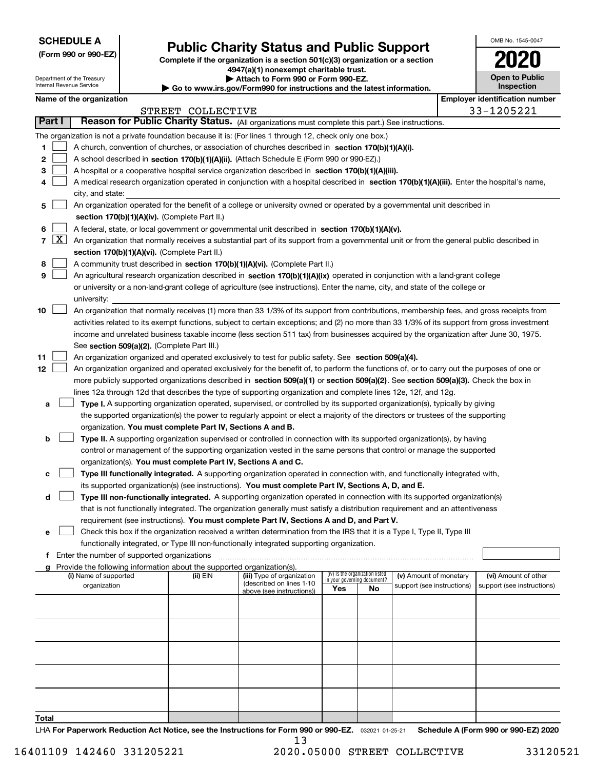| <b>SCHEDULE A</b> |
|-------------------|
|-------------------|

Department of the Treasury Internal Revenue Service

| (Form 990 or 990-EZ) |  |  |  |  |
|----------------------|--|--|--|--|
|----------------------|--|--|--|--|

# **Public Charity Status and Public Support**

**Complete if the organization is a section 501(c)(3) organization or a section 4947(a)(1) nonexempt charitable trust.**

| Attach to Form 990 or Form 990-EZ.                                      |
|-------------------------------------------------------------------------|
| ► Go to www.irs.gov/Form990 for instructions and the latest information |

| <b>Open to Public</b><br>Inspection |
|-------------------------------------|
|                                     |

OMB No. 1545-0047

|       |                                                                                                                                            | Name of the organization                                                                                                                     |                   |                            |                                    |                                 |                            |  | <b>Employer identification number</b> |  |
|-------|--------------------------------------------------------------------------------------------------------------------------------------------|----------------------------------------------------------------------------------------------------------------------------------------------|-------------------|----------------------------|------------------------------------|---------------------------------|----------------------------|--|---------------------------------------|--|
|       |                                                                                                                                            |                                                                                                                                              | STREET COLLECTIVE |                            |                                    |                                 |                            |  | 33-1205221                            |  |
|       | Part I                                                                                                                                     | Reason for Public Charity Status. (All organizations must complete this part.) See instructions.                                             |                   |                            |                                    |                                 |                            |  |                                       |  |
|       |                                                                                                                                            | The organization is not a private foundation because it is: (For lines 1 through 12, check only one box.)                                    |                   |                            |                                    |                                 |                            |  |                                       |  |
| 1.    |                                                                                                                                            | A church, convention of churches, or association of churches described in section 170(b)(1)(A)(i).                                           |                   |                            |                                    |                                 |                            |  |                                       |  |
| 2     |                                                                                                                                            | A school described in section 170(b)(1)(A)(ii). (Attach Schedule E (Form 990 or 990-EZ).)                                                    |                   |                            |                                    |                                 |                            |  |                                       |  |
| з     |                                                                                                                                            | A hospital or a cooperative hospital service organization described in section 170(b)(1)(A)(iii).                                            |                   |                            |                                    |                                 |                            |  |                                       |  |
| 4     | A medical research organization operated in conjunction with a hospital described in section 170(b)(1)(A)(iii). Enter the hospital's name, |                                                                                                                                              |                   |                            |                                    |                                 |                            |  |                                       |  |
|       |                                                                                                                                            | city, and state:                                                                                                                             |                   |                            |                                    |                                 |                            |  |                                       |  |
| 5     | An organization operated for the benefit of a college or university owned or operated by a governmental unit described in                  |                                                                                                                                              |                   |                            |                                    |                                 |                            |  |                                       |  |
|       | section 170(b)(1)(A)(iv). (Complete Part II.)                                                                                              |                                                                                                                                              |                   |                            |                                    |                                 |                            |  |                                       |  |
| 6.    |                                                                                                                                            | A federal, state, or local government or governmental unit described in section 170(b)(1)(A)(v).                                             |                   |                            |                                    |                                 |                            |  |                                       |  |
|       | $7 \vert X \vert$                                                                                                                          | An organization that normally receives a substantial part of its support from a governmental unit or from the general public described in    |                   |                            |                                    |                                 |                            |  |                                       |  |
|       |                                                                                                                                            | section 170(b)(1)(A)(vi). (Complete Part II.)                                                                                                |                   |                            |                                    |                                 |                            |  |                                       |  |
| 8     |                                                                                                                                            | A community trust described in section 170(b)(1)(A)(vi). (Complete Part II.)                                                                 |                   |                            |                                    |                                 |                            |  |                                       |  |
| 9     |                                                                                                                                            | An agricultural research organization described in section 170(b)(1)(A)(ix) operated in conjunction with a land-grant college                |                   |                            |                                    |                                 |                            |  |                                       |  |
|       |                                                                                                                                            | or university or a non-land-grant college of agriculture (see instructions). Enter the name, city, and state of the college or               |                   |                            |                                    |                                 |                            |  |                                       |  |
|       |                                                                                                                                            | university:                                                                                                                                  |                   |                            |                                    |                                 |                            |  |                                       |  |
| 10    |                                                                                                                                            | An organization that normally receives (1) more than 33 1/3% of its support from contributions, membership fees, and gross receipts from     |                   |                            |                                    |                                 |                            |  |                                       |  |
|       |                                                                                                                                            | activities related to its exempt functions, subject to certain exceptions; and (2) no more than 33 1/3% of its support from gross investment |                   |                            |                                    |                                 |                            |  |                                       |  |
|       |                                                                                                                                            | income and unrelated business taxable income (less section 511 tax) from businesses acquired by the organization after June 30, 1975.        |                   |                            |                                    |                                 |                            |  |                                       |  |
|       |                                                                                                                                            | See section 509(a)(2). (Complete Part III.)                                                                                                  |                   |                            |                                    |                                 |                            |  |                                       |  |
| 11    |                                                                                                                                            | An organization organized and operated exclusively to test for public safety. See section 509(a)(4).                                         |                   |                            |                                    |                                 |                            |  |                                       |  |
| 12    |                                                                                                                                            | An organization organized and operated exclusively for the benefit of, to perform the functions of, or to carry out the purposes of one or   |                   |                            |                                    |                                 |                            |  |                                       |  |
|       |                                                                                                                                            | more publicly supported organizations described in section 509(a)(1) or section 509(a)(2). See section 509(a)(3). Check the box in           |                   |                            |                                    |                                 |                            |  |                                       |  |
|       |                                                                                                                                            | lines 12a through 12d that describes the type of supporting organization and complete lines 12e, 12f, and 12g.                               |                   |                            |                                    |                                 |                            |  |                                       |  |
| а     |                                                                                                                                            | Type I. A supporting organization operated, supervised, or controlled by its supported organization(s), typically by giving                  |                   |                            |                                    |                                 |                            |  |                                       |  |
|       |                                                                                                                                            | the supported organization(s) the power to regularly appoint or elect a majority of the directors or trustees of the supporting              |                   |                            |                                    |                                 |                            |  |                                       |  |
|       |                                                                                                                                            | organization. You must complete Part IV, Sections A and B.                                                                                   |                   |                            |                                    |                                 |                            |  |                                       |  |
| b     |                                                                                                                                            | Type II. A supporting organization supervised or controlled in connection with its supported organization(s), by having                      |                   |                            |                                    |                                 |                            |  |                                       |  |
|       |                                                                                                                                            | control or management of the supporting organization vested in the same persons that control or manage the supported                         |                   |                            |                                    |                                 |                            |  |                                       |  |
|       |                                                                                                                                            | organization(s). You must complete Part IV, Sections A and C.                                                                                |                   |                            |                                    |                                 |                            |  |                                       |  |
| с     |                                                                                                                                            | Type III functionally integrated. A supporting organization operated in connection with, and functionally integrated with,                   |                   |                            |                                    |                                 |                            |  |                                       |  |
|       |                                                                                                                                            | its supported organization(s) (see instructions). You must complete Part IV, Sections A, D, and E.                                           |                   |                            |                                    |                                 |                            |  |                                       |  |
| d     |                                                                                                                                            | Type III non-functionally integrated. A supporting organization operated in connection with its supported organization(s)                    |                   |                            |                                    |                                 |                            |  |                                       |  |
|       |                                                                                                                                            | that is not functionally integrated. The organization generally must satisfy a distribution requirement and an attentiveness                 |                   |                            |                                    |                                 |                            |  |                                       |  |
|       |                                                                                                                                            | requirement (see instructions). You must complete Part IV, Sections A and D, and Part V.                                                     |                   |                            |                                    |                                 |                            |  |                                       |  |
|       |                                                                                                                                            | Check this box if the organization received a written determination from the IRS that it is a Type I, Type II, Type III                      |                   |                            |                                    |                                 |                            |  |                                       |  |
|       |                                                                                                                                            | functionally integrated, or Type III non-functionally integrated supporting organization.                                                    |                   |                            |                                    |                                 |                            |  |                                       |  |
|       |                                                                                                                                            | f Enter the number of supported organizations                                                                                                |                   |                            |                                    |                                 |                            |  |                                       |  |
|       |                                                                                                                                            | Provide the following information about the supported organization(s).                                                                       |                   |                            |                                    |                                 |                            |  |                                       |  |
|       |                                                                                                                                            | (i) Name of supported                                                                                                                        | (ii) EIN          | (iii) Type of organization |                                    | (iv) Is the organization listed | (v) Amount of monetary     |  | (vi) Amount of other                  |  |
|       |                                                                                                                                            | organization                                                                                                                                 |                   | (described on lines 1-10   | in your governing document?<br>Yes | No                              | support (see instructions) |  | support (see instructions)            |  |
|       |                                                                                                                                            |                                                                                                                                              |                   | above (see instructions))  |                                    |                                 |                            |  |                                       |  |
|       |                                                                                                                                            |                                                                                                                                              |                   |                            |                                    |                                 |                            |  |                                       |  |
|       |                                                                                                                                            |                                                                                                                                              |                   |                            |                                    |                                 |                            |  |                                       |  |
|       |                                                                                                                                            |                                                                                                                                              |                   |                            |                                    |                                 |                            |  |                                       |  |
|       |                                                                                                                                            |                                                                                                                                              |                   |                            |                                    |                                 |                            |  |                                       |  |
|       |                                                                                                                                            |                                                                                                                                              |                   |                            |                                    |                                 |                            |  |                                       |  |
|       |                                                                                                                                            |                                                                                                                                              |                   |                            |                                    |                                 |                            |  |                                       |  |
|       |                                                                                                                                            |                                                                                                                                              |                   |                            |                                    |                                 |                            |  |                                       |  |
|       |                                                                                                                                            |                                                                                                                                              |                   |                            |                                    |                                 |                            |  |                                       |  |
|       |                                                                                                                                            |                                                                                                                                              |                   |                            |                                    |                                 |                            |  |                                       |  |
|       |                                                                                                                                            |                                                                                                                                              |                   |                            |                                    |                                 |                            |  |                                       |  |
| Total |                                                                                                                                            |                                                                                                                                              |                   |                            |                                    |                                 |                            |  |                                       |  |

LHA For Paperwork Reduction Act Notice, see the Instructions for Form 990 or 990-EZ. <sub>032021</sub> o1-25-21 Schedule A (Form 990 or 990-EZ) 2020 13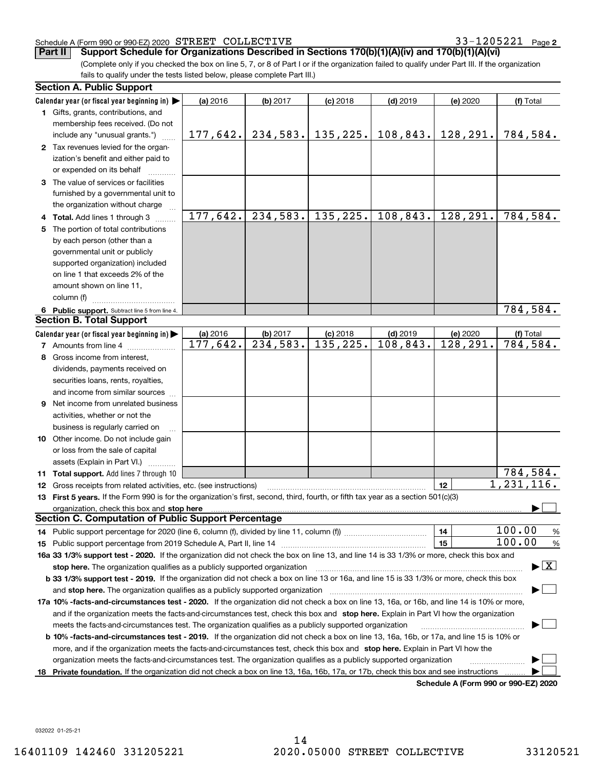### Schedule A (Form 990 or 990-EZ) 2020 Page STREET COLLECTIVE 33-1205221

33-1205221 Page 2

**Part II Support Schedule for Organizations Described in Sections 170(b)(1)(A)(iv) and 170(b)(1)(A)(vi)**

(Complete only if you checked the box on line 5, 7, or 8 of Part I or if the organization failed to qualify under Part III. If the organization fails to qualify under the tests listed below, please complete Part III.)

|    | <b>Section A. Public Support</b>                                                                                                               |                      |                                    |                        |                         |                                             |                                          |
|----|------------------------------------------------------------------------------------------------------------------------------------------------|----------------------|------------------------------------|------------------------|-------------------------|---------------------------------------------|------------------------------------------|
|    | Calendar year (or fiscal year beginning in) $\blacktriangleright$                                                                              | (a) 2016             | (b) 2017                           | $(c)$ 2018             | $(d)$ 2019              | (e) 2020                                    | (f) Total                                |
|    | <b>1</b> Gifts, grants, contributions, and                                                                                                     |                      |                                    |                        |                         |                                             |                                          |
|    | membership fees received. (Do not                                                                                                              |                      |                                    |                        |                         |                                             |                                          |
|    | include any "unusual grants.")                                                                                                                 | 177,642.             | 234,583.                           | 135, 225.              | 108, 843.               | 128,291.                                    | 784,584.                                 |
|    | 2 Tax revenues levied for the organ-                                                                                                           |                      |                                    |                        |                         |                                             |                                          |
|    | ization's benefit and either paid to                                                                                                           |                      |                                    |                        |                         |                                             |                                          |
|    | or expended on its behalf                                                                                                                      |                      |                                    |                        |                         |                                             |                                          |
|    | 3 The value of services or facilities                                                                                                          |                      |                                    |                        |                         |                                             |                                          |
|    | furnished by a governmental unit to                                                                                                            |                      |                                    |                        |                         |                                             |                                          |
|    | the organization without charge                                                                                                                |                      |                                    |                        |                         |                                             |                                          |
|    | 4 Total. Add lines 1 through 3                                                                                                                 | 177,642.             | 234,583.                           | 135, 225.              | 108,843.                | 128,291.                                    | 784,584.                                 |
| 5  | The portion of total contributions                                                                                                             |                      |                                    |                        |                         |                                             |                                          |
|    | by each person (other than a                                                                                                                   |                      |                                    |                        |                         |                                             |                                          |
|    | governmental unit or publicly                                                                                                                  |                      |                                    |                        |                         |                                             |                                          |
|    | supported organization) included                                                                                                               |                      |                                    |                        |                         |                                             |                                          |
|    | on line 1 that exceeds 2% of the                                                                                                               |                      |                                    |                        |                         |                                             |                                          |
|    | amount shown on line 11,                                                                                                                       |                      |                                    |                        |                         |                                             |                                          |
|    | column (f)                                                                                                                                     |                      |                                    |                        |                         |                                             |                                          |
|    |                                                                                                                                                |                      |                                    |                        |                         |                                             | 784,584.                                 |
|    | 6 Public support. Subtract line 5 from line 4.<br><b>Section B. Total Support</b>                                                              |                      |                                    |                        |                         |                                             |                                          |
|    |                                                                                                                                                |                      |                                    |                        |                         |                                             |                                          |
|    | Calendar year (or fiscal year beginning in)                                                                                                    | (a) 2016<br>177,642. | (b) 2017<br>$\overline{234,583}$ . | $(c)$ 2018<br>135,225. | $(d)$ 2019<br>108, 843. | (e) 2020<br>128,291.                        | (f) Total<br>$\overline{784}$ , 584.     |
|    | <b>7</b> Amounts from line 4                                                                                                                   |                      |                                    |                        |                         |                                             |                                          |
| 8  | Gross income from interest,                                                                                                                    |                      |                                    |                        |                         |                                             |                                          |
|    | dividends, payments received on                                                                                                                |                      |                                    |                        |                         |                                             |                                          |
|    | securities loans, rents, royalties,                                                                                                            |                      |                                    |                        |                         |                                             |                                          |
|    | and income from similar sources                                                                                                                |                      |                                    |                        |                         |                                             |                                          |
| 9. | Net income from unrelated business                                                                                                             |                      |                                    |                        |                         |                                             |                                          |
|    | activities, whether or not the                                                                                                                 |                      |                                    |                        |                         |                                             |                                          |
|    | business is regularly carried on                                                                                                               |                      |                                    |                        |                         |                                             |                                          |
|    | <b>10</b> Other income. Do not include gain                                                                                                    |                      |                                    |                        |                         |                                             |                                          |
|    | or loss from the sale of capital                                                                                                               |                      |                                    |                        |                         |                                             |                                          |
|    | assets (Explain in Part VI.)                                                                                                                   |                      |                                    |                        |                         |                                             |                                          |
|    | 11 Total support. Add lines 7 through 10                                                                                                       |                      |                                    |                        |                         |                                             | 784,584.                                 |
|    | 12 Gross receipts from related activities, etc. (see instructions)                                                                             |                      |                                    |                        |                         | 12                                          | $\overline{1,231},116.$                  |
|    | 13 First 5 years. If the Form 990 is for the organization's first, second, third, fourth, or fifth tax year as a section 501(c)(3)             |                      |                                    |                        |                         |                                             |                                          |
|    |                                                                                                                                                |                      |                                    |                        |                         |                                             |                                          |
|    | <b>Section C. Computation of Public Support Percentage</b>                                                                                     |                      |                                    |                        |                         |                                             |                                          |
|    |                                                                                                                                                |                      |                                    |                        |                         | 14                                          | 100.00<br>%                              |
|    | 15 Public support percentage from 2019 Schedule A, Part II, line 14                                                                            |                      |                                    |                        |                         | 15                                          | 100.00<br>%                              |
|    | 16a 33 1/3% support test - 2020. If the organization did not check the box on line 13, and line 14 is 33 1/3% or more, check this box and      |                      |                                    |                        |                         |                                             |                                          |
|    | stop here. The organization qualifies as a publicly supported organization                                                                     |                      |                                    |                        |                         |                                             | $\blacktriangleright$ $\boxed{\text{X}}$ |
|    | b 33 1/3% support test - 2019. If the organization did not check a box on line 13 or 16a, and line 15 is 33 1/3% or more, check this box       |                      |                                    |                        |                         |                                             |                                          |
|    | and stop here. The organization qualifies as a publicly supported organization                                                                 |                      |                                    |                        |                         |                                             |                                          |
|    | 17a 10% -facts-and-circumstances test - 2020. If the organization did not check a box on line 13, 16a, or 16b, and line 14 is 10% or more,     |                      |                                    |                        |                         |                                             |                                          |
|    | and if the organization meets the facts and circumstances test, check this box and stop here. Explain in Part VI how the organization          |                      |                                    |                        |                         |                                             |                                          |
|    | meets the facts-and-circumstances test. The organization qualifies as a publicly supported organization                                        |                      |                                    |                        |                         |                                             |                                          |
|    | <b>b 10% -facts-and-circumstances test - 2019.</b> If the organization did not check a box on line 13, 16a, 16b, or 17a, and line 15 is 10% or |                      |                                    |                        |                         |                                             |                                          |
|    | more, and if the organization meets the facts-and-circumstances test, check this box and stop here. Explain in Part VI how the                 |                      |                                    |                        |                         |                                             |                                          |
|    | organization meets the facts-and-circumstances test. The organization qualifies as a publicly supported organization                           |                      |                                    |                        |                         |                                             |                                          |
|    | 18 Private foundation. If the organization did not check a box on line 13, 16a, 16b, 17a, or 17b, check this box and see instructions          |                      |                                    |                        |                         |                                             |                                          |
|    |                                                                                                                                                |                      |                                    |                        |                         | <b>Cahadula A (Faum 000 av 000 EZ) 0000</b> |                                          |

**Schedule A (Form 990 or 990-EZ) 2020**

032022 01-25-21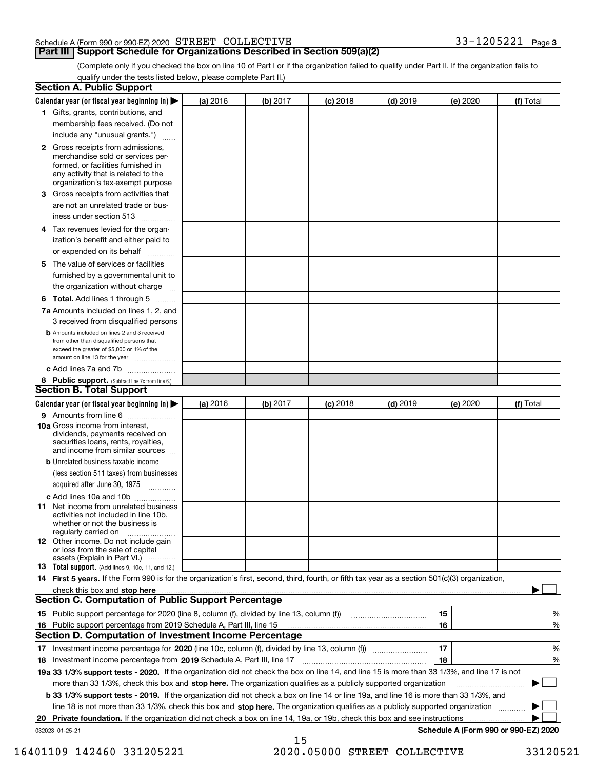### Schedule A (Form 990 or 990-EZ) 2020 Page STREET COLLECTIVE 33-1205221

# **Part III** | Support Schedule for Organizations Described in Section 509(a)(2)

**3**

(Complete only if you checked the box on line 10 of Part I or if the organization failed to qualify under Part II. If the organization fails to qualify under the tests listed below, please complete Part II.)

|    | <b>Section A. Public Support</b>                                                                                                                                                                                               |          |          |                 |            |          |                                      |
|----|--------------------------------------------------------------------------------------------------------------------------------------------------------------------------------------------------------------------------------|----------|----------|-----------------|------------|----------|--------------------------------------|
|    | Calendar year (or fiscal year beginning in) $\blacktriangleright$                                                                                                                                                              | (a) 2016 | (b) 2017 | <b>(c)</b> 2018 | $(d)$ 2019 | (e) 2020 | (f) Total                            |
|    | 1 Gifts, grants, contributions, and                                                                                                                                                                                            |          |          |                 |            |          |                                      |
|    | membership fees received. (Do not                                                                                                                                                                                              |          |          |                 |            |          |                                      |
|    | include any "unusual grants.")                                                                                                                                                                                                 |          |          |                 |            |          |                                      |
|    | <b>2</b> Gross receipts from admissions,<br>merchandise sold or services per-<br>formed, or facilities furnished in<br>any activity that is related to the<br>organization's tax-exempt purpose                                |          |          |                 |            |          |                                      |
|    | 3 Gross receipts from activities that                                                                                                                                                                                          |          |          |                 |            |          |                                      |
|    | are not an unrelated trade or bus-                                                                                                                                                                                             |          |          |                 |            |          |                                      |
|    | iness under section 513                                                                                                                                                                                                        |          |          |                 |            |          |                                      |
|    | 4 Tax revenues levied for the organ-                                                                                                                                                                                           |          |          |                 |            |          |                                      |
|    | ization's benefit and either paid to<br>or expended on its behalf<br>.                                                                                                                                                         |          |          |                 |            |          |                                      |
|    | 5 The value of services or facilities                                                                                                                                                                                          |          |          |                 |            |          |                                      |
|    | furnished by a governmental unit to                                                                                                                                                                                            |          |          |                 |            |          |                                      |
|    | the organization without charge                                                                                                                                                                                                |          |          |                 |            |          |                                      |
|    | <b>6 Total.</b> Add lines 1 through 5 $\dots$                                                                                                                                                                                  |          |          |                 |            |          |                                      |
|    | 7a Amounts included on lines 1, 2, and<br>3 received from disqualified persons                                                                                                                                                 |          |          |                 |            |          |                                      |
|    | <b>b</b> Amounts included on lines 2 and 3 received<br>from other than disqualified persons that<br>exceed the greater of \$5,000 or 1% of the<br>amount on line 13 for the year                                               |          |          |                 |            |          |                                      |
|    | c Add lines 7a and 7b                                                                                                                                                                                                          |          |          |                 |            |          |                                      |
|    | 8 Public support. (Subtract line 7c from line 6.)<br><b>Section B. Total Support</b>                                                                                                                                           |          |          |                 |            |          |                                      |
|    | Calendar year (or fiscal year beginning in)                                                                                                                                                                                    | (a) 2016 | (b) 2017 | <b>(c)</b> 2018 | $(d)$ 2019 | (e) 2020 | (f) Total                            |
|    | 9 Amounts from line 6                                                                                                                                                                                                          |          |          |                 |            |          |                                      |
|    | 10a Gross income from interest,<br>dividends, payments received on<br>securities loans, rents, royalties,<br>and income from similar sources                                                                                   |          |          |                 |            |          |                                      |
|    | <b>b</b> Unrelated business taxable income                                                                                                                                                                                     |          |          |                 |            |          |                                      |
|    | (less section 511 taxes) from businesses<br>acquired after June 30, 1975 [10001]                                                                                                                                               |          |          |                 |            |          |                                      |
|    | c Add lines 10a and 10b                                                                                                                                                                                                        |          |          |                 |            |          |                                      |
|    | 11 Net income from unrelated business<br>activities not included in line 10b,<br>whether or not the business is<br>regularly carried on                                                                                        |          |          |                 |            |          |                                      |
|    | <b>12</b> Other income. Do not include gain<br>or loss from the sale of capital<br>assets (Explain in Part VI.)                                                                                                                |          |          |                 |            |          |                                      |
|    | 13 Total support. (Add lines 9, 10c, 11, and 12.)                                                                                                                                                                              |          |          |                 |            |          |                                      |
|    | 14 First 5 years. If the Form 990 is for the organization's first, second, third, fourth, or fifth tax year as a section 501(c)(3) organization,                                                                               |          |          |                 |            |          |                                      |
|    | check this box and stop here measurement content to the state of the state of the state of the state of the state of the state of the state of the state of the state of the state of the state of the state of the state of t |          |          |                 |            |          |                                      |
|    | <b>Section C. Computation of Public Support Percentage</b>                                                                                                                                                                     |          |          |                 |            |          |                                      |
|    |                                                                                                                                                                                                                                |          |          |                 |            | 15       | %                                    |
| 16 | Public support percentage from 2019 Schedule A, Part III, line 15                                                                                                                                                              |          |          |                 |            | 16       | %                                    |
|    | <b>Section D. Computation of Investment Income Percentage</b>                                                                                                                                                                  |          |          |                 |            |          |                                      |
|    | 17 Investment income percentage for 2020 (line 10c, column (f), divided by line 13, column (f))                                                                                                                                |          |          |                 |            | 17       | %                                    |
|    | 18 Investment income percentage from 2019 Schedule A, Part III, line 17                                                                                                                                                        |          |          |                 |            | 18       | %                                    |
|    | 19a 33 1/3% support tests - 2020. If the organization did not check the box on line 14, and line 15 is more than 33 1/3%, and line 17 is not                                                                                   |          |          |                 |            |          |                                      |
|    | more than 33 1/3%, check this box and stop here. The organization qualifies as a publicly supported organization                                                                                                               |          |          |                 |            |          | $\sim$ 1                             |
|    | b 33 1/3% support tests - 2019. If the organization did not check a box on line 14 or line 19a, and line 16 is more than 33 1/3%, and                                                                                          |          |          |                 |            |          |                                      |
|    | line 18 is not more than 33 1/3%, check this box and stop here. The organization qualifies as a publicly supported organization                                                                                                |          |          |                 |            |          |                                      |
| 20 | Private foundation. If the organization did not check a box on line 14, 19a, or 19b, check this box and see instructions                                                                                                       |          |          |                 |            |          |                                      |
|    | 032023 01-25-21                                                                                                                                                                                                                |          |          |                 |            |          | Schedule A (Form 990 or 990-EZ) 2020 |
|    |                                                                                                                                                                                                                                |          | 15       |                 |            |          |                                      |

 <sup>16401109 142460 331205221 2020.05000</sup> STREET COLLECTIVE 33120521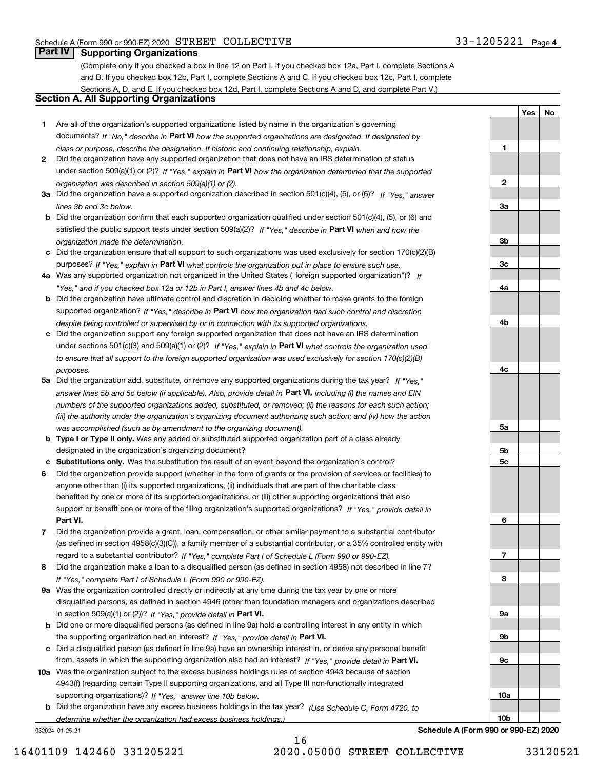**1**

**2**

**3a**

**3b**

**3c**

**4a**

**4b**

**4c**

**5a**

**5b5c**

**6**

**7**

**8**

**9a**

**9b**

**9c**

**10a**

**10b**

**YesNo**

# **Part IV Supporting Organizations**

(Complete only if you checked a box in line 12 on Part I. If you checked box 12a, Part I, complete Sections A and B. If you checked box 12b, Part I, complete Sections A and C. If you checked box 12c, Part I, complete Sections A, D, and E. If you checked box 12d, Part I, complete Sections A and D, and complete Part V.)

## **Section A. All Supporting Organizations**

- **1** Are all of the organization's supported organizations listed by name in the organization's governing documents? If "No," describe in **Part VI** how the supported organizations are designated. If designated by *class or purpose, describe the designation. If historic and continuing relationship, explain.*
- **2** Did the organization have any supported organization that does not have an IRS determination of status under section 509(a)(1) or (2)? If "Yes," explain in Part VI how the organization determined that the supported *organization was described in section 509(a)(1) or (2).*
- **3a** Did the organization have a supported organization described in section 501(c)(4), (5), or (6)? If "Yes," answer *lines 3b and 3c below.*
- **b** Did the organization confirm that each supported organization qualified under section 501(c)(4), (5), or (6) and satisfied the public support tests under section 509(a)(2)? If "Yes," describe in **Part VI** when and how the *organization made the determination.*
- **c**Did the organization ensure that all support to such organizations was used exclusively for section 170(c)(2)(B) purposes? If "Yes," explain in **Part VI** what controls the organization put in place to ensure such use.
- **4a***If* Was any supported organization not organized in the United States ("foreign supported organization")? *"Yes," and if you checked box 12a or 12b in Part I, answer lines 4b and 4c below.*
- **b** Did the organization have ultimate control and discretion in deciding whether to make grants to the foreign supported organization? If "Yes," describe in **Part VI** how the organization had such control and discretion *despite being controlled or supervised by or in connection with its supported organizations.*
- **c** Did the organization support any foreign supported organization that does not have an IRS determination under sections 501(c)(3) and 509(a)(1) or (2)? If "Yes," explain in **Part VI** what controls the organization used *to ensure that all support to the foreign supported organization was used exclusively for section 170(c)(2)(B) purposes.*
- **5a** Did the organization add, substitute, or remove any supported organizations during the tax year? If "Yes," answer lines 5b and 5c below (if applicable). Also, provide detail in **Part VI,** including (i) the names and EIN *numbers of the supported organizations added, substituted, or removed; (ii) the reasons for each such action; (iii) the authority under the organization's organizing document authorizing such action; and (iv) how the action was accomplished (such as by amendment to the organizing document).*
- **b** Type I or Type II only. Was any added or substituted supported organization part of a class already designated in the organization's organizing document?
- **cSubstitutions only.**  Was the substitution the result of an event beyond the organization's control?
- **6** Did the organization provide support (whether in the form of grants or the provision of services or facilities) to **Part VI.** *If "Yes," provide detail in* support or benefit one or more of the filing organization's supported organizations? anyone other than (i) its supported organizations, (ii) individuals that are part of the charitable class benefited by one or more of its supported organizations, or (iii) other supporting organizations that also
- **7**Did the organization provide a grant, loan, compensation, or other similar payment to a substantial contributor *If "Yes," complete Part I of Schedule L (Form 990 or 990-EZ).* regard to a substantial contributor? (as defined in section 4958(c)(3)(C)), a family member of a substantial contributor, or a 35% controlled entity with
- **8** Did the organization make a loan to a disqualified person (as defined in section 4958) not described in line 7? *If "Yes," complete Part I of Schedule L (Form 990 or 990-EZ).*
- **9a** Was the organization controlled directly or indirectly at any time during the tax year by one or more in section 509(a)(1) or (2))? If "Yes," *provide detail in* <code>Part VI.</code> disqualified persons, as defined in section 4946 (other than foundation managers and organizations described
- **b** Did one or more disqualified persons (as defined in line 9a) hold a controlling interest in any entity in which the supporting organization had an interest? If "Yes," provide detail in P**art VI**.
- **c**Did a disqualified person (as defined in line 9a) have an ownership interest in, or derive any personal benefit from, assets in which the supporting organization also had an interest? If "Yes," provide detail in P**art VI.**
- **10a** Was the organization subject to the excess business holdings rules of section 4943 because of section supporting organizations)? If "Yes," answer line 10b below. 4943(f) (regarding certain Type II supporting organizations, and all Type III non-functionally integrated
- **b** Did the organization have any excess business holdings in the tax year? (Use Schedule C, Form 4720, to *determine whether the organization had excess business holdings.)*

032024 01-25-21

**Schedule A (Form 990 or 990-EZ) 2020**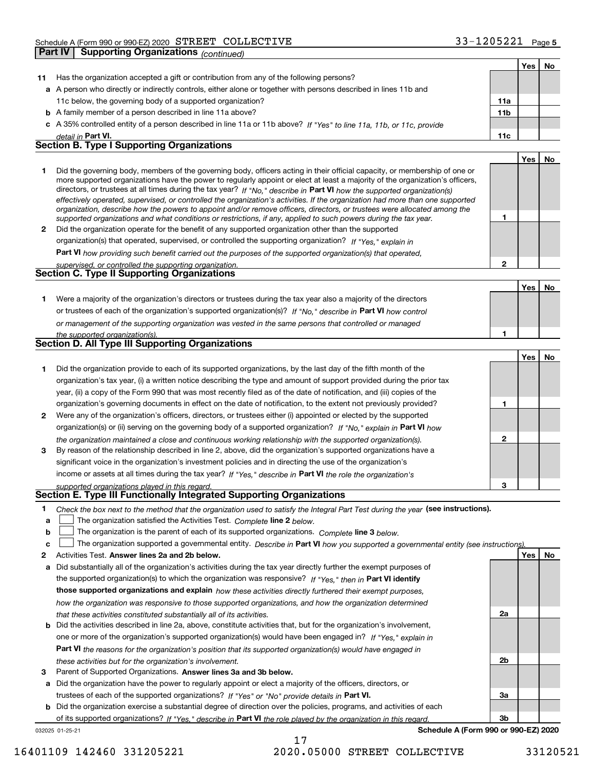|              | Part IV | Supporting Organizations (continued)                                                                                                                                                                                                                                                                                                                                                                                                                                                                                     |              |            |           |
|--------------|---------|--------------------------------------------------------------------------------------------------------------------------------------------------------------------------------------------------------------------------------------------------------------------------------------------------------------------------------------------------------------------------------------------------------------------------------------------------------------------------------------------------------------------------|--------------|------------|-----------|
|              |         |                                                                                                                                                                                                                                                                                                                                                                                                                                                                                                                          |              | Yes        | No        |
| 11           |         | Has the organization accepted a gift or contribution from any of the following persons?                                                                                                                                                                                                                                                                                                                                                                                                                                  |              |            |           |
|              |         | a A person who directly or indirectly controls, either alone or together with persons described in lines 11b and                                                                                                                                                                                                                                                                                                                                                                                                         |              |            |           |
|              |         | 11c below, the governing body of a supported organization?                                                                                                                                                                                                                                                                                                                                                                                                                                                               | 11a          |            |           |
|              |         | <b>b</b> A family member of a person described in line 11a above?                                                                                                                                                                                                                                                                                                                                                                                                                                                        | 11b          |            |           |
|              |         | c A 35% controlled entity of a person described in line 11a or 11b above? If "Yes" to line 11a, 11b, or 11c, provide                                                                                                                                                                                                                                                                                                                                                                                                     |              |            |           |
|              |         | detail in Part VI.                                                                                                                                                                                                                                                                                                                                                                                                                                                                                                       | 11c          |            |           |
|              |         | Section B. Type I Supporting Organizations                                                                                                                                                                                                                                                                                                                                                                                                                                                                               |              |            |           |
|              |         |                                                                                                                                                                                                                                                                                                                                                                                                                                                                                                                          |              | Yes        | <b>No</b> |
| 1            |         | Did the governing body, members of the governing body, officers acting in their official capacity, or membership of one or<br>more supported organizations have the power to regularly appoint or elect at least a majority of the organization's officers,<br>directors, or trustees at all times during the tax year? If "No," describe in Part VI how the supported organization(s)<br>effectively operated, supervised, or controlled the organization's activities. If the organization had more than one supported |              |            |           |
|              |         | organization, describe how the powers to appoint and/or remove officers, directors, or trustees were allocated among the<br>supported organizations and what conditions or restrictions, if any, applied to such powers during the tax year.                                                                                                                                                                                                                                                                             | 1            |            |           |
| 2            |         | Did the organization operate for the benefit of any supported organization other than the supported                                                                                                                                                                                                                                                                                                                                                                                                                      |              |            |           |
|              |         | organization(s) that operated, supervised, or controlled the supporting organization? If "Yes," explain in                                                                                                                                                                                                                                                                                                                                                                                                               |              |            |           |
|              |         | Part VI how providing such benefit carried out the purposes of the supported organization(s) that operated,                                                                                                                                                                                                                                                                                                                                                                                                              |              |            |           |
|              |         | supervised, or controlled the supporting organization.                                                                                                                                                                                                                                                                                                                                                                                                                                                                   | $\mathbf{2}$ |            |           |
|              |         | Section C. Type II Supporting Organizations                                                                                                                                                                                                                                                                                                                                                                                                                                                                              |              |            |           |
|              |         |                                                                                                                                                                                                                                                                                                                                                                                                                                                                                                                          |              | <b>Yes</b> | No        |
| 1.           |         | Were a majority of the organization's directors or trustees during the tax year also a majority of the directors                                                                                                                                                                                                                                                                                                                                                                                                         |              |            |           |
|              |         | or trustees of each of the organization's supported organization(s)? If "No." describe in Part VI how control                                                                                                                                                                                                                                                                                                                                                                                                            |              |            |           |
|              |         | or management of the supporting organization was vested in the same persons that controlled or managed                                                                                                                                                                                                                                                                                                                                                                                                                   |              |            |           |
|              |         | the supported organization(s).                                                                                                                                                                                                                                                                                                                                                                                                                                                                                           | 1            |            |           |
|              |         | <b>Section D. All Type III Supporting Organizations</b>                                                                                                                                                                                                                                                                                                                                                                                                                                                                  |              |            |           |
|              |         |                                                                                                                                                                                                                                                                                                                                                                                                                                                                                                                          |              | Yes        | No        |
| 1            |         | Did the organization provide to each of its supported organizations, by the last day of the fifth month of the                                                                                                                                                                                                                                                                                                                                                                                                           |              |            |           |
|              |         | organization's tax year, (i) a written notice describing the type and amount of support provided during the prior tax                                                                                                                                                                                                                                                                                                                                                                                                    |              |            |           |
|              |         | year, (ii) a copy of the Form 990 that was most recently filed as of the date of notification, and (iii) copies of the                                                                                                                                                                                                                                                                                                                                                                                                   |              |            |           |
|              |         | organization's governing documents in effect on the date of notification, to the extent not previously provided?                                                                                                                                                                                                                                                                                                                                                                                                         | 1            |            |           |
| $\mathbf{2}$ |         | Were any of the organization's officers, directors, or trustees either (i) appointed or elected by the supported                                                                                                                                                                                                                                                                                                                                                                                                         |              |            |           |
|              |         | organization(s) or (ii) serving on the governing body of a supported organization? If "No," explain in Part VI how                                                                                                                                                                                                                                                                                                                                                                                                       |              |            |           |
|              |         | the organization maintained a close and continuous working relationship with the supported organization(s).                                                                                                                                                                                                                                                                                                                                                                                                              | $\mathbf{2}$ |            |           |
| 3            |         | By reason of the relationship described in line 2, above, did the organization's supported organizations have a                                                                                                                                                                                                                                                                                                                                                                                                          |              |            |           |
|              |         | significant voice in the organization's investment policies and in directing the use of the organization's                                                                                                                                                                                                                                                                                                                                                                                                               |              |            |           |

income or assets at all times during the tax year? If "Yes," describe in **Part VI** the role the organization's *supported organizations played in this regard.*

## **Section E. Type III Functionally Integrated Supporting Organizations**

|  |  |  | Check the box next to the method that the organization used to satisfy the Integral Part Test during the year (see instructions). |  |  |  |
|--|--|--|-----------------------------------------------------------------------------------------------------------------------------------|--|--|--|
|--|--|--|-----------------------------------------------------------------------------------------------------------------------------------|--|--|--|

- **a**The organization satisfied the Activities Test. *Complete* line 2 below.  $\mathcal{L}^{\text{max}}$
- **b**The organization is the parent of each of its supported organizations. *Complete* line 3 *below.*  $\mathcal{L}^{\text{max}}$

|  |  | c <u>□</u> The organization supported a governmental entity. Describe in Part VI how you supported a governmental entity (see instructions). |  |  |  |  |  |
|--|--|----------------------------------------------------------------------------------------------------------------------------------------------|--|--|--|--|--|
|--|--|----------------------------------------------------------------------------------------------------------------------------------------------|--|--|--|--|--|

17

- **2Answer lines 2a and 2b below. Yes No** Activities Test.
- **a** Did substantially all of the organization's activities during the tax year directly further the exempt purposes of the supported organization(s) to which the organization was responsive? If "Yes," then in **Part VI identify those supported organizations and explain**  *how these activities directly furthered their exempt purposes, how the organization was responsive to those supported organizations, and how the organization determined that these activities constituted substantially all of its activities.*
- **b** Did the activities described in line 2a, above, constitute activities that, but for the organization's involvement, **Part VI**  *the reasons for the organization's position that its supported organization(s) would have engaged in* one or more of the organization's supported organization(s) would have been engaged in? If "Yes," e*xplain in these activities but for the organization's involvement.*
- **3** Parent of Supported Organizations. Answer lines 3a and 3b below.

**a** Did the organization have the power to regularly appoint or elect a majority of the officers, directors, or trustees of each of the supported organizations? If "Yes" or "No" provide details in **Part VI.** 

**b** Did the organization exercise a substantial degree of direction over the policies, programs, and activities of each of its supported organizations? If "Yes," describe in Part VI the role played by the organization in this regard.

032025 01-25-21

**Schedule A (Form 990 or 990-EZ) 2020**

**3**

**2a**

**2b**

**3a**

**3b**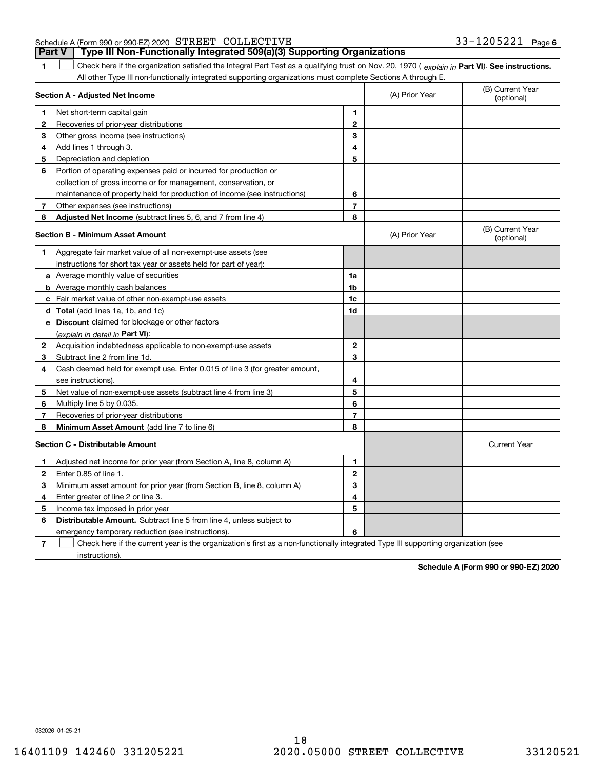**1**

# **Part V Type III Non-Functionally Integrated 509(a)(3) Supporting Organizations**

1 Check here if the organization satisfied the Integral Part Test as a qualifying trust on Nov. 20, 1970 (explain in Part VI). See instructions. All other Type III non-functionally integrated supporting organizations must complete Sections A through E.

|   | Section A - Adjusted Net Income                                                                                                   | (A) Prior Year | (B) Current Year<br>(optional) |                                |
|---|-----------------------------------------------------------------------------------------------------------------------------------|----------------|--------------------------------|--------------------------------|
| 1 | Net short-term capital gain                                                                                                       | 1.             |                                |                                |
| 2 | Recoveries of prior-year distributions                                                                                            | $\mathbf{2}$   |                                |                                |
| 3 | Other gross income (see instructions)                                                                                             | 3              |                                |                                |
| 4 | Add lines 1 through 3.                                                                                                            | 4              |                                |                                |
| 5 | Depreciation and depletion                                                                                                        | 5              |                                |                                |
| 6 | Portion of operating expenses paid or incurred for production or                                                                  |                |                                |                                |
|   | collection of gross income or for management, conservation, or                                                                    |                |                                |                                |
|   | maintenance of property held for production of income (see instructions)                                                          | 6              |                                |                                |
| 7 | Other expenses (see instructions)                                                                                                 | $\overline{7}$ |                                |                                |
| 8 | Adjusted Net Income (subtract lines 5, 6, and 7 from line 4)                                                                      | 8              |                                |                                |
|   | <b>Section B - Minimum Asset Amount</b>                                                                                           |                | (A) Prior Year                 | (B) Current Year<br>(optional) |
| 1 | Aggregate fair market value of all non-exempt-use assets (see                                                                     |                |                                |                                |
|   | instructions for short tax year or assets held for part of year):                                                                 |                |                                |                                |
|   | <b>a</b> Average monthly value of securities                                                                                      | 1a             |                                |                                |
|   | <b>b</b> Average monthly cash balances                                                                                            | 1 <sub>b</sub> |                                |                                |
|   | c Fair market value of other non-exempt-use assets                                                                                | 1c             |                                |                                |
|   | <b>d</b> Total (add lines 1a, 1b, and 1c)                                                                                         | 1d             |                                |                                |
|   | e Discount claimed for blockage or other factors                                                                                  |                |                                |                                |
|   | (explain in detail in Part VI):                                                                                                   |                |                                |                                |
| 2 | Acquisition indebtedness applicable to non-exempt-use assets                                                                      | $\mathbf{2}$   |                                |                                |
| 3 | Subtract line 2 from line 1d.                                                                                                     | 3              |                                |                                |
| 4 | Cash deemed held for exempt use. Enter 0.015 of line 3 (for greater amount,                                                       |                |                                |                                |
|   | see instructions)                                                                                                                 | 4              |                                |                                |
| 5 | Net value of non-exempt-use assets (subtract line 4 from line 3)                                                                  | 5              |                                |                                |
| 6 | Multiply line 5 by 0.035.                                                                                                         | 6              |                                |                                |
| 7 | Recoveries of prior-year distributions                                                                                            | 7              |                                |                                |
| 8 | <b>Minimum Asset Amount</b> (add line 7 to line 6)                                                                                | 8              |                                |                                |
|   | <b>Section C - Distributable Amount</b>                                                                                           |                |                                | <b>Current Year</b>            |
| 1 | Adjusted net income for prior year (from Section A, line 8, column A)                                                             | 1              |                                |                                |
| 2 | Enter 0.85 of line 1.                                                                                                             | $\overline{2}$ |                                |                                |
| 3 | Minimum asset amount for prior year (from Section B, line 8, column A)                                                            | 3              |                                |                                |
| 4 | Enter greater of line 2 or line 3.                                                                                                | 4              |                                |                                |
| 5 | Income tax imposed in prior year                                                                                                  | 5              |                                |                                |
| 6 | <b>Distributable Amount.</b> Subtract line 5 from line 4, unless subject to                                                       |                |                                |                                |
|   | emergency temporary reduction (see instructions).                                                                                 | 6              |                                |                                |
| 7 | Check here if the current year is the organization's first as a non-functionally integrated Type III supporting organization (see |                |                                |                                |

instructions).

**Schedule A (Form 990 or 990-EZ) 2020**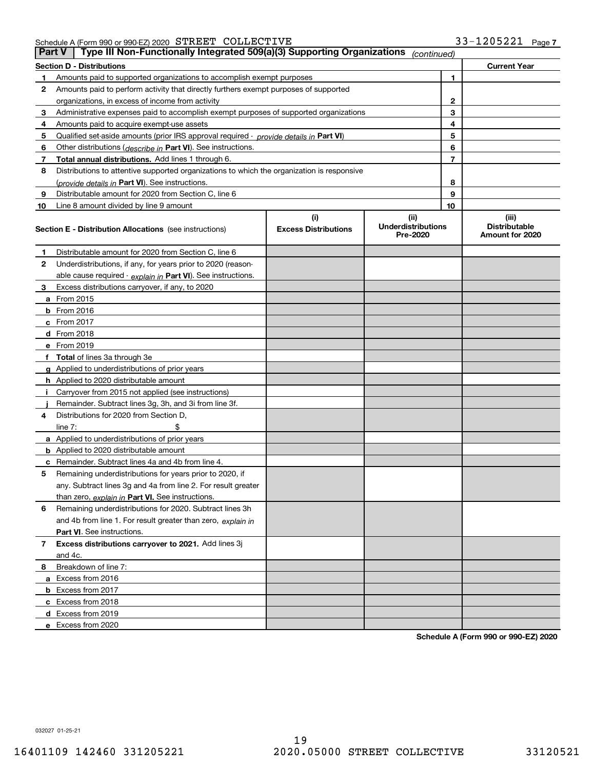Schedule A (Form 990 or 990-EZ) 2020 Page STREET COLLECTIVE 33-1205221

|    | Type III Non-Functionally Integrated 509(a)(3) Supporting Organizations<br><b>Part V</b><br>(continued) |                                    |                                               |                |                                                  |  |  |
|----|---------------------------------------------------------------------------------------------------------|------------------------------------|-----------------------------------------------|----------------|--------------------------------------------------|--|--|
|    | <b>Section D - Distributions</b>                                                                        |                                    |                                               |                | <b>Current Year</b>                              |  |  |
| 1  | Amounts paid to supported organizations to accomplish exempt purposes                                   |                                    |                                               | 1              |                                                  |  |  |
| 2  | Amounts paid to perform activity that directly furthers exempt purposes of supported                    |                                    |                                               |                |                                                  |  |  |
|    | organizations, in excess of income from activity                                                        |                                    | $\mathbf{2}$                                  |                |                                                  |  |  |
| 3  | Administrative expenses paid to accomplish exempt purposes of supported organizations                   |                                    |                                               | 3              |                                                  |  |  |
| 4  | Amounts paid to acquire exempt-use assets                                                               |                                    |                                               | 4              |                                                  |  |  |
| 5  | Qualified set-aside amounts (prior IRS approval required - provide details in Part VI)                  |                                    |                                               | 5              |                                                  |  |  |
| 6  | Other distributions ( <i>describe in</i> Part VI). See instructions.                                    |                                    |                                               | 6              |                                                  |  |  |
| 7  | Total annual distributions. Add lines 1 through 6.                                                      |                                    |                                               | $\overline{7}$ |                                                  |  |  |
| 8  | Distributions to attentive supported organizations to which the organization is responsive              |                                    |                                               |                |                                                  |  |  |
|    | (provide details in Part VI). See instructions.                                                         |                                    |                                               | 8              |                                                  |  |  |
| 9  | Distributable amount for 2020 from Section C, line 6                                                    |                                    |                                               | 9              |                                                  |  |  |
| 10 | Line 8 amount divided by line 9 amount                                                                  |                                    |                                               | 10             |                                                  |  |  |
|    | <b>Section E - Distribution Allocations</b> (see instructions)                                          | (i)<br><b>Excess Distributions</b> | (ii)<br><b>Underdistributions</b><br>Pre-2020 |                | (iii)<br><b>Distributable</b><br>Amount for 2020 |  |  |
|    |                                                                                                         |                                    |                                               |                |                                                  |  |  |
| 1  | Distributable amount for 2020 from Section C, line 6                                                    |                                    |                                               |                |                                                  |  |  |
| 2  | Underdistributions, if any, for years prior to 2020 (reason-                                            |                                    |                                               |                |                                                  |  |  |
|    | able cause required - explain in Part VI). See instructions.                                            |                                    |                                               |                |                                                  |  |  |
| 3  | Excess distributions carryover, if any, to 2020                                                         |                                    |                                               |                |                                                  |  |  |
|    | a From 2015                                                                                             |                                    |                                               |                |                                                  |  |  |
|    | <b>b</b> From 2016                                                                                      |                                    |                                               |                |                                                  |  |  |
|    | $c$ From 2017                                                                                           |                                    |                                               |                |                                                  |  |  |
|    | d From 2018                                                                                             |                                    |                                               |                |                                                  |  |  |
|    | e From 2019                                                                                             |                                    |                                               |                |                                                  |  |  |
|    | f Total of lines 3a through 3e                                                                          |                                    |                                               |                |                                                  |  |  |
|    | g Applied to underdistributions of prior years                                                          |                                    |                                               |                |                                                  |  |  |
|    | <b>h</b> Applied to 2020 distributable amount                                                           |                                    |                                               |                |                                                  |  |  |
|    | Carryover from 2015 not applied (see instructions)                                                      |                                    |                                               |                |                                                  |  |  |
|    | Remainder. Subtract lines 3g, 3h, and 3i from line 3f.                                                  |                                    |                                               |                |                                                  |  |  |
| 4  | Distributions for 2020 from Section D,                                                                  |                                    |                                               |                |                                                  |  |  |
|    | line $7:$                                                                                               |                                    |                                               |                |                                                  |  |  |
|    | a Applied to underdistributions of prior years                                                          |                                    |                                               |                |                                                  |  |  |
|    | <b>b</b> Applied to 2020 distributable amount                                                           |                                    |                                               |                |                                                  |  |  |
|    | c Remainder. Subtract lines 4a and 4b from line 4.                                                      |                                    |                                               |                |                                                  |  |  |
| 5. | Remaining underdistributions for years prior to 2020, if                                                |                                    |                                               |                |                                                  |  |  |
|    | any. Subtract lines 3g and 4a from line 2. For result greater                                           |                                    |                                               |                |                                                  |  |  |
|    | than zero, explain in Part VI. See instructions.                                                        |                                    |                                               |                |                                                  |  |  |
| 6  | Remaining underdistributions for 2020. Subtract lines 3h                                                |                                    |                                               |                |                                                  |  |  |
|    | and 4b from line 1. For result greater than zero, explain in                                            |                                    |                                               |                |                                                  |  |  |
|    | Part VI. See instructions.                                                                              |                                    |                                               |                |                                                  |  |  |
| 7  | Excess distributions carryover to 2021. Add lines 3j                                                    |                                    |                                               |                |                                                  |  |  |
|    | and 4c.                                                                                                 |                                    |                                               |                |                                                  |  |  |
| 8  | Breakdown of line 7:                                                                                    |                                    |                                               |                |                                                  |  |  |
|    | a Excess from 2016                                                                                      |                                    |                                               |                |                                                  |  |  |
|    | <b>b</b> Excess from 2017                                                                               |                                    |                                               |                |                                                  |  |  |
|    | c Excess from 2018                                                                                      |                                    |                                               |                |                                                  |  |  |
|    | d Excess from 2019                                                                                      |                                    |                                               |                |                                                  |  |  |
|    | e Excess from 2020                                                                                      |                                    |                                               |                |                                                  |  |  |

**Schedule A (Form 990 or 990-EZ) 2020**

032027 01-25-21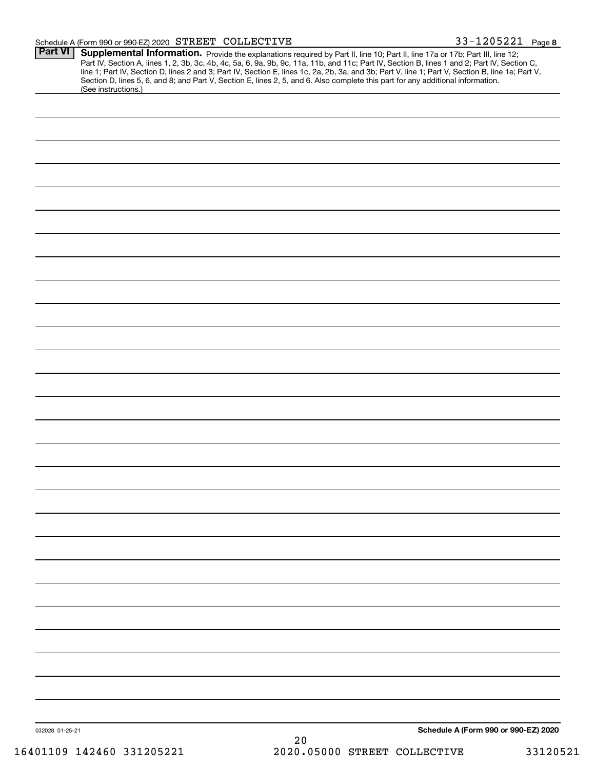#### Schedule A (Form 990 or 990-EZ) 2020 Page STREET COLLECTIVE 33-1205221

|                 | (See instructions.)       | Section D, lines 5, 6, and 8; and Part V, Section E, lines 2, 5, and 6. Also complete this part for any additional information. | Part IV, Section A, lines 1, 2, 3b, 3c, 4b, 4c, 5a, 6, 9a, 9b, 9c, 11a, 11b, and 11c; Part IV, Section B, lines 1 and 2; Part IV, Section C, line 1; Part IV, Section D, lines 2 and 3; Part IV, Section E, lines 1c, 2a, 2b, |
|-----------------|---------------------------|---------------------------------------------------------------------------------------------------------------------------------|-------------------------------------------------------------------------------------------------------------------------------------------------------------------------------------------------------------------------------|
|                 |                           |                                                                                                                                 |                                                                                                                                                                                                                               |
|                 |                           |                                                                                                                                 |                                                                                                                                                                                                                               |
|                 |                           |                                                                                                                                 |                                                                                                                                                                                                                               |
|                 |                           |                                                                                                                                 |                                                                                                                                                                                                                               |
|                 |                           |                                                                                                                                 |                                                                                                                                                                                                                               |
|                 |                           |                                                                                                                                 |                                                                                                                                                                                                                               |
|                 |                           |                                                                                                                                 |                                                                                                                                                                                                                               |
|                 |                           |                                                                                                                                 |                                                                                                                                                                                                                               |
|                 |                           |                                                                                                                                 |                                                                                                                                                                                                                               |
|                 |                           |                                                                                                                                 |                                                                                                                                                                                                                               |
|                 |                           |                                                                                                                                 |                                                                                                                                                                                                                               |
|                 |                           |                                                                                                                                 |                                                                                                                                                                                                                               |
|                 |                           |                                                                                                                                 |                                                                                                                                                                                                                               |
|                 |                           |                                                                                                                                 |                                                                                                                                                                                                                               |
|                 |                           |                                                                                                                                 |                                                                                                                                                                                                                               |
|                 |                           |                                                                                                                                 |                                                                                                                                                                                                                               |
|                 |                           |                                                                                                                                 |                                                                                                                                                                                                                               |
|                 |                           |                                                                                                                                 |                                                                                                                                                                                                                               |
|                 |                           |                                                                                                                                 |                                                                                                                                                                                                                               |
|                 |                           |                                                                                                                                 |                                                                                                                                                                                                                               |
|                 |                           |                                                                                                                                 |                                                                                                                                                                                                                               |
|                 |                           |                                                                                                                                 |                                                                                                                                                                                                                               |
|                 |                           |                                                                                                                                 |                                                                                                                                                                                                                               |
|                 |                           |                                                                                                                                 |                                                                                                                                                                                                                               |
|                 |                           |                                                                                                                                 |                                                                                                                                                                                                                               |
|                 |                           |                                                                                                                                 |                                                                                                                                                                                                                               |
|                 |                           |                                                                                                                                 |                                                                                                                                                                                                                               |
|                 |                           |                                                                                                                                 |                                                                                                                                                                                                                               |
|                 |                           |                                                                                                                                 |                                                                                                                                                                                                                               |
|                 |                           |                                                                                                                                 |                                                                                                                                                                                                                               |
|                 |                           |                                                                                                                                 |                                                                                                                                                                                                                               |
|                 |                           |                                                                                                                                 |                                                                                                                                                                                                                               |
|                 |                           |                                                                                                                                 |                                                                                                                                                                                                                               |
|                 |                           |                                                                                                                                 |                                                                                                                                                                                                                               |
|                 |                           |                                                                                                                                 |                                                                                                                                                                                                                               |
|                 |                           |                                                                                                                                 |                                                                                                                                                                                                                               |
|                 |                           |                                                                                                                                 |                                                                                                                                                                                                                               |
|                 |                           |                                                                                                                                 |                                                                                                                                                                                                                               |
|                 |                           |                                                                                                                                 |                                                                                                                                                                                                                               |
|                 |                           |                                                                                                                                 |                                                                                                                                                                                                                               |
| 032028 01-25-21 |                           |                                                                                                                                 | Schedule A (Form 990 or 990-EZ) 2020                                                                                                                                                                                          |
|                 | 16401109 142460 331205221 | 20<br>2020.05000 STREET COLLECTIVE                                                                                              | 33120521                                                                                                                                                                                                                      |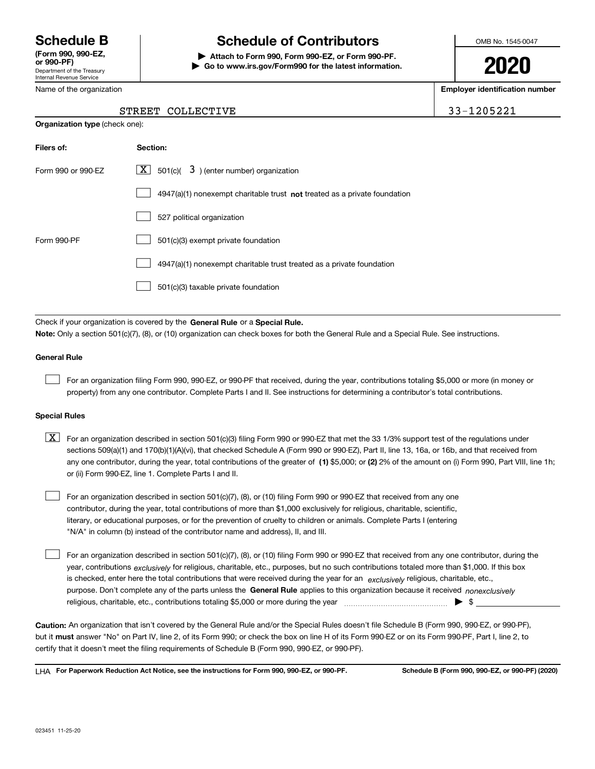Department of the Treasury Internal Revenue Service **(Form 990, 990-EZ, or 990-PF)**

#### Name of the organization

**Organization type** (check one):

# **Schedule B Schedule of Contributors**

**| Attach to Form 990, Form 990-EZ, or Form 990-PF. | Go to www.irs.gov/Form990 for the latest information.** OMB No. 1545-0047

# **2020**

**Employer identification number**

## STREET COLLECTIVE 3

| Filers of:         | Section:                                                                    |
|--------------------|-----------------------------------------------------------------------------|
| Form 990 or 990-EZ | $X$ 501(c)( 3) (enter number) organization                                  |
|                    | $4947(a)(1)$ nonexempt charitable trust not treated as a private foundation |
|                    | 527 political organization                                                  |
| Form 990-PF        | 501(c)(3) exempt private foundation                                         |
|                    | 4947(a)(1) nonexempt charitable trust treated as a private foundation       |
|                    | 501(c)(3) taxable private foundation                                        |

Check if your organization is covered by the **General Rule** or a **Special Rule. Note:**  Only a section 501(c)(7), (8), or (10) organization can check boxes for both the General Rule and a Special Rule. See instructions.

### **General Rule**

 $\mathcal{L}^{\text{max}}$ 

For an organization filing Form 990, 990-EZ, or 990-PF that received, during the year, contributions totaling \$5,000 or more (in money or property) from any one contributor. Complete Parts I and II. See instructions for determining a contributor's total contributions.

### **Special Rules**

any one contributor, during the year, total contributions of the greater of  $\,$  (1) \$5,000; or **(2)** 2% of the amount on (i) Form 990, Part VIII, line 1h;  $\boxed{\textbf{X}}$  For an organization described in section 501(c)(3) filing Form 990 or 990-EZ that met the 33 1/3% support test of the regulations under sections 509(a)(1) and 170(b)(1)(A)(vi), that checked Schedule A (Form 990 or 990-EZ), Part II, line 13, 16a, or 16b, and that received from or (ii) Form 990-EZ, line 1. Complete Parts I and II.

For an organization described in section 501(c)(7), (8), or (10) filing Form 990 or 990-EZ that received from any one contributor, during the year, total contributions of more than \$1,000 exclusively for religious, charitable, scientific, literary, or educational purposes, or for the prevention of cruelty to children or animals. Complete Parts I (entering "N/A" in column (b) instead of the contributor name and address), II, and III.  $\mathcal{L}^{\text{max}}$ 

purpose. Don't complete any of the parts unless the **General Rule** applies to this organization because it received *nonexclusively* year, contributions <sub>exclusively</sub> for religious, charitable, etc., purposes, but no such contributions totaled more than \$1,000. If this box is checked, enter here the total contributions that were received during the year for an  $\;$ exclusively religious, charitable, etc., For an organization described in section 501(c)(7), (8), or (10) filing Form 990 or 990-EZ that received from any one contributor, during the religious, charitable, etc., contributions totaling \$5,000 or more during the year  $\Box$ — $\Box$   $\Box$  $\mathcal{L}^{\text{max}}$ 

**Caution:**  An organization that isn't covered by the General Rule and/or the Special Rules doesn't file Schedule B (Form 990, 990-EZ, or 990-PF),  **must** but it answer "No" on Part IV, line 2, of its Form 990; or check the box on line H of its Form 990-EZ or on its Form 990-PF, Part I, line 2, to certify that it doesn't meet the filing requirements of Schedule B (Form 990, 990-EZ, or 990-PF).

**For Paperwork Reduction Act Notice, see the instructions for Form 990, 990-EZ, or 990-PF. Schedule B (Form 990, 990-EZ, or 990-PF) (2020)** LHA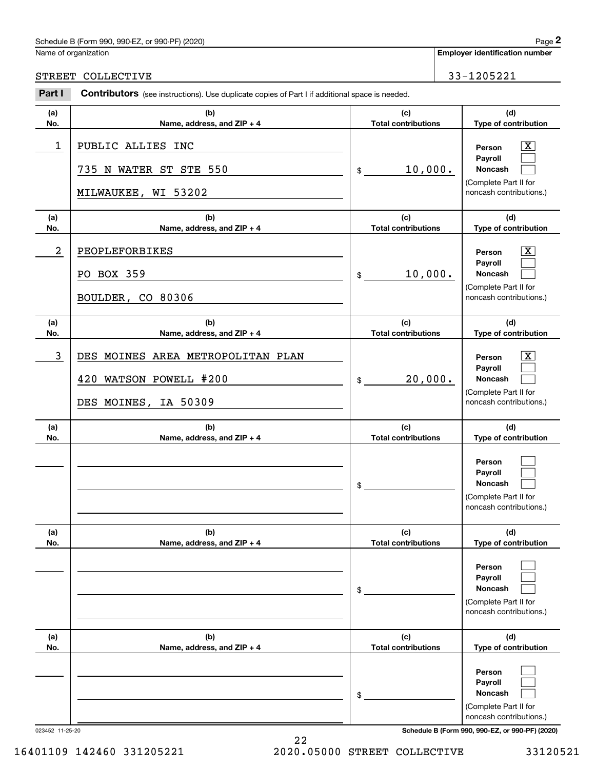# Schedule B (Form 990, 990-EZ, or 990-PF) (2020) Page 2

|                 | Schedule B (Form 990, 990-EZ, or 990-PF) (2020)                                                |                                   | Page 2                                                                                                                                     |
|-----------------|------------------------------------------------------------------------------------------------|-----------------------------------|--------------------------------------------------------------------------------------------------------------------------------------------|
|                 | Name of organization                                                                           |                                   | <b>Employer identification number</b>                                                                                                      |
|                 | STREET COLLECTIVE                                                                              |                                   | 33-1205221                                                                                                                                 |
| Part I          | Contributors (see instructions). Use duplicate copies of Part I if additional space is needed. |                                   |                                                                                                                                            |
| (a)<br>No.      | (b)<br>Name, address, and ZIP + 4                                                              | (c)<br><b>Total contributions</b> | (d)<br>Type of contribution                                                                                                                |
| 1               | PUBLIC ALLIES<br>INC<br>735 N WATER ST STE 550<br>MILWAUKEE, WI 53202                          | 10,000.<br>\$                     | $\mathbf{X}$<br>Person<br>Payroll<br>Noncash<br>(Complete Part II for<br>noncash contributions.)                                           |
| (a)<br>No.      | (b)<br>Name, address, and ZIP + 4                                                              | (c)<br><b>Total contributions</b> | (d)<br>Type of contribution                                                                                                                |
| $\overline{a}$  | PEOPLEFORBIKES<br>PO BOX 359<br>BOULDER, CO 80306                                              | 10,000.<br>\$                     | $\mathbf{X}$<br>Person<br>Payroll<br>Noncash<br>(Complete Part II for<br>noncash contributions.)                                           |
| (a)<br>No.      | (b)<br>Name, address, and ZIP + 4                                                              | (c)<br><b>Total contributions</b> | (d)<br>Type of contribution                                                                                                                |
| 3               | DES MOINES AREA METROPOLITAN PLAN<br>WATSON POWELL #200<br>420<br>DES MOINES, IA 50309         | 20,000.<br>\$                     | $\overline{\mathbf{X}}$<br>Person<br>Payroll<br>Noncash<br>(Complete Part II for<br>noncash contributions.)                                |
| (a)<br>No.      | (b)<br>Name, address, and ZIP + 4                                                              | (c)<br><b>Total contributions</b> | (d)<br>Type of contribution                                                                                                                |
|                 |                                                                                                | \$                                | Person<br>Payroll<br>Noncash<br>(Complete Part II for<br>noncash contributions.)                                                           |
| (a)<br>No.      | (b)<br>Name, address, and ZIP + 4                                                              | (c)<br><b>Total contributions</b> | (d)<br>Type of contribution                                                                                                                |
|                 |                                                                                                | \$                                | Person<br>Payroll<br><b>Noncash</b><br>(Complete Part II for<br>noncash contributions.)                                                    |
| (a)<br>No.      | (b)<br>Name, address, and ZIP + 4                                                              | (c)<br><b>Total contributions</b> | (d)<br>Type of contribution                                                                                                                |
| 023452 11-25-20 |                                                                                                | \$                                | Person<br>Payroll<br><b>Noncash</b><br>(Complete Part II for<br>noncash contributions.)<br>Schedule B (Form 990, 990-EZ, or 990-PF) (2020) |

22 16401109 142460 331205221 2020.05000 STREET COLLECTIVE 33120521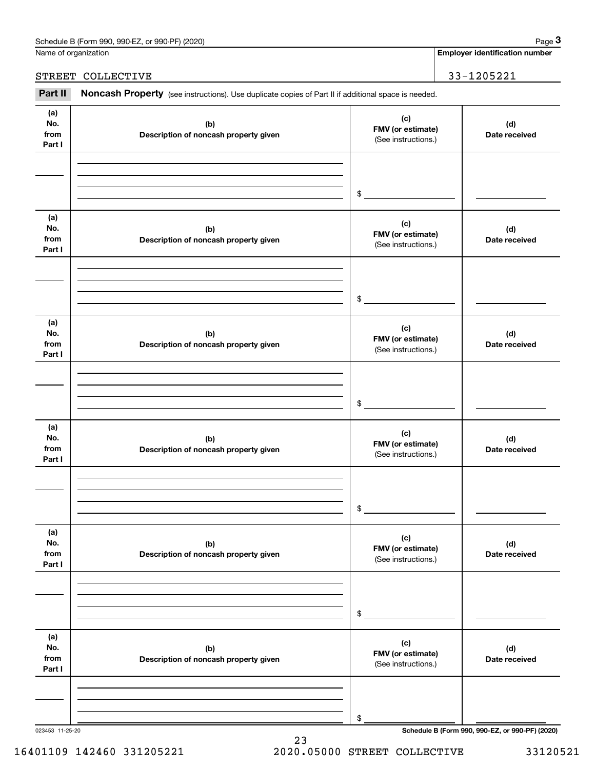| Schedule B (Form 990. 990-EZ. ‹<br>or 990-PF)<br>َ (2020) | Page |
|-----------------------------------------------------------|------|
|                                                           |      |

Name of organization

**Employer identification number**

# STREET COLLECTIVE 33-1205221

(see instructions). Use duplicate copies of Part II if additional space is needed.<br> **2Part II Noncash Property** (see instructions). Use duplicate copies of Part II if additional space is needed.<br> **2Part II Noncash Prop** 

| (a)<br>No.<br>from<br>Part I | (b)<br>Description of noncash property given | (c)<br>FMV (or estimate)<br>(See instructions.) | (d)<br>Date received                            |
|------------------------------|----------------------------------------------|-------------------------------------------------|-------------------------------------------------|
|                              |                                              | \$                                              |                                                 |
| (a)<br>No.<br>from<br>Part I | (b)<br>Description of noncash property given | (c)<br>FMV (or estimate)<br>(See instructions.) | (d)<br>Date received                            |
|                              |                                              | \$                                              |                                                 |
| (a)<br>No.<br>from<br>Part I | (b)<br>Description of noncash property given | (c)<br>FMV (or estimate)<br>(See instructions.) | (d)<br>Date received                            |
|                              |                                              | \$                                              |                                                 |
| (a)<br>No.<br>from<br>Part I | (b)<br>Description of noncash property given | (c)<br>FMV (or estimate)<br>(See instructions.) | (d)<br>Date received                            |
|                              |                                              | \$                                              |                                                 |
| (a)<br>No.<br>from<br>Part I | (b)<br>Description of noncash property given | (c)<br>FMV (or estimate)<br>(See instructions.) | (d)<br>Date received                            |
|                              |                                              | \$                                              |                                                 |
| (a)<br>No.<br>from<br>Part I | (b)<br>Description of noncash property given | (c)<br>FMV (or estimate)<br>(See instructions.) | (d)<br>Date received                            |
|                              |                                              | \$                                              |                                                 |
| 023453 11-25-20              |                                              |                                                 | Schedule B (Form 990, 990-EZ, or 990-PF) (2020) |

16401109 142460 331205221 2020.05000 STREET COLLECTIVE 33120521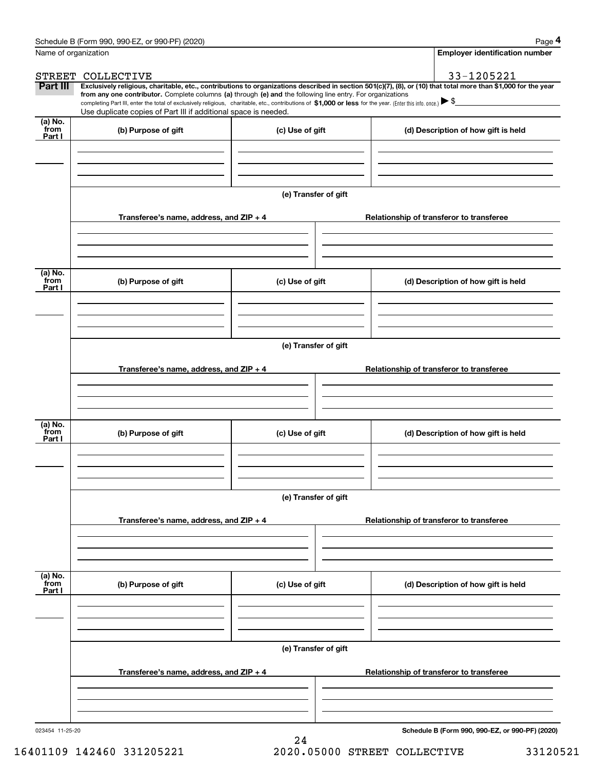|                           | Schedule B (Form 990, 990-EZ, or 990-PF) (2020)                                                                                                                                                                                                                            |                      |                                          |                                     | Page 4                                          |  |
|---------------------------|----------------------------------------------------------------------------------------------------------------------------------------------------------------------------------------------------------------------------------------------------------------------------|----------------------|------------------------------------------|-------------------------------------|-------------------------------------------------|--|
| Name of organization      |                                                                                                                                                                                                                                                                            |                      |                                          |                                     | <b>Employer identification number</b>           |  |
|                           | STREET COLLECTIVE                                                                                                                                                                                                                                                          |                      |                                          |                                     | 33-1205221                                      |  |
| Part III                  | Exclusively religious, charitable, etc., contributions to organizations described in section 501(c)(7), (8), or (10) that total more than \$1,000 for the year                                                                                                             |                      |                                          |                                     |                                                 |  |
|                           | from any one contributor. Complete columns (a) through (e) and the following line entry. For organizations<br>completing Part III, enter the total of exclusively religious, charitable, etc., contributions of \$1,000 or less for the year. (Enter this info. once.) \\$ |                      |                                          |                                     |                                                 |  |
|                           | Use duplicate copies of Part III if additional space is needed.                                                                                                                                                                                                            |                      |                                          |                                     |                                                 |  |
| (a) No.<br>from<br>Part I | (b) Purpose of gift                                                                                                                                                                                                                                                        | (c) Use of gift      |                                          |                                     | (d) Description of how gift is held             |  |
|                           |                                                                                                                                                                                                                                                                            |                      |                                          |                                     |                                                 |  |
|                           |                                                                                                                                                                                                                                                                            |                      |                                          |                                     |                                                 |  |
|                           | Transferee's name, address, and ZIP + 4                                                                                                                                                                                                                                    | (e) Transfer of gift | Relationship of transferor to transferee |                                     |                                                 |  |
|                           |                                                                                                                                                                                                                                                                            |                      |                                          |                                     |                                                 |  |
|                           |                                                                                                                                                                                                                                                                            |                      |                                          |                                     |                                                 |  |
| (a) No.<br>from<br>Part I | (b) Purpose of gift                                                                                                                                                                                                                                                        | (c) Use of gift      |                                          |                                     | (d) Description of how gift is held             |  |
|                           |                                                                                                                                                                                                                                                                            |                      |                                          |                                     |                                                 |  |
|                           |                                                                                                                                                                                                                                                                            | (e) Transfer of gift |                                          |                                     |                                                 |  |
|                           | Transferee's name, address, and ZIP + 4                                                                                                                                                                                                                                    |                      | Relationship of transferor to transferee |                                     |                                                 |  |
|                           |                                                                                                                                                                                                                                                                            |                      |                                          |                                     |                                                 |  |
|                           |                                                                                                                                                                                                                                                                            |                      |                                          |                                     |                                                 |  |
| (a) No.<br>from<br>Part I | (b) Purpose of gift                                                                                                                                                                                                                                                        | (c) Use of gift      |                                          |                                     | (d) Description of how gift is held             |  |
|                           |                                                                                                                                                                                                                                                                            |                      |                                          |                                     |                                                 |  |
|                           |                                                                                                                                                                                                                                                                            | (e) Transfer of gift |                                          |                                     |                                                 |  |
|                           | Transferee's name, address, and ZIP + 4                                                                                                                                                                                                                                    |                      | Relationship of transferor to transferee |                                     |                                                 |  |
|                           |                                                                                                                                                                                                                                                                            |                      |                                          |                                     |                                                 |  |
|                           |                                                                                                                                                                                                                                                                            |                      |                                          |                                     |                                                 |  |
| (a) No.<br>from<br>Part I | (b) Purpose of gift                                                                                                                                                                                                                                                        | (c) Use of gift      |                                          | (d) Description of how gift is held |                                                 |  |
|                           |                                                                                                                                                                                                                                                                            |                      |                                          |                                     |                                                 |  |
|                           |                                                                                                                                                                                                                                                                            |                      |                                          |                                     |                                                 |  |
|                           |                                                                                                                                                                                                                                                                            | (e) Transfer of gift |                                          |                                     |                                                 |  |
|                           | Transferee's name, address, and ZIP + 4                                                                                                                                                                                                                                    |                      |                                          |                                     | Relationship of transferor to transferee        |  |
|                           |                                                                                                                                                                                                                                                                            |                      |                                          |                                     |                                                 |  |
| 023454 11-25-20           |                                                                                                                                                                                                                                                                            |                      |                                          |                                     | Schedule B (Form 990, 990-EZ, or 990-PF) (2020) |  |

16401109 142460 331205221 2020.05000 STREET COLLECTIVE 33120521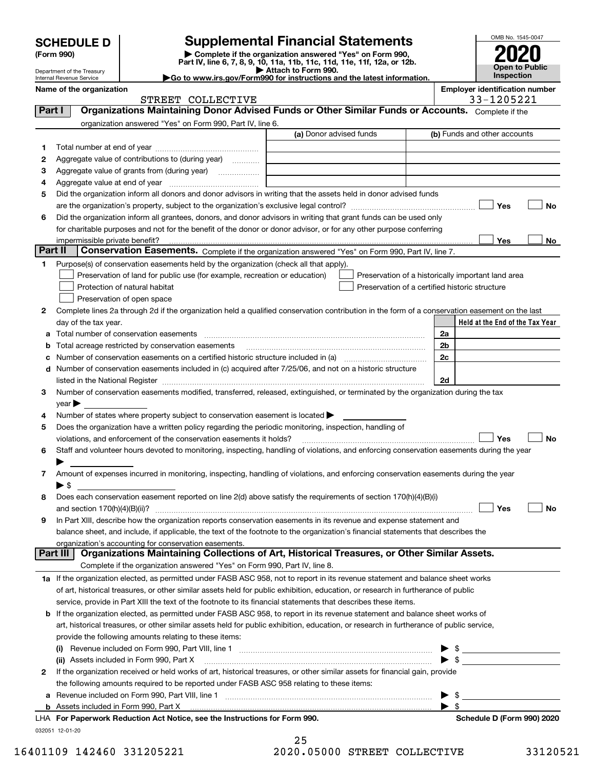| <b>SCHEDULE D</b><br>(Form 990) |                                                                                                                                  |                                                                                                                                                                                                                               |                                                                                                                       |                                                    |                   |                         | OMB No. 1545-0047                     |
|---------------------------------|----------------------------------------------------------------------------------------------------------------------------------|-------------------------------------------------------------------------------------------------------------------------------------------------------------------------------------------------------------------------------|-----------------------------------------------------------------------------------------------------------------------|----------------------------------------------------|-------------------|-------------------------|---------------------------------------|
|                                 |                                                                                                                                  | <b>Supplemental Financial Statements</b><br>Complete if the organization answered "Yes" on Form 990,                                                                                                                          |                                                                                                                       |                                                    |                   |                         |                                       |
|                                 |                                                                                                                                  | Part IV, line 6, 7, 8, 9, 10, 11a, 11b, 11c, 11d, 11e, 11f, 12a, or 12b.                                                                                                                                                      |                                                                                                                       |                                                    |                   |                         | Open to Public                        |
|                                 | Department of the Treasury<br>Internal Revenue Service                                                                           | Attach to Form 990.<br>Go to www.irs.gov/Form990 for instructions and the latest information.                                                                                                                                 |                                                                                                                       |                                                    | <b>Inspection</b> |                         |                                       |
| Name of the organization        |                                                                                                                                  |                                                                                                                                                                                                                               |                                                                                                                       |                                                    |                   |                         | <b>Employer identification number</b> |
|                                 |                                                                                                                                  | STREET COLLECTIVE                                                                                                                                                                                                             |                                                                                                                       |                                                    |                   |                         | 33-1205221                            |
| Part I                          |                                                                                                                                  | Organizations Maintaining Donor Advised Funds or Other Similar Funds or Accounts. Complete if the                                                                                                                             |                                                                                                                       |                                                    |                   |                         |                                       |
|                                 |                                                                                                                                  | organization answered "Yes" on Form 990, Part IV, line 6.                                                                                                                                                                     |                                                                                                                       |                                                    |                   |                         | (b) Funds and other accounts          |
|                                 |                                                                                                                                  |                                                                                                                                                                                                                               | (a) Donor advised funds                                                                                               |                                                    |                   |                         |                                       |
| 1                               |                                                                                                                                  |                                                                                                                                                                                                                               |                                                                                                                       |                                                    |                   |                         |                                       |
| 2<br>з                          |                                                                                                                                  | Aggregate value of contributions to (during year)                                                                                                                                                                             |                                                                                                                       |                                                    |                   |                         |                                       |
| 4                               |                                                                                                                                  |                                                                                                                                                                                                                               | <u> 1989 - Johann Barbara, martin amerikan basal dan berasal dalam basal dalam basal dalam basal dalam basal dala</u> |                                                    |                   |                         |                                       |
| 5                               |                                                                                                                                  | Did the organization inform all donors and donor advisors in writing that the assets held in donor advised funds                                                                                                              |                                                                                                                       |                                                    |                   |                         |                                       |
|                                 |                                                                                                                                  |                                                                                                                                                                                                                               |                                                                                                                       |                                                    |                   |                         | Yes<br>No                             |
| 6                               |                                                                                                                                  | Did the organization inform all grantees, donors, and donor advisors in writing that grant funds can be used only                                                                                                             |                                                                                                                       |                                                    |                   |                         |                                       |
|                                 |                                                                                                                                  | for charitable purposes and not for the benefit of the donor or donor advisor, or for any other purpose conferring                                                                                                            |                                                                                                                       |                                                    |                   |                         |                                       |
|                                 | impermissible private benefit?                                                                                                   |                                                                                                                                                                                                                               |                                                                                                                       |                                                    |                   |                         | Yes<br>No                             |
| Part II                         |                                                                                                                                  | Conservation Easements. Complete if the organization answered "Yes" on Form 990, Part IV, line 7.                                                                                                                             |                                                                                                                       |                                                    |                   |                         |                                       |
| 1                               |                                                                                                                                  | Purpose(s) of conservation easements held by the organization (check all that apply).                                                                                                                                         |                                                                                                                       |                                                    |                   |                         |                                       |
|                                 |                                                                                                                                  | Preservation of land for public use (for example, recreation or education)                                                                                                                                                    |                                                                                                                       | Preservation of a historically important land area |                   |                         |                                       |
|                                 |                                                                                                                                  | Protection of natural habitat                                                                                                                                                                                                 |                                                                                                                       | Preservation of a certified historic structure     |                   |                         |                                       |
|                                 |                                                                                                                                  | Preservation of open space<br>Complete lines 2a through 2d if the organization held a qualified conservation contribution in the form of a conservation easement on the last                                                  |                                                                                                                       |                                                    |                   |                         |                                       |
| 2                               | day of the tax year.                                                                                                             |                                                                                                                                                                                                                               |                                                                                                                       |                                                    |                   |                         | Held at the End of the Tax Year       |
| a                               |                                                                                                                                  |                                                                                                                                                                                                                               |                                                                                                                       |                                                    |                   | 2a                      |                                       |
| b                               |                                                                                                                                  | Total acreage restricted by conservation easements                                                                                                                                                                            |                                                                                                                       |                                                    |                   | 2b                      |                                       |
| c                               |                                                                                                                                  | Number of conservation easements on a certified historic structure included in (a) manufacture included in (a)                                                                                                                |                                                                                                                       |                                                    |                   | 2c                      |                                       |
|                                 |                                                                                                                                  | d Number of conservation easements included in (c) acquired after 7/25/06, and not on a historic structure                                                                                                                    |                                                                                                                       |                                                    |                   |                         |                                       |
|                                 |                                                                                                                                  | listed in the National Register [111] Marshall Register [11] Marshall Register [11] Marshall Register [11] Marshall Register [11] Marshall Register [11] Marshall Register [11] Marshall Register [11] Marshall Register [11] |                                                                                                                       |                                                    |                   | 2d                      |                                       |
| 3                               | Number of conservation easements modified, transferred, released, extinguished, or terminated by the organization during the tax |                                                                                                                                                                                                                               |                                                                                                                       |                                                    |                   |                         |                                       |
|                                 | $year \blacktriangleright$                                                                                                       |                                                                                                                                                                                                                               |                                                                                                                       |                                                    |                   |                         |                                       |
| 4                               |                                                                                                                                  | Number of states where property subject to conservation easement is located >                                                                                                                                                 |                                                                                                                       |                                                    |                   |                         |                                       |
| 5                               |                                                                                                                                  | Does the organization have a written policy regarding the periodic monitoring, inspection, handling of                                                                                                                        |                                                                                                                       |                                                    |                   |                         |                                       |
|                                 |                                                                                                                                  | violations, and enforcement of the conservation easements it holds?                                                                                                                                                           |                                                                                                                       |                                                    |                   |                         | <b>No</b><br>Yes                      |
| 6                               |                                                                                                                                  | Staff and volunteer hours devoted to monitoring, inspecting, handling of violations, and enforcing conservation easements during the year                                                                                     |                                                                                                                       |                                                    |                   |                         |                                       |
|                                 |                                                                                                                                  | Amount of expenses incurred in monitoring, inspecting, handling of violations, and enforcing conservation easements during the year                                                                                           |                                                                                                                       |                                                    |                   |                         |                                       |
| 7                               | ▶\$                                                                                                                              |                                                                                                                                                                                                                               |                                                                                                                       |                                                    |                   |                         |                                       |
| 8                               |                                                                                                                                  | Does each conservation easement reported on line 2(d) above satisfy the requirements of section 170(h)(4)(B)(i)                                                                                                               |                                                                                                                       |                                                    |                   |                         |                                       |
|                                 |                                                                                                                                  |                                                                                                                                                                                                                               |                                                                                                                       |                                                    |                   |                         | Yes<br>No                             |
| 9                               |                                                                                                                                  | In Part XIII, describe how the organization reports conservation easements in its revenue and expense statement and                                                                                                           |                                                                                                                       |                                                    |                   |                         |                                       |
|                                 |                                                                                                                                  | balance sheet, and include, if applicable, the text of the footnote to the organization's financial statements that describes the                                                                                             |                                                                                                                       |                                                    |                   |                         |                                       |
|                                 |                                                                                                                                  | organization's accounting for conservation easements.                                                                                                                                                                         |                                                                                                                       |                                                    |                   |                         |                                       |
|                                 | Part III                                                                                                                         | Organizations Maintaining Collections of Art, Historical Treasures, or Other Similar Assets.                                                                                                                                  |                                                                                                                       |                                                    |                   |                         |                                       |
|                                 |                                                                                                                                  | Complete if the organization answered "Yes" on Form 990, Part IV, line 8.                                                                                                                                                     |                                                                                                                       |                                                    |                   |                         |                                       |
|                                 |                                                                                                                                  | 1a If the organization elected, as permitted under FASB ASC 958, not to report in its revenue statement and balance sheet works                                                                                               |                                                                                                                       |                                                    |                   |                         |                                       |
|                                 |                                                                                                                                  | of art, historical treasures, or other similar assets held for public exhibition, education, or research in furtherance of public                                                                                             |                                                                                                                       |                                                    |                   |                         |                                       |
|                                 |                                                                                                                                  | service, provide in Part XIII the text of the footnote to its financial statements that describes these items.                                                                                                                |                                                                                                                       |                                                    |                   |                         |                                       |
|                                 |                                                                                                                                  | <b>b</b> If the organization elected, as permitted under FASB ASC 958, to report in its revenue statement and balance sheet works of                                                                                          |                                                                                                                       |                                                    |                   |                         |                                       |
|                                 |                                                                                                                                  | art, historical treasures, or other similar assets held for public exhibition, education, or research in furtherance of public service,                                                                                       |                                                                                                                       |                                                    |                   |                         |                                       |
|                                 | provide the following amounts relating to these items:                                                                           |                                                                                                                                                                                                                               |                                                                                                                       |                                                    |                   |                         |                                       |
|                                 |                                                                                                                                  | (ii) Assets included in Form 990, Part X <b>Process and Section</b> Assets included in Form 990, Part X                                                                                                                       |                                                                                                                       |                                                    |                   |                         |                                       |
| 2                               |                                                                                                                                  | If the organization received or held works of art, historical treasures, or other similar assets for financial gain, provide                                                                                                  |                                                                                                                       |                                                    |                   |                         |                                       |
|                                 |                                                                                                                                  | the following amounts required to be reported under FASB ASC 958 relating to these items:                                                                                                                                     |                                                                                                                       |                                                    |                   |                         |                                       |
| а                               |                                                                                                                                  |                                                                                                                                                                                                                               |                                                                                                                       |                                                    |                   |                         | $\blacktriangleright$ \$              |
|                                 |                                                                                                                                  |                                                                                                                                                                                                                               |                                                                                                                       |                                                    |                   | $\blacktriangleright$ s |                                       |

| <b>b</b> Assets included in Form 990, Part X |
|----------------------------------------------|
|                                              |

032051 12-01-20 **For Paperwork Reduction Act Notice, see the Instructions for Form 990. Schedule D (Form 990) 2020** LHA

16401109 142460 331205221 2020.05000 STREET COLLECTIVE 33120521

25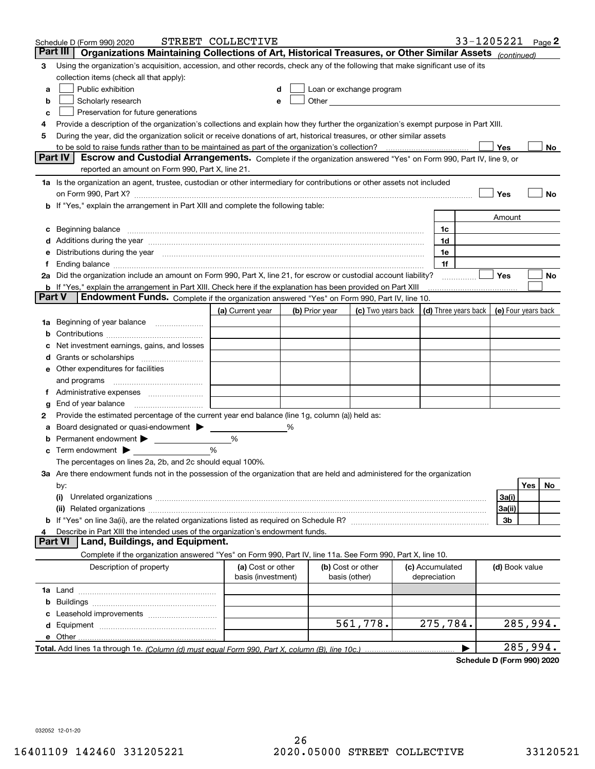|        | Schedule D (Form 990) 2020                                                                                                                                                                                                     | STREET COLLECTIVE  |   |                |                          |  |                      | 33-1205221 |                     |          | Page 2 |
|--------|--------------------------------------------------------------------------------------------------------------------------------------------------------------------------------------------------------------------------------|--------------------|---|----------------|--------------------------|--|----------------------|------------|---------------------|----------|--------|
|        | Part III<br>Organizations Maintaining Collections of Art, Historical Treasures, or Other Similar Assets (continued)                                                                                                            |                    |   |                |                          |  |                      |            |                     |          |        |
| 3      | Using the organization's acquisition, accession, and other records, check any of the following that make significant use of its                                                                                                |                    |   |                |                          |  |                      |            |                     |          |        |
|        | collection items (check all that apply):                                                                                                                                                                                       |                    |   |                |                          |  |                      |            |                     |          |        |
| а      | Public exhibition                                                                                                                                                                                                              | d                  |   |                | Loan or exchange program |  |                      |            |                     |          |        |
| b      | Scholarly research                                                                                                                                                                                                             | e                  |   |                |                          |  |                      |            |                     |          |        |
| с      | Preservation for future generations                                                                                                                                                                                            |                    |   |                |                          |  |                      |            |                     |          |        |
| 4      | Provide a description of the organization's collections and explain how they further the organization's exempt purpose in Part XIII.                                                                                           |                    |   |                |                          |  |                      |            |                     |          |        |
| 5      | During the year, did the organization solicit or receive donations of art, historical treasures, or other similar assets                                                                                                       |                    |   |                |                          |  |                      |            |                     |          |        |
|        | to be sold to raise funds rather than to be maintained as part of the organization's collection?                                                                                                                               |                    |   |                |                          |  |                      |            | Yes                 |          | No     |
|        | Escrow and Custodial Arrangements. Complete if the organization answered "Yes" on Form 990, Part IV, line 9, or<br><b>Part IV</b>                                                                                              |                    |   |                |                          |  |                      |            |                     |          |        |
|        | reported an amount on Form 990, Part X, line 21.                                                                                                                                                                               |                    |   |                |                          |  |                      |            |                     |          |        |
|        | 1a Is the organization an agent, trustee, custodian or other intermediary for contributions or other assets not included                                                                                                       |                    |   |                |                          |  |                      |            |                     |          |        |
|        | on Form 990, Part X? [11] matter and the contract of the contract of the contract of the contract of the contract of the contract of the contract of the contract of the contract of the contract of the contract of the contr |                    |   |                |                          |  |                      |            | Yes                 |          | No     |
|        | b If "Yes," explain the arrangement in Part XIII and complete the following table:                                                                                                                                             |                    |   |                |                          |  |                      |            |                     |          |        |
|        |                                                                                                                                                                                                                                |                    |   |                |                          |  |                      |            | Amount              |          |        |
| c      | Beginning balance <u>www.marent.com married was contracted</u> and the contracted and the contracted and the contracted                                                                                                        |                    |   |                |                          |  | 1c                   |            |                     |          |        |
|        | d Additions during the year measurements are all an according to the year.                                                                                                                                                     |                    |   |                |                          |  | 1d                   |            |                     |          |        |
|        | e Distributions during the year manufactured and an according to the distributions during the year manufactured and the state of the state of the state of the state of the state of the state of the state of the state of th |                    |   |                |                          |  | 1e<br>1f             |            |                     |          |        |
|        | 2a Did the organization include an amount on Form 990, Part X, line 21, for escrow or custodial account liability?                                                                                                             |                    |   |                |                          |  |                      |            | Yes                 |          | No     |
|        | <b>b</b> If "Yes," explain the arrangement in Part XIII. Check here if the explanation has been provided on Part XIII                                                                                                          |                    |   |                |                          |  |                      |            |                     |          |        |
| Part V | Endowment Funds. Complete if the organization answered "Yes" on Form 990, Part IV, line 10.                                                                                                                                    |                    |   |                |                          |  |                      |            |                     |          |        |
|        |                                                                                                                                                                                                                                | (a) Current year   |   | (b) Prior year | (c) Two years back       |  | (d) Three years back |            | (e) Four years back |          |        |
|        | 1a Beginning of year balance                                                                                                                                                                                                   |                    |   |                |                          |  |                      |            |                     |          |        |
| b      |                                                                                                                                                                                                                                |                    |   |                |                          |  |                      |            |                     |          |        |
| c      | Net investment earnings, gains, and losses                                                                                                                                                                                     |                    |   |                |                          |  |                      |            |                     |          |        |
|        |                                                                                                                                                                                                                                |                    |   |                |                          |  |                      |            |                     |          |        |
|        | e Other expenditures for facilities                                                                                                                                                                                            |                    |   |                |                          |  |                      |            |                     |          |        |
|        | and programs                                                                                                                                                                                                                   |                    |   |                |                          |  |                      |            |                     |          |        |
|        |                                                                                                                                                                                                                                |                    |   |                |                          |  |                      |            |                     |          |        |
| g      |                                                                                                                                                                                                                                |                    |   |                |                          |  |                      |            |                     |          |        |
| 2      | Provide the estimated percentage of the current year end balance (line 1g, column (a)) held as:                                                                                                                                |                    |   |                |                          |  |                      |            |                     |          |        |
| а      | Board designated or quasi-endowment > _____                                                                                                                                                                                    |                    | % |                |                          |  |                      |            |                     |          |        |
| b      | Permanent endowment >                                                                                                                                                                                                          | %                  |   |                |                          |  |                      |            |                     |          |        |
|        | <b>c</b> Term endowment $\blacktriangleright$                                                                                                                                                                                  | %                  |   |                |                          |  |                      |            |                     |          |        |
|        | The percentages on lines 2a, 2b, and 2c should equal 100%.                                                                                                                                                                     |                    |   |                |                          |  |                      |            |                     |          |        |
|        | 3a Are there endowment funds not in the possession of the organization that are held and administered for the organization                                                                                                     |                    |   |                |                          |  |                      |            |                     |          |        |
|        | by:                                                                                                                                                                                                                            |                    |   |                |                          |  |                      |            |                     | Yes      | No     |
|        | (i)                                                                                                                                                                                                                            |                    |   |                |                          |  |                      |            | 3a(i)               |          |        |
|        |                                                                                                                                                                                                                                |                    |   |                |                          |  |                      |            | 3a(ii)              |          |        |
|        |                                                                                                                                                                                                                                |                    |   |                |                          |  |                      |            | 3b                  |          |        |
| 4      | Describe in Part XIII the intended uses of the organization's endowment funds.<br>Land, Buildings, and Equipment.<br><b>Part VI</b>                                                                                            |                    |   |                |                          |  |                      |            |                     |          |        |
|        | Complete if the organization answered "Yes" on Form 990, Part IV, line 11a. See Form 990, Part X, line 10.                                                                                                                     |                    |   |                |                          |  |                      |            |                     |          |        |
|        | Description of property                                                                                                                                                                                                        | (a) Cost or other  |   |                | (b) Cost or other        |  | (c) Accumulated      |            | (d) Book value      |          |        |
|        |                                                                                                                                                                                                                                | basis (investment) |   | basis (other)  |                          |  | depreciation         |            |                     |          |        |
|        |                                                                                                                                                                                                                                |                    |   |                |                          |  |                      |            |                     |          |        |
|        |                                                                                                                                                                                                                                |                    |   |                |                          |  |                      |            |                     |          |        |
| с      |                                                                                                                                                                                                                                |                    |   |                |                          |  |                      |            |                     |          |        |
|        |                                                                                                                                                                                                                                |                    |   |                | 561,778.                 |  | 275,784.             |            |                     | 285,994. |        |
|        |                                                                                                                                                                                                                                |                    |   |                |                          |  |                      |            |                     |          |        |
|        |                                                                                                                                                                                                                                |                    |   |                |                          |  |                      |            |                     | 285,994. |        |

**Schedule D (Form 990) 2020**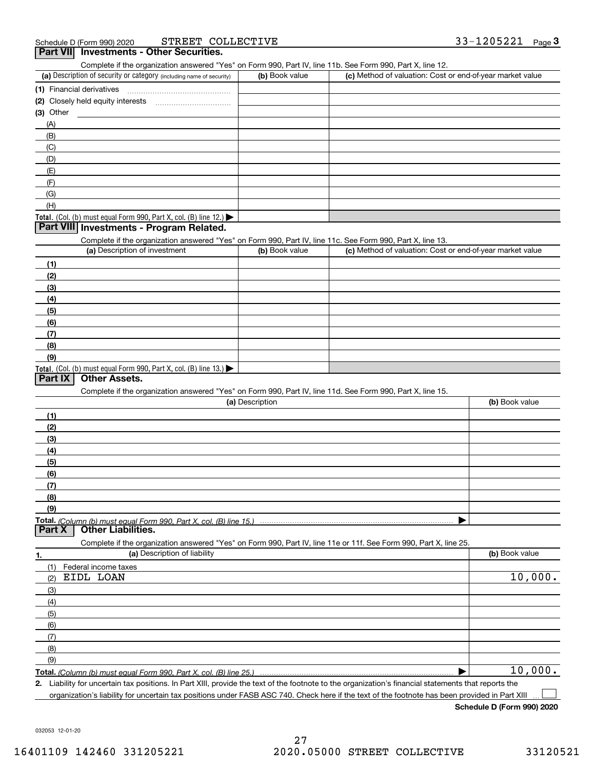|                | <b>Tail VII</b> Investments - Other Securities.<br>Complete if the organization answered "Yes" on Form 990, Part IV, line 11b. See Form 990, Part X, line 12. |                 |                                                           |                |
|----------------|---------------------------------------------------------------------------------------------------------------------------------------------------------------|-----------------|-----------------------------------------------------------|----------------|
|                | (a) Description of security or category (including name of security)                                                                                          | (b) Book value  | (c) Method of valuation: Cost or end-of-year market value |                |
|                |                                                                                                                                                               |                 |                                                           |                |
|                | (2) Closely held equity interests [111] [2] Closely held equity interests                                                                                     |                 |                                                           |                |
| (3) Other      |                                                                                                                                                               |                 |                                                           |                |
| (A)            |                                                                                                                                                               |                 |                                                           |                |
| (B)            |                                                                                                                                                               |                 |                                                           |                |
| (C)            |                                                                                                                                                               |                 |                                                           |                |
| (D)            |                                                                                                                                                               |                 |                                                           |                |
| (E)            |                                                                                                                                                               |                 |                                                           |                |
| (F)            |                                                                                                                                                               |                 |                                                           |                |
| (G)            |                                                                                                                                                               |                 |                                                           |                |
| (H)            |                                                                                                                                                               |                 |                                                           |                |
|                | Total. (Col. (b) must equal Form 990, Part X, col. (B) line 12.)                                                                                              |                 |                                                           |                |
|                | Part VIII Investments - Program Related.                                                                                                                      |                 |                                                           |                |
|                | Complete if the organization answered "Yes" on Form 990, Part IV, line 11c. See Form 990, Part X, line 13.                                                    |                 |                                                           |                |
|                | (a) Description of investment                                                                                                                                 | (b) Book value  | (c) Method of valuation: Cost or end-of-year market value |                |
| (1)            |                                                                                                                                                               |                 |                                                           |                |
| (2)            |                                                                                                                                                               |                 |                                                           |                |
| (3)            |                                                                                                                                                               |                 |                                                           |                |
| (4)            |                                                                                                                                                               |                 |                                                           |                |
| (5)            |                                                                                                                                                               |                 |                                                           |                |
| (6)            |                                                                                                                                                               |                 |                                                           |                |
| (7)            |                                                                                                                                                               |                 |                                                           |                |
| (8)            |                                                                                                                                                               |                 |                                                           |                |
| (9)            |                                                                                                                                                               |                 |                                                           |                |
|                | Total. (Col. (b) must equal Form 990, Part X, col. (B) line 13.)                                                                                              |                 |                                                           |                |
| <b>Part IX</b> | <b>Other Assets.</b>                                                                                                                                          |                 |                                                           |                |
|                | Complete if the organization answered "Yes" on Form 990, Part IV, line 11d. See Form 990, Part X, line 15.                                                    |                 |                                                           |                |
|                |                                                                                                                                                               | (a) Description |                                                           | (b) Book value |
| (1)            |                                                                                                                                                               |                 |                                                           |                |
| (2)            |                                                                                                                                                               |                 |                                                           |                |
| (3)            |                                                                                                                                                               |                 |                                                           |                |
| (4)            |                                                                                                                                                               |                 |                                                           |                |
| (5)            |                                                                                                                                                               |                 |                                                           |                |
| (6)            |                                                                                                                                                               |                 |                                                           |                |
| (7)            |                                                                                                                                                               |                 |                                                           |                |
| (8)            |                                                                                                                                                               |                 |                                                           |                |
| (9)            |                                                                                                                                                               |                 |                                                           |                |
| <b>Part X</b>  | Total. (Column (b) must equal Form 990, Part X, col. (B) line 15.)<br><b>Other Liabilities.</b>                                                               |                 |                                                           |                |
|                | Complete if the organization answered "Yes" on Form 990, Part IV, line 11e or 11f. See Form 990, Part X, line 25.                                             |                 |                                                           |                |
| 1.             | (a) Description of liability                                                                                                                                  |                 |                                                           | (b) Book value |
| (1)            | Federal income taxes                                                                                                                                          |                 |                                                           |                |
| (2)            | EIDL LOAN                                                                                                                                                     |                 |                                                           | 10,000.        |
| (3)            |                                                                                                                                                               |                 |                                                           |                |
| (4)            |                                                                                                                                                               |                 |                                                           |                |
| (5)            |                                                                                                                                                               |                 |                                                           |                |
| (6)            |                                                                                                                                                               |                 |                                                           |                |
| (7)            |                                                                                                                                                               |                 |                                                           |                |
| (8)            |                                                                                                                                                               |                 |                                                           |                |
| (9)            |                                                                                                                                                               |                 |                                                           |                |
|                | Total. (Column (b) must equal Form 990, Part X, col. (B) line 25.)                                                                                            |                 |                                                           | 10,000.        |
|                |                                                                                                                                                               |                 |                                                           |                |

**2.** Liability for uncertain tax positions. In Part XIII, provide the text of the footnote to the organization's financial statements that reports the organization's liability for uncertain tax positions under FASB ASC 740. Check here if the text of the footnote has been provided in Part XIII  $\mathcal{L}^{\text{max}}$ 

**Schedule D (Form 990) 2020**

032053 12-01-20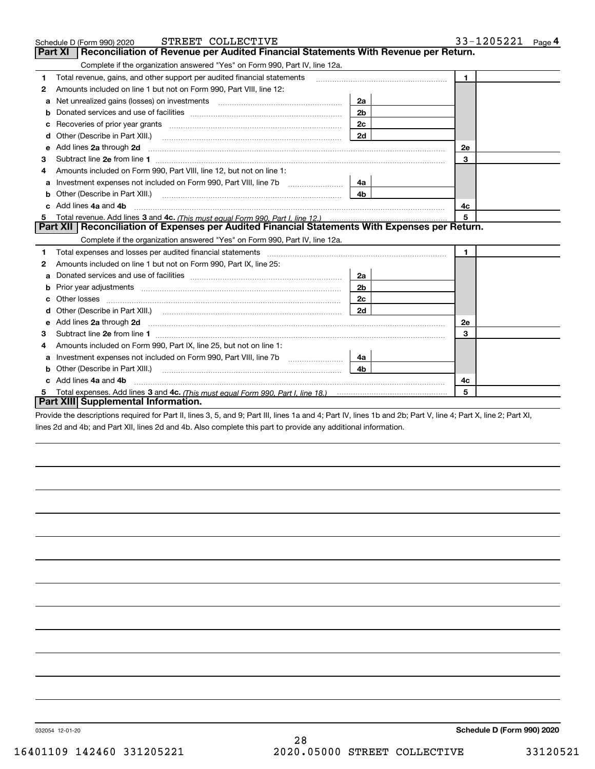|    | STREET COLLECTIVE<br>Schedule D (Form 990) 2020                                                                                                                                                                                     |                | 33-1205221<br>Page $4$ |
|----|-------------------------------------------------------------------------------------------------------------------------------------------------------------------------------------------------------------------------------------|----------------|------------------------|
|    | Part XI<br>Reconciliation of Revenue per Audited Financial Statements With Revenue per Return.                                                                                                                                      |                |                        |
|    | Complete if the organization answered "Yes" on Form 990, Part IV, line 12a.                                                                                                                                                         |                |                        |
| 1  | Total revenue, gains, and other support per audited financial statements                                                                                                                                                            |                | $\blacksquare$         |
| 2  | Amounts included on line 1 but not on Form 990, Part VIII, line 12:                                                                                                                                                                 |                |                        |
| a  | Net unrealized gains (losses) on investments [11] matter contracts and the unrealized gains (losses) on investments                                                                                                                 | 2a             |                        |
|    |                                                                                                                                                                                                                                     | 2 <sub>b</sub> |                        |
|    | Recoveries of prior year grants [11] matter contracts and prior year grants [11] matter contracts and prior year grants and all the contracts and all the contracts of prior year.                                                  | 2c             |                        |
| d  | Other (Describe in Part XIII.) <b>Construction Contract Construction</b> Chemistry Chemistry Chemistry Chemistry Chemistry                                                                                                          | 2d             |                        |
| е  | Add lines 2a through 2d                                                                                                                                                                                                             |                | 2e                     |
| з  |                                                                                                                                                                                                                                     |                | 3                      |
| 4  | Amounts included on Form 990, Part VIII, line 12, but not on line 1:                                                                                                                                                                |                |                        |
| a  | Investment expenses not included on Form 990, Part VIII, line 7b [                                                                                                                                                                  | 4a             |                        |
| b  |                                                                                                                                                                                                                                     |                |                        |
| c. | Add lines 4a and 4b                                                                                                                                                                                                                 | 4с             |                        |
|    |                                                                                                                                                                                                                                     |                | 5                      |
|    | Part XII   Reconciliation of Expenses per Audited Financial Statements With Expenses per Return.                                                                                                                                    |                |                        |
|    | Complete if the organization answered "Yes" on Form 990, Part IV, line 12a.                                                                                                                                                         |                |                        |
| 1  |                                                                                                                                                                                                                                     |                | $\mathbf{1}$           |
| 2  | Amounts included on line 1 but not on Form 990, Part IX, line 25:                                                                                                                                                                   |                |                        |
| a  |                                                                                                                                                                                                                                     | 2a             |                        |
| b  |                                                                                                                                                                                                                                     | 2 <sub>b</sub> |                        |
| C. |                                                                                                                                                                                                                                     | 2с             |                        |
| d  |                                                                                                                                                                                                                                     | 2d             |                        |
|    | Add lines 2a through 2d <b>contained a contained a contained a contained a</b> contained a contained a contained a contained a contained a contained a contained a contained a contained a contained a contained a contained a cont |                | 2e                     |
| 3  |                                                                                                                                                                                                                                     |                | 3                      |
| 4  | Amounts included on Form 990, Part IX, line 25, but not on line 1:                                                                                                                                                                  |                |                        |
| a  | Investment expenses not included on Form 990, Part VIII, line 7b [111] [11] Investment expenses not included on Form 990, Part VIII, line 7b                                                                                        | 4a l           |                        |
| b  |                                                                                                                                                                                                                                     | 4b             |                        |
|    | Add lines 4a and 4b                                                                                                                                                                                                                 | 4c             |                        |
|    |                                                                                                                                                                                                                                     | 5              |                        |
|    | Part XIII Supplemental Information.                                                                                                                                                                                                 |                |                        |

Provide the descriptions required for Part II, lines 3, 5, and 9; Part III, lines 1a and 4; Part IV, lines 1b and 2b; Part V, line 4; Part X, line 2; Part XI, lines 2d and 4b; and Part XII, lines 2d and 4b. Also complete this part to provide any additional information.

032054 12-01-20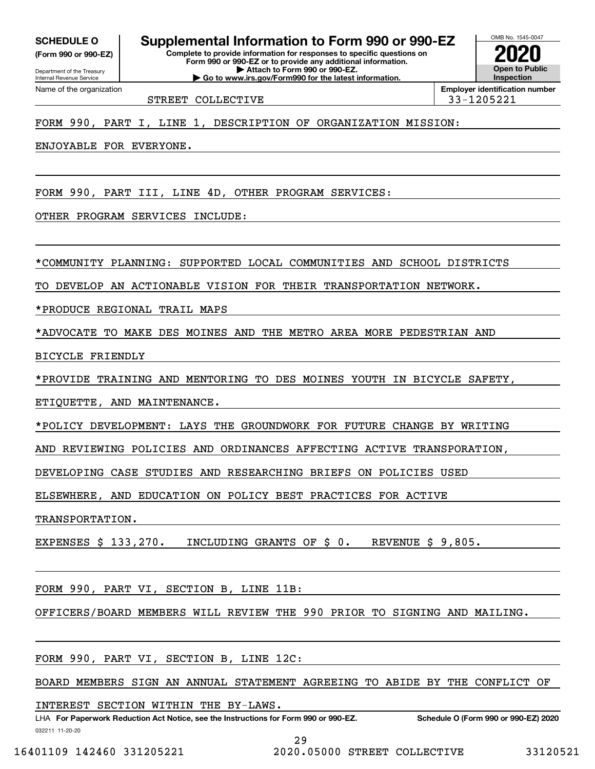**(Form 990 or 990-EZ)**

Department of the Treasury Internal Revenue Service Name of the organization

**SCHEDULE O Supplemental Information to Form 990 or 990-EZ**

**Complete to provide information for responses to specific questions on Form 990 or 990-EZ or to provide any additional information. | Attach to Form 990 or 990-EZ. | Go to www.irs.gov/Form990 for the latest information.**



STREET COLLECTIVE **1990 1991 1991 1991 199221** 

# FORM 990, PART I, LINE 1, DESCRIPTION OF ORGANIZATION MISSION:

ENJOYABLE FOR EVERYONE.

FORM 990, PART III, LINE 4D, OTHER PROGRAM SERVICES:

OTHER PROGRAM SERVICES INCLUDE:

\*COMMUNITY PLANNING: SUPPORTED LOCAL COMMUNITIES AND SCHOOL DISTRICTS

TO DEVELOP AN ACTIONABLE VISION FOR THEIR TRANSPORTATION NETWORK.

\*PRODUCE REGIONAL TRAIL MAPS

\*ADVOCATE TO MAKE DES MOINES AND THE METRO AREA MORE PEDESTRIAN AND

BICYCLE FRIENDLY

\*PROVIDE TRAINING AND MENTORING TO DES MOINES YOUTH IN BICYCLE SAFETY,

ETIQUETTE, AND MAINTENANCE.

\*POLICY DEVELOPMENT: LAYS THE GROUNDWORK FOR FUTURE CHANGE BY WRITING

AND REVIEWING POLICIES AND ORDINANCES AFFECTING ACTIVE TRANSPORATION,

DEVELOPING CASE STUDIES AND RESEARCHING BRIEFS ON POLICIES USED

ELSEWHERE, AND EDUCATION ON POLICY BEST PRACTICES FOR ACTIVE

TRANSPORTATION.

EXPENSES \$ 133,270. INCLUDING GRANTS OF \$ 0. REVENUE \$ 9,805.

FORM 990, PART VI, SECTION B, LINE 11B:

OFFICERS/BOARD MEMBERS WILL REVIEW THE 990 PRIOR TO SIGNING AND MAILING.

FORM 990, PART VI, SECTION B, LINE 12C:

BOARD MEMBERS SIGN AN ANNUAL STATEMENT AGREEING TO ABIDE BY THE CONFLICT OF

INTEREST SECTION WITHIN THE BY-LAWS.

032211 11-20-20 LHA For Paperwork Reduction Act Notice, see the Instructions for Form 990 or 990-EZ. Schedule O (Form 990 or 990-EZ) 2020 29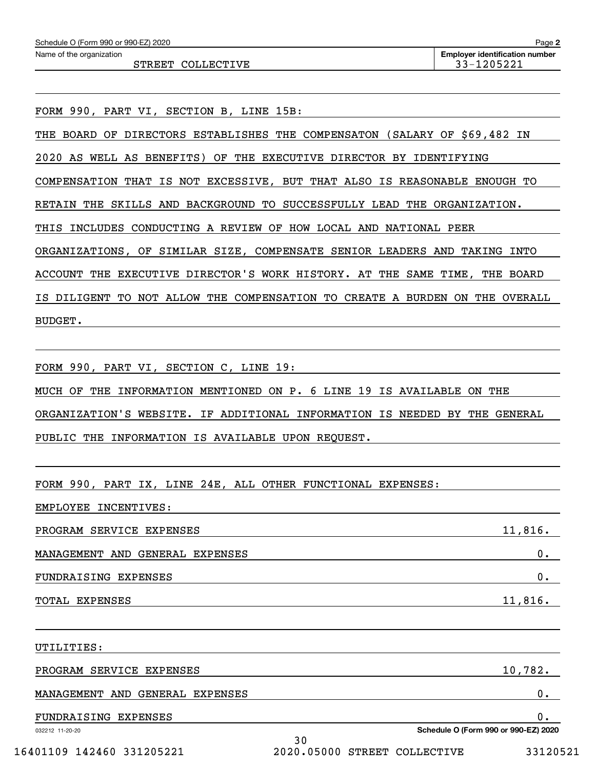| Schedule O (Form 990 or 990-EZ) 2020 | Page <sub>←</sub>                     |
|--------------------------------------|---------------------------------------|
| Name of the organization             | <b>Employer identification number</b> |
| STREET COLLECTIVE                    | 33-1205221                            |

FORM 990, PART VI, SECTION B, LINE 15B:

THE BOARD OF DIRECTORS ESTABLISHES THE COMPENSATON (SALARY OF \$69,482 IN

2020 AS WELL AS BENEFITS) OF THE EXECUTIVE DIRECTOR BY IDENTIFYING

COMPENSATION THAT IS NOT EXCESSIVE, BUT THAT ALSO IS REASONABLE ENOUGH TO

RETAIN THE SKILLS AND BACKGROUND TO SUCCESSFULLY LEAD THE ORGANIZATION.

THIS INCLUDES CONDUCTING A REVIEW OF HOW LOCAL AND NATIONAL PEER

ORGANIZATIONS, OF SIMILAR SIZE, COMPENSATE SENIOR LEADERS AND TAKING INTO

ACCOUNT THE EXECUTIVE DIRECTOR'S WORK HISTORY. AT THE SAME TIME, THE BOARD

IS DILIGENT TO NOT ALLOW THE COMPENSATION TO CREATE A BURDEN ON THE OVERALL BUDGET.

FORM 990, PART VI, SECTION C, LINE 19:

MUCH OF THE INFORMATION MENTIONED ON P. 6 LINE 19 IS AVAILABLE ON THE

ORGANIZATION'S WEBSITE. IF ADDITIONAL INFORMATION IS NEEDED BY THE GENERAL

PUBLIC THE INFORMATION IS AVAILABLE UPON REQUEST.

FORM 990, PART IX, LINE 24E, ALL OTHER FUNCTIONAL EXPENSES:

EMPLOYEE INCENTIVES:

| PROGRAM SERVICE EXPENSES        |         |  |
|---------------------------------|---------|--|
| MANAGEMENT AND GENERAL EXPENSES | υ.      |  |
| FUNDRAISING EXPENSES            | υ.      |  |
| TOTAL EXPENSES                  | 11,816. |  |

UTILITIES:

| PROGRAM SERVICE | EXPENSES | ' ດ |  |
|-----------------|----------|-----|--|
|                 |          |     |  |

30

MANAGEMENT AND GENERAL EXPENSES 0.

FUNDRAISING EXPENSES 0.

032212 11-20-20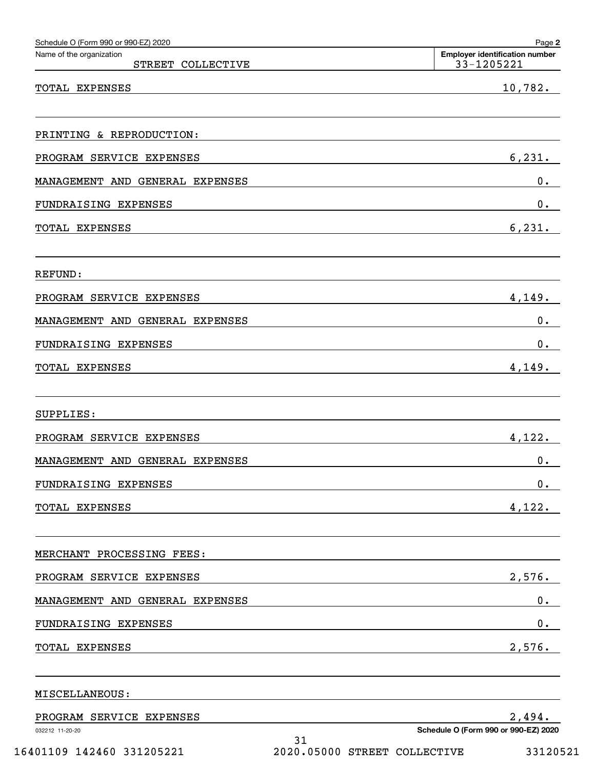| Schedule O (Form 990 or 990-EZ) 2020             | Page 2                                              |
|--------------------------------------------------|-----------------------------------------------------|
| Name of the organization<br>COLLECTIVE<br>STREET | <b>Employer identification number</b><br>33-1205221 |
| TOTAL EXPENSES                                   | 10,782.                                             |
| PRINTING & REPRODUCTION:                         |                                                     |
| PROGRAM SERVICE<br>EXPENSES                      | 6, 231.                                             |
| AND GENERAL<br><b>EXPENSES</b><br>MANAGEMENT     | $0$ .                                               |
| FUNDRAISING EXPENSES                             | О.                                                  |
| <b>TOTAL EXPENSES</b>                            | 6, 231.                                             |
| <b>REFUND:</b>                                   |                                                     |
| PROGRAM SERVICE<br>EXPENSES                      | 4,149.                                              |
| AND GENERAL EXPENSES<br>MANAGEMENT               | 0.                                                  |
| FUNDRAISING EXPENSES                             | 0.                                                  |
| TOTAL EXPENSES                                   | 4,149.                                              |
| SUPPLIES:                                        |                                                     |
| PROGRAM SERVICE<br>EXPENSES                      | 4,122.                                              |
| MANAGEMENT AND GENERAL EXPENSES                  | $\mathbf 0$ .                                       |
| FUNDRAISING EXPENSES                             | 0.                                                  |
| TOTAL EXPENSES                                   | 4,122.                                              |
| MERCHANT PROCESSING FEES:                        |                                                     |
| PROGRAM SERVICE EXPENSES                         | 2,576.                                              |
| MANAGEMENT AND GENERAL EXPENSES                  | $\mathbf 0$ .                                       |
| FUNDRAISING EXPENSES                             | $\mathbf 0$ .                                       |
| TOTAL EXPENSES                                   | 2,576.                                              |
| MISCELLANEOUS:                                   |                                                     |
| PROGRAM SERVICE EXPENSES                         | 2,494.                                              |
| 032212 11-20-20                                  | Schedule O (Form 990 or 990-EZ) 2020                |

31 16401109 142460 331205221 2020.05000 STREET COLLECTIVE 33120521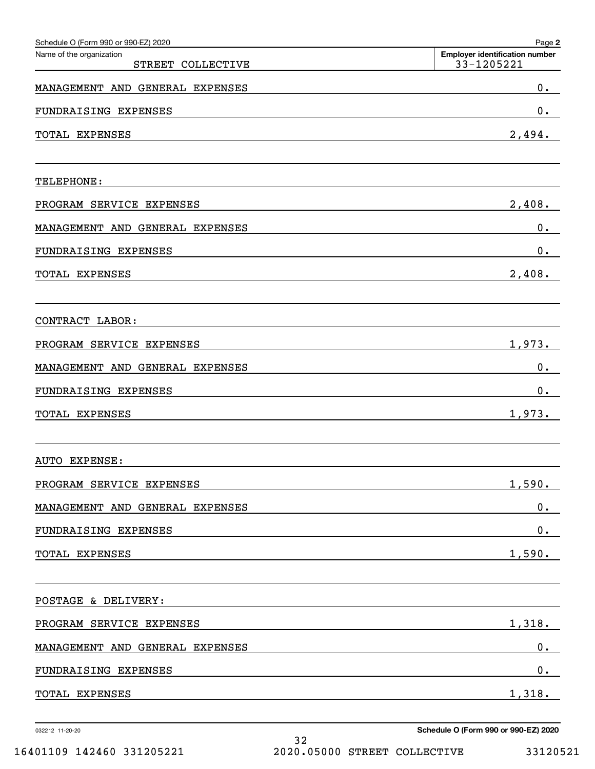| Schedule O (Form 990 or 990-EZ) 2020                    | Page 2                                              |
|---------------------------------------------------------|-----------------------------------------------------|
| Name of the organization<br>COLLECTIVE<br><b>STREET</b> | <b>Employer identification number</b><br>33-1205221 |
| MANAGEMENT AND GENERAL EXPENSES                         | 0.                                                  |
| FUNDRAISING EXPENSES                                    | $0$ .                                               |
| TOTAL EXPENSES                                          | 2,494.                                              |
| TELEPHONE:                                              |                                                     |
| PROGRAM SERVICE EXPENSES                                | 2,408.                                              |
| MANAGEMENT AND GENERAL EXPENSES                         | 0.                                                  |
| FUNDRAISING EXPENSES                                    | $0$ .                                               |
| TOTAL EXPENSES                                          | 2,408.                                              |
| CONTRACT LABOR:                                         |                                                     |
| PROGRAM SERVICE EXPENSES                                | 1,973.                                              |
| MANAGEMENT AND GENERAL EXPENSES                         | 0.                                                  |
| FUNDRAISING EXPENSES                                    | $0$ .                                               |
| TOTAL EXPENSES                                          | 1,973.                                              |
| AUTO EXPENSE:                                           |                                                     |
| PROGRAM SERVICE EXPENSES                                | 1,590.                                              |
| MANAGEMENT AND GENERAL EXPENSES                         | $\mathbf 0$ .                                       |
| FUNDRAISING EXPENSES                                    | 0.                                                  |
| TOTAL EXPENSES                                          | 1,590.                                              |
| POSTAGE & DELIVERY:                                     |                                                     |
| PROGRAM SERVICE EXPENSES                                | 1,318.                                              |
| MANAGEMENT AND GENERAL EXPENSES                         | $\mathbf 0$ .                                       |
| FUNDRAISING EXPENSES                                    | $0$ .                                               |
| TOTAL EXPENSES                                          | 1,318.                                              |
|                                                         |                                                     |

032212 11-20-20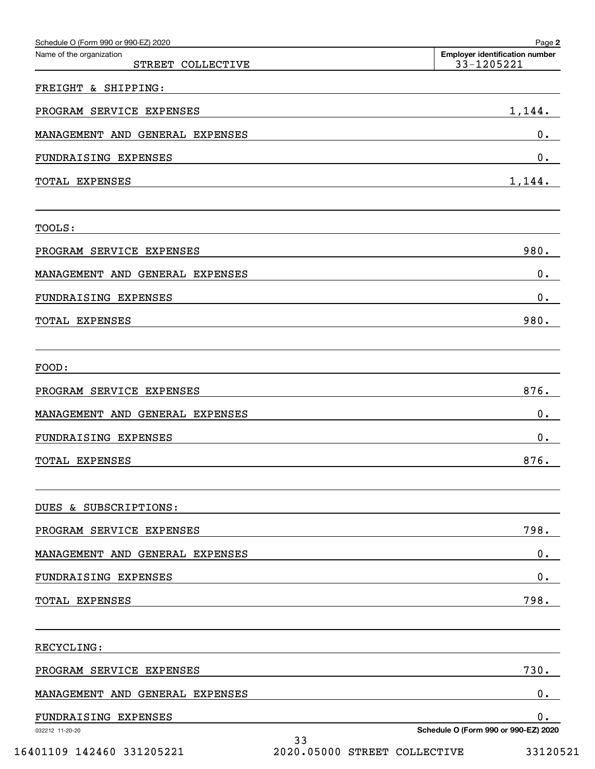| Schedule O (Form 990 or 990-EZ) 2020<br>Name of the organization<br>STREET COLLECTIVE |                                    | Page 2<br><b>Employer identification number</b><br>33-1205221 |
|---------------------------------------------------------------------------------------|------------------------------------|---------------------------------------------------------------|
| FREIGHT & SHIPPING:                                                                   |                                    |                                                               |
| PROGRAM SERVICE EXPENSES                                                              |                                    | 1,144.                                                        |
| MANAGEMENT AND GENERAL EXPENSES                                                       |                                    | 0.                                                            |
| FUNDRAISING EXPENSES                                                                  |                                    | 0.                                                            |
| TOTAL EXPENSES                                                                        |                                    | 1,144.                                                        |
| TOOLS:                                                                                |                                    |                                                               |
| PROGRAM SERVICE EXPENSES                                                              |                                    | 980.                                                          |
| MANAGEMENT AND GENERAL EXPENSES                                                       |                                    | 0.                                                            |
| FUNDRAISING EXPENSES                                                                  |                                    | 0.                                                            |
| TOTAL EXPENSES                                                                        |                                    | 980.                                                          |
| FOOD:                                                                                 |                                    |                                                               |
| PROGRAM SERVICE EXPENSES                                                              |                                    | 876.                                                          |
| MANAGEMENT AND GENERAL EXPENSES                                                       |                                    | 0.                                                            |
| FUNDRAISING EXPENSES                                                                  |                                    | $0$ .                                                         |
| TOTAL EXPENSES                                                                        |                                    | 876.                                                          |
| DUES & SUBSCRIPTIONS:                                                                 |                                    |                                                               |
| PROGRAM SERVICE EXPENSES                                                              |                                    | 798.                                                          |
| MANAGEMENT AND GENERAL EXPENSES                                                       |                                    | 0.                                                            |
| FUNDRAISING EXPENSES                                                                  |                                    | 0.                                                            |
| TOTAL EXPENSES                                                                        |                                    | 798.                                                          |
| RECYCLING:                                                                            |                                    |                                                               |
| PROGRAM SERVICE EXPENSES                                                              |                                    | 730.                                                          |
| MANAGEMENT AND GENERAL EXPENSES                                                       |                                    | 0.                                                            |
| FUNDRAISING EXPENSES                                                                  |                                    | 0.                                                            |
| 032212 11-20-20<br>16401109 142460 331205221                                          | 33<br>2020.05000 STREET COLLECTIVE | Schedule O (Form 990 or 990-EZ) 2020<br>33120521              |